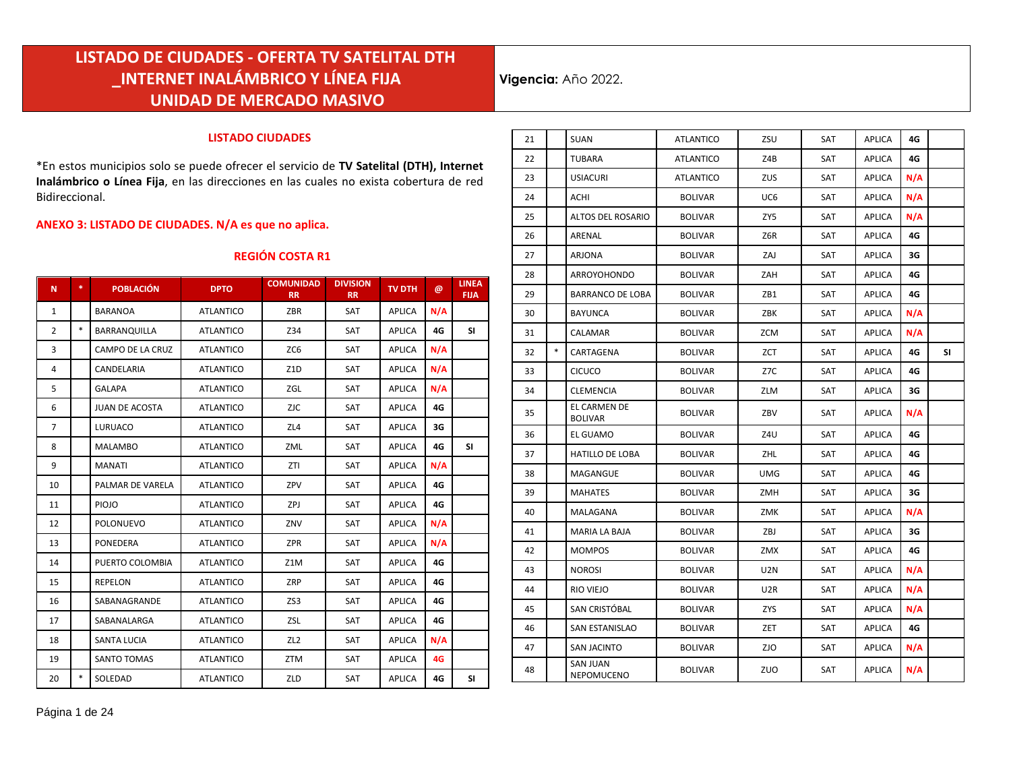**Vigencia:** Año 2022.

#### **LISTADO CIUDADES**

\*En estos municipios solo se puede ofrecer el servicio de **TV Satelital (DTH), Internet Inalámbrico o Línea Fija**, en las direcciones en las cuales no exista cobertura de red Bidireccional.

#### **ANEXO 3: LISTADO DE CIUDADES. N/A es que no aplica.**

#### **REGIÓN COSTA R1**

| N              | *.     | <b>POBLACIÓN</b>      | <b>DPTO</b>      | <b>COMUNIDAD</b><br><b>RR</b> | <b>DIVISION</b><br><b>RR</b> | <b>TV DTH</b> | $\omega$ | <b>LINEA</b><br><b>FIJA</b> |
|----------------|--------|-----------------------|------------------|-------------------------------|------------------------------|---------------|----------|-----------------------------|
| $\mathbf{1}$   |        | <b>BARANOA</b>        | <b>ATLANTICO</b> | ZBR                           | SAT                          | <b>APLICA</b> | N/A      |                             |
| $\overline{2}$ | $\ast$ | <b>BARRANQUILLA</b>   | <b>ATLANTICO</b> | Z34                           | SAT                          | <b>APLICA</b> | 4G       | SI                          |
| 3              |        | CAMPO DE LA CRUZ      | <b>ATLANTICO</b> | ZC6                           | SAT                          | <b>APLICA</b> | N/A      |                             |
| 4              |        | CANDELARIA            | <b>ATLANTICO</b> | Z1D                           | SAT                          | <b>APLICA</b> | N/A      |                             |
| 5              |        | <b>GALAPA</b>         | <b>ATLANTICO</b> | ZGL                           | <b>SAT</b>                   | <b>APLICA</b> | N/A      |                             |
| 6              |        | <b>JUAN DE ACOSTA</b> | <b>ATLANTICO</b> | <b>ZJC</b>                    | SAT                          | <b>APLICA</b> | 4G       |                             |
| $\overline{7}$ |        | LURUACO               | <b>ATLANTICO</b> | ZL4                           | SAT                          | <b>APLICA</b> | 3G       |                             |
| 8              |        | <b>MALAMBO</b>        | <b>ATLANTICO</b> | ZML                           | SAT                          | <b>APLICA</b> | 4G       | <b>SI</b>                   |
| 9              |        | <b>MANATI</b>         | <b>ATLANTICO</b> | ZTI                           | <b>SAT</b>                   | <b>APLICA</b> | N/A      |                             |
| 10             |        | PALMAR DE VARELA      | <b>ATLANTICO</b> | ZPV                           | SAT                          | <b>APLICA</b> | 4G       |                             |
| 11             |        | <b>PIOJO</b>          | <b>ATLANTICO</b> | ZPJ                           | SAT                          | <b>APLICA</b> | 4G       |                             |
| 12             |        | <b>POLONUEVO</b>      | <b>ATLANTICO</b> | ZNV                           | SAT                          | <b>APLICA</b> | N/A      |                             |
| 13             |        | <b>PONEDERA</b>       | <b>ATLANTICO</b> | <b>ZPR</b>                    | SAT                          | <b>APLICA</b> | N/A      |                             |
| 14             |        | PUERTO COLOMBIA       | <b>ATLANTICO</b> | Z1M                           | SAT                          | <b>APLICA</b> | 4G       |                             |
| 15             |        | <b>REPELON</b>        | <b>ATLANTICO</b> | ZRP                           | SAT                          | <b>APLICA</b> | 4G       |                             |
| 16             |        | SABANAGRANDE          | <b>ATLANTICO</b> | ZS3                           | SAT                          | <b>APLICA</b> | 4G       |                             |
| 17             |        | SABANALARGA           | <b>ATLANTICO</b> | ZSL                           | SAT                          | <b>APLICA</b> | 4G       |                             |
| 18             |        | <b>SANTA LUCIA</b>    | <b>ATLANTICO</b> | ZL <sub>2</sub>               | SAT                          | <b>APLICA</b> | N/A      |                             |
| 19             |        | <b>SANTO TOMAS</b>    | <b>ATLANTICO</b> | ZTM                           | <b>SAT</b>                   | <b>APLICA</b> | 4G       |                             |
| 20             | $\ast$ | SOLEDAD               | <b>ATLANTICO</b> | ZLD                           | SAT                          | <b>APLICA</b> | 4G       | SI                          |

| 21 |        | <b>SUAN</b>                    | <b>ATLANTICO</b> | ZSU        | SAT | APLICA        | 4G  |           |
|----|--------|--------------------------------|------------------|------------|-----|---------------|-----|-----------|
| 22 |        | <b>TUBARA</b>                  | ATLANTICO        | Z4B        | SAT | APLICA        | 4G  |           |
| 23 |        | <b>USIACURI</b>                | <b>ATLANTICO</b> | ZUS        | SAT | APLICA        | N/A |           |
| 24 |        | ACHI                           | <b>BOLIVAR</b>   | UC6        | SAT | APLICA        | N/A |           |
| 25 |        | <b>ALTOS DEL ROSARIO</b>       | <b>BOLIVAR</b>   | ZY5        | SAT | APLICA        | N/A |           |
| 26 |        | ARENAL                         | <b>BOLIVAR</b>   | Z6R        | SAT | APLICA        | 4G  |           |
| 27 |        | ARJONA                         | <b>BOLIVAR</b>   | ZAJ        | SAT | APLICA        | 3G  |           |
| 28 |        | ARROYOHONDO                    | <b>BOLIVAR</b>   | ZAH        | SAT | APLICA        | 4G  |           |
| 29 |        | <b>BARRANCO DE LOBA</b>        | <b>BOLIVAR</b>   | ZB1        | SAT | APLICA        | 4G  |           |
| 30 |        | <b>BAYUNCA</b>                 | <b>BOLIVAR</b>   | ZBK        | SAT | APLICA        | N/A |           |
| 31 |        | CALAMAR                        | <b>BOLIVAR</b>   | ZCM        | SAT | APLICA        | N/A |           |
| 32 | $\ast$ | CARTAGENA                      | <b>BOLIVAR</b>   | ZCT        | SAT | APLICA        | 4G  | <b>SI</b> |
| 33 |        | <b>CICUCO</b>                  | BOLIVAR          | Z7C        | SAT | APLICA        | 4G  |           |
| 34 |        | <b>CLEMENCIA</b>               | <b>BOLIVAR</b>   | ZLM        | SAT | APLICA        | 3G  |           |
| 35 |        | EL CARMEN DE<br><b>BOLIVAR</b> | BOLIVAR          | ZBV        | SAT | APLICA        | N/A |           |
| 36 |        | EL GUAMO                       | <b>BOLIVAR</b>   | Z4U        | SAT | APLICA        | 4G  |           |
| 37 |        | <b>HATILLO DE LOBA</b>         | <b>BOLIVAR</b>   | ZHL        | SAT | APLICA        | 4G  |           |
| 38 |        | MAGANGUE                       | <b>BOLIVAR</b>   | <b>UMG</b> | SAT | <b>APLICA</b> | 4G  |           |
| 39 |        | <b>MAHATES</b>                 | <b>BOLIVAR</b>   | ZMH        | SAT | APLICA        | 3G  |           |
| 40 |        | MALAGANA                       | <b>BOLIVAR</b>   | ZMK        | SAT | APLICA        | N/A |           |
| 41 |        | <b>MARIA LA BAJA</b>           | <b>BOLIVAR</b>   | ZBJ        | SAT | APLICA        | 3G  |           |
| 42 |        | <b>MOMPOS</b>                  | <b>BOLIVAR</b>   | ZMX        | SAT | APLICA        | 4G  |           |
| 43 |        | <b>NOROSI</b>                  | <b>BOLIVAR</b>   | <b>U2N</b> | SAT | APLICA        | N/A |           |
| 44 |        | RIO VIEJO                      | <b>BOLIVAR</b>   | U2R        | SAT | APLICA        | N/A |           |
| 45 |        | SAN CRISTÓBAL                  | <b>BOLIVAR</b>   | ZYS        | SAT | APLICA        | N/A |           |
| 46 |        | SAN ESTANISLAO                 | <b>BOLIVAR</b>   | ZET        | SAT | APLICA        | 4G  |           |
| 47 |        | <b>SAN JACINTO</b>             | <b>BOLIVAR</b>   | ZJO        | SAT | APLICA        | N/A |           |
| 48 |        | <b>SAN JUAN</b><br>NEPOMUCENO  | <b>BOLIVAR</b>   | ZUO        | SAT | APLICA        | N/A |           |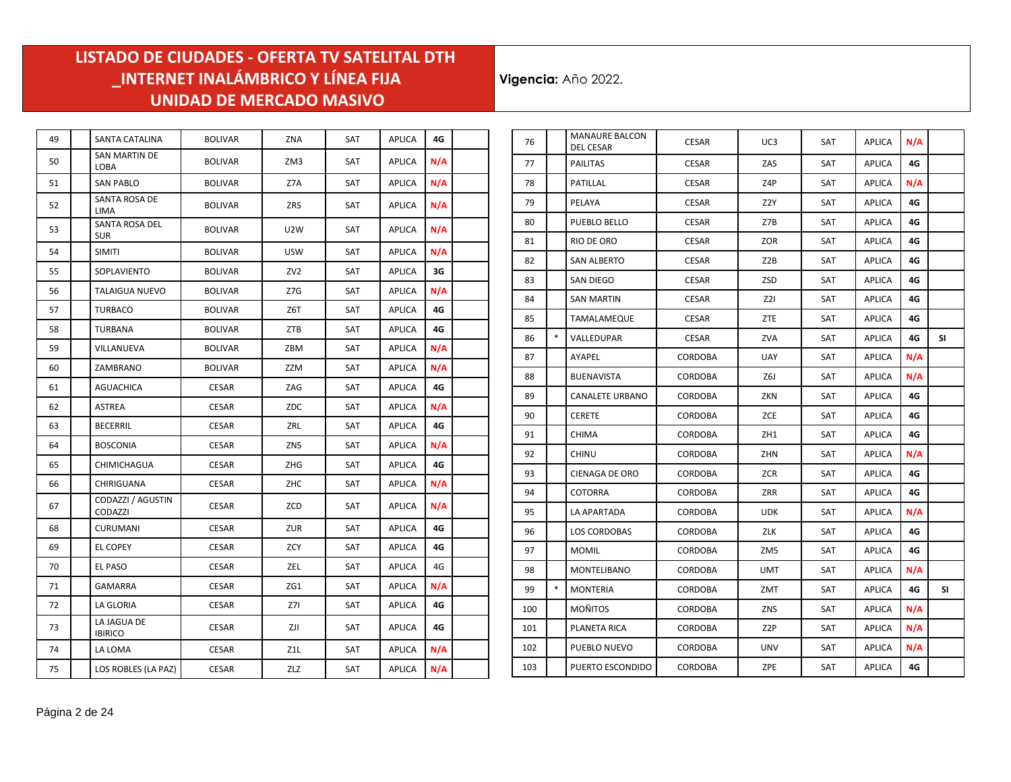| 49 | SANTA CATALINA                | <b>BOLIVAR</b> | ZNA             | SAT        | <b>APLICA</b> | 4G  |  |
|----|-------------------------------|----------------|-----------------|------------|---------------|-----|--|
| 50 | SAN MARTIN DE<br>LOBA         | <b>BOLIVAR</b> | ZM3             | SAT        | <b>APLICA</b> | N/A |  |
| 51 | <b>SAN PABLO</b>              | <b>BOLIVAR</b> | Z7A             | SAT        | <b>APLICA</b> | N/A |  |
| 52 | SANTA ROSA DE<br><b>LIMA</b>  | <b>BOLIVAR</b> | ZRS             | SAT        | <b>APLICA</b> | N/A |  |
| 53 | SANTA ROSA DEL<br><b>SUR</b>  | <b>BOLIVAR</b> | U2W             | SAT        | <b>APLICA</b> | N/A |  |
| 54 | <b>SIMITI</b>                 | <b>BOLIVAR</b> | USW             | SAT        | APLICA        | N/A |  |
| 55 | SOPLAVIENTO                   | <b>BOLIVAR</b> | ZV <sub>2</sub> | SAT        | <b>APLICA</b> | 3G  |  |
| 56 | <b>TALAIGUA NUEVO</b>         | <b>BOLIVAR</b> | Z7G             | SAT        | <b>APLICA</b> | N/A |  |
| 57 | <b>TURBACO</b>                | <b>BOLIVAR</b> | Z6T             | SAT        | <b>APLICA</b> | 4G  |  |
| 58 | TURBANA                       | <b>BOLIVAR</b> | ZTB             | <b>SAT</b> | <b>APLICA</b> | 4G  |  |
| 59 | VILLANUEVA                    | <b>BOLIVAR</b> | ZBM             | SAT        | <b>APLICA</b> | N/A |  |
| 60 | ZAMBRANO                      | <b>BOLIVAR</b> | ZZM             | SAT        | <b>APLICA</b> | N/A |  |
| 61 | <b>AGUACHICA</b>              | <b>CESAR</b>   | ZAG             | SAT        | <b>APLICA</b> | 4G  |  |
| 62 | <b>ASTREA</b>                 | <b>CESAR</b>   | ZDC             | SAT        | <b>APLICA</b> | N/A |  |
| 63 | <b>BECERRIL</b>               | <b>CESAR</b>   | ZRL             | SAT        | <b>APLICA</b> | 4G  |  |
| 64 | <b>BOSCONIA</b>               | <b>CESAR</b>   | ZN5             | <b>SAT</b> | <b>APLICA</b> | N/A |  |
| 65 | CHIMICHAGUA                   | <b>CESAR</b>   | ZHG             | SAT        | APLICA        | 4G  |  |
| 66 | CHIRIGUANA                    | <b>CESAR</b>   | ZHC             | SAT        | APLICA        | N/A |  |
| 67 | CODAZZI / AGUSTIN<br>CODAZZI  | CESAR          | ZCD             | SAT        | <b>APLICA</b> | N/A |  |
| 68 | <b>CURUMANI</b>               | <b>CESAR</b>   | ZUR             | SAT        | <b>APLICA</b> | 4G  |  |
| 69 | <b>EL COPEY</b>               | CESAR          | ZCY             | SAT        | APLICA        | 4G  |  |
| 70 | EL PASO                       | <b>CESAR</b>   | ZEL             | SAT        | <b>APLICA</b> | 4G  |  |
| 71 | <b>GAMARRA</b>                | <b>CESAR</b>   | ZG1             | SAT        | <b>APLICA</b> | N/A |  |
| 72 | LA GLORIA                     | <b>CESAR</b>   | 271             | SAT        | <b>APLICA</b> | 4G  |  |
| 73 | LA JAGUA DE<br><b>IBIRICO</b> | CESAR          | ZJI             | SAT        | APLICA        | 4G  |  |
| 74 | LA LOMA                       | <b>CESAR</b>   | Z1L             | SAT        | <b>APLICA</b> | N/A |  |
| 75 | LOS ROBLES (LA PAZ)           | CESAR          | ZLZ             | SAT        | APLICA        | N/A |  |

| 76  |        | <b>MANAURE BALCON</b><br><b>DEL CESAR</b> | <b>CESAR</b>   | UC3              | SAT        | <b>APLICA</b> | N/A |           |
|-----|--------|-------------------------------------------|----------------|------------------|------------|---------------|-----|-----------|
| 77  |        | <b>PAILITAS</b>                           | <b>CESAR</b>   | ZAS              | SAT        | APLICA        | 4G  |           |
| 78  |        | PATILLAL                                  | <b>CESAR</b>   | Z4P              | SAT        | APLICA        | N/A |           |
| 79  |        | PELAYA                                    | <b>CESAR</b>   | Z2Y              | SAT        | APLICA        | 4G  |           |
| 80  |        | PUEBLO BELLO                              | <b>CESAR</b>   | Z7B              | <b>SAT</b> | <b>APLICA</b> | 4G  |           |
| 81  |        | RIO DE ORO                                | <b>CESAR</b>   | ZOR              | SAT        | APLICA        | 4G  |           |
| 82  |        | SAN ALBERTO                               | <b>CESAR</b>   | Z2B              | SAT        | APLICA        | 4G  |           |
| 83  |        | SAN DIEGO                                 | <b>CESAR</b>   | ZSD              | SAT        | APLICA        | 4G  |           |
| 84  |        | <b>SAN MARTIN</b>                         | <b>CESAR</b>   | Z2I              | SAT        | APLICA        | 4G  |           |
| 85  |        | TAMALAMEQUE                               | <b>CESAR</b>   | ZTE              | SAT        | APLICA        | 4G  |           |
| 86  | $\ast$ | VALLEDUPAR                                | <b>CESAR</b>   | ZVA              | SAT        | APLICA        | 4G  | <b>SI</b> |
| 87  |        | AYAPEL                                    | CORDOBA        | <b>UAY</b>       | <b>SAT</b> | <b>APLICA</b> | N/A |           |
| 88  |        | <b>BUENAVISTA</b>                         | CORDOBA        | Z6J              | <b>SAT</b> | <b>APLICA</b> | N/A |           |
| 89  |        | <b>CANALETE URBANO</b>                    | <b>CORDOBA</b> | ZKN              | SAT        | APLICA        | 4G  |           |
| 90  |        | <b>CERETE</b>                             | CORDOBA        | ZCE              | SAT        | APLICA        | 4G  |           |
| 91  |        | <b>CHIMA</b>                              | CORDOBA        | ZH1              | SAT        | APLICA        | 4G  |           |
| 92  |        | <b>CHINU</b>                              | <b>CORDOBA</b> | ZHN              | <b>SAT</b> | <b>APLICA</b> | N/A |           |
| 93  |        | <b>CIENAGA DE ORO</b>                     | <b>CORDOBA</b> | <b>ZCR</b>       | SAT        | APLICA        | 4G  |           |
| 94  |        | <b>COTORRA</b>                            | <b>CORDOBA</b> | ZRR              | SAT        | APLICA        | 4G  |           |
| 95  |        | LA APARTADA                               | CORDOBA        | <b>UDK</b>       | SAT        | APLICA        | N/A |           |
| 96  |        | <b>LOS CORDOBAS</b>                       | <b>CORDOBA</b> | ZLK              | SAT        | APLICA        | 4G  |           |
| 97  |        | <b>MOMIL</b>                              | <b>CORDOBA</b> | ZM <sub>5</sub>  | SAT        | APLICA        | 4G  |           |
| 98  |        | MONTELIBANO                               | <b>CORDOBA</b> | <b>UMT</b>       | SAT        | APLICA        | N/A |           |
| 99  | $\ast$ | <b>MONTERIA</b>                           | CORDOBA        | <b>ZMT</b>       | <b>SAT</b> | <b>APLICA</b> | 4G  | <b>SI</b> |
| 100 |        | <b>MOÑITOS</b>                            | <b>CORDOBA</b> | ZNS              | SAT        | APLICA        | N/A |           |
| 101 |        | PLANETA RICA                              | <b>CORDOBA</b> | Z <sub>2</sub> P | SAT        | APLICA        | N/A |           |
| 102 |        | PUEBLO NUEVO                              | <b>CORDOBA</b> | UNV              | SAT        | APLICA        | N/A |           |
| 103 |        | PUERTO ESCONDIDO                          | CORDOBA        | ZPE              | SAT        | APLICA        | 4G  |           |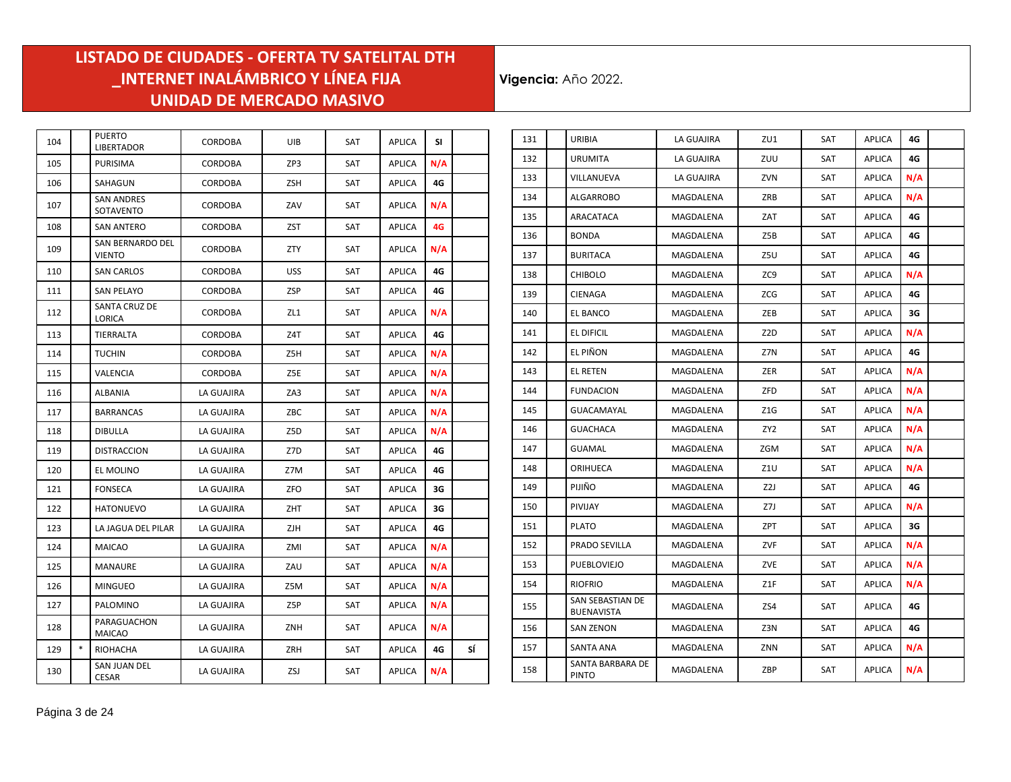| 104 |        | <b>PUERTO</b><br><b>LIBERTADOR</b>    | <b>CORDOBA</b> | UIB        | <b>SAT</b> | <b>APLICA</b> | SI. |    |
|-----|--------|---------------------------------------|----------------|------------|------------|---------------|-----|----|
| 105 |        | <b>PURISIMA</b>                       | <b>CORDOBA</b> | ZP3        | SAT        | <b>APLICA</b> | N/A |    |
| 106 |        | SAHAGUN                               | CORDOBA        | <b>ZSH</b> | <b>SAT</b> | <b>APLICA</b> | 4G  |    |
| 107 |        | <b>SAN ANDRES</b><br>SOTAVENTO        | CORDOBA        | ZAV        | SAT        | <b>APLICA</b> | N/A |    |
| 108 |        | <b>SAN ANTERO</b>                     | CORDOBA        | <b>ZST</b> | <b>SAT</b> | <b>APLICA</b> | 4G  |    |
| 109 |        | SAN BERNARDO DEL<br><b>VIENTO</b>     | <b>CORDOBA</b> | <b>ZTY</b> | SAT        | <b>APLICA</b> | N/A |    |
| 110 |        | <b>SAN CARLOS</b>                     | <b>CORDOBA</b> | <b>USS</b> | SAT        | <b>APLICA</b> | 4G  |    |
| 111 |        | <b>SAN PELAYO</b>                     | CORDOBA        | ZSP        | SAT        | APLICA        | 4G  |    |
| 112 |        | <b>SANTA CRUZ DE</b><br><b>LORICA</b> | CORDOBA        | ZL1        | SAT        | APLICA        | N/A |    |
| 113 |        | TIERRALTA                             | CORDOBA        | Z4T        | SAT        | <b>APLICA</b> | 4G  |    |
| 114 |        | TUCHIN                                | <b>CORDOBA</b> | Z5H        | <b>SAT</b> | <b>APLICA</b> | N/A |    |
| 115 |        | VALENCIA                              | CORDOBA        | Z5E        | SAT        | <b>APLICA</b> | N/A |    |
| 116 |        | ALBANIA                               | LA GUAJIRA     | ZA3        | SAT        | <b>APLICA</b> | N/A |    |
| 117 |        | <b>BARRANCAS</b>                      | LA GUAJIRA     | ZBC        | SAT        | <b>APLICA</b> | N/A |    |
| 118 |        | <b>DIBULLA</b>                        | LA GUAJIRA     | Z5D        | SAT        | APLICA        | N/A |    |
| 119 |        | <b>DISTRACCION</b>                    | LA GUAJIRA     | Z7D        | SAT        | <b>APLICA</b> | 4G  |    |
| 120 |        | EL MOLINO                             | LA GUAJIRA     | Z7M        | SAT        | <b>APLICA</b> | 4G  |    |
| 121 |        | <b>FONSECA</b>                        | LA GUAJIRA     | ZFO        | SAT        | APLICA        | 3G  |    |
| 122 |        | <b>HATONUEVO</b>                      | LA GUAJIRA     | ZHT        | <b>SAT</b> | <b>APLICA</b> | 3G  |    |
| 123 |        | LA JAGUA DEL PILAR                    | LA GUAJIRA     | <b>ZJH</b> | <b>SAT</b> | <b>APLICA</b> | 4G  |    |
| 124 |        | <b>MAICAO</b>                         | LA GUAJIRA     | ZMI        | SAT        | <b>APLICA</b> | N/A |    |
| 125 |        | <b>MANAURE</b>                        | LA GUAJIRA     | ZAU        | <b>SAT</b> | <b>APLICA</b> | N/A |    |
| 126 |        | <b>MINGUEO</b>                        | LA GUAJIRA     | Z5M        | SAT        | <b>APLICA</b> | N/A |    |
| 127 |        | PALOMINO                              | LA GUAJIRA     | Z5P        | SAT        | APLICA        | N/A |    |
| 128 |        | PARAGUACHON<br><b>MAICAO</b>          | LA GUAJIRA     | ZNH        | SAT        | APLICA        | N/A |    |
| 129 | $\ast$ | RIOHACHA                              | LA GUAJIRA     | ZRH        | SAT        | <b>APLICA</b> | 4G  | SÍ |
| 130 |        | SAN JUAN DEL<br><b>CESAR</b>          | LA GUAJIRA     | ZSJ        | SAT        | <b>APLICA</b> | N/A |    |

| 131 | URIBIA                                | LA GUAJIRA | ZU1             | <b>SAT</b> | <b>APLICA</b> | 4G  |  |
|-----|---------------------------------------|------------|-----------------|------------|---------------|-----|--|
| 132 | <b>URUMITA</b>                        | LA GUAJIRA | ZUU             | <b>SAT</b> | <b>APLICA</b> | 4G  |  |
| 133 | VILLANUEVA                            | LA GUAJIRA | ZVN             | SAT        | <b>APLICA</b> | N/A |  |
| 134 | ALGARROBO                             | MAGDALENA  | ZRB             | SAT        | APLICA        | N/A |  |
| 135 | ARACATACA                             | MAGDALENA  | ZAT             | SAT        | APLICA        | 4G  |  |
| 136 | <b>BONDA</b>                          | MAGDALENA  | Z5B             | SAT        | APLICA        | 4G  |  |
| 137 | <b>BURITACA</b>                       | MAGDALENA  | Z5U             | SAT        | APLICA        | 4G  |  |
| 138 | <b>CHIBOLO</b>                        | MAGDALENA  | ZC9             | SAT        | APLICA        | N/A |  |
| 139 | CIENAGA                               | MAGDALENA  | <b>ZCG</b>      | <b>SAT</b> | APLICA        | 4G. |  |
| 140 | EL BANCO                              | MAGDALENA  | ZEB             | SAT        | <b>APLICA</b> | 3G  |  |
| 141 | EL DIFICIL                            | MAGDALENA  | Z2D             | SAT        | APLICA        | N/A |  |
| 142 | EL PIÑON                              | MAGDALENA  | Z7N             | SAT        | <b>APLICA</b> | 4G  |  |
| 143 | EL RETEN                              | MAGDALENA  | ZER             | SAT        | APLICA        | N/A |  |
| 144 | <b>FUNDACION</b>                      | MAGDALENA  | ZFD             | SAT        | <b>APLICA</b> | N/A |  |
| 145 | GUACAMAYAL                            | MAGDALENA  | Z1G             | SAT        | APLICA        | N/A |  |
| 146 | <b>GUACHACA</b>                       | MAGDALENA  | ZY <sub>2</sub> | SAT        | <b>APLICA</b> | N/A |  |
| 147 | <b>GUAMAL</b>                         | MAGDALENA  | ZGM             | SAT        | APLICA        | N/A |  |
| 148 | ORIHUECA                              | MAGDALENA  | Z1U             | SAT        | <b>APLICA</b> | N/A |  |
| 149 | PIJIÑO                                | MAGDALENA  | Z2J             | <b>SAT</b> | <b>APLICA</b> | 4G  |  |
| 150 | PIVIJAY                               | MAGDALENA  | Z7J             | SAT        | <b>APLICA</b> | N/A |  |
| 151 | <b>PLATO</b>                          | MAGDALENA  | ZPT             | <b>SAT</b> | APLICA        | 3G  |  |
| 152 | PRADO SEVILLA                         | MAGDALENA  | ZVF             | SAT        | <b>APLICA</b> | N/A |  |
| 153 | PUEBLOVIEJO                           | MAGDALENA  | ZVE             | SAT        | <b>APLICA</b> | N/A |  |
| 154 | <b>RIOFRIO</b>                        | MAGDALENA  | Z1F             | SAT        | APLICA        | N/A |  |
| 155 | SAN SEBASTIAN DE<br><b>BUENAVISTA</b> | MAGDALENA  | ZS4             | SAT        | APLICA        | 4G  |  |
| 156 | <b>SAN ZENON</b>                      | MAGDALENA  | Z3N             | SAT        | <b>APLICA</b> | 4G  |  |
| 157 | <b>SANTA ANA</b>                      | MAGDALENA  | ZNN             | SAT        | <b>APLICA</b> | N/A |  |
| 158 | SANTA BARBARA DE<br><b>PINTO</b>      | MAGDALENA  | ZBP             | SAT        | <b>APLICA</b> | N/A |  |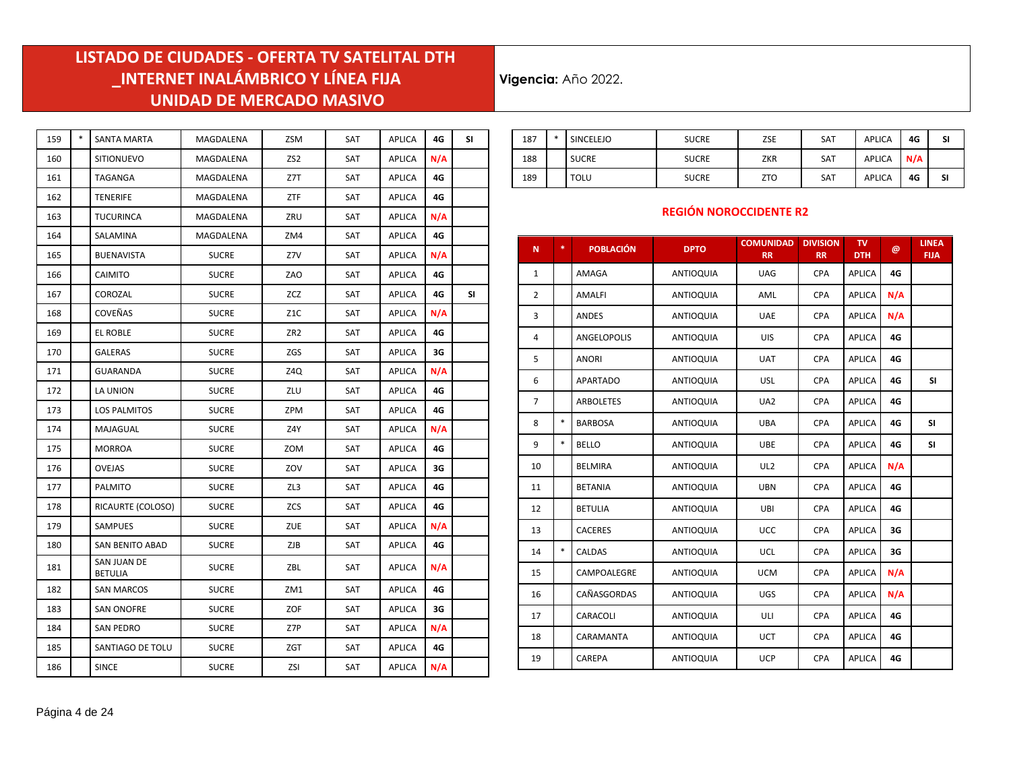**Vigencia:** Año 2022.

| 159 | $\ast$ | <b>SANTA MARTA</b>     | MAGDALENA    | ZSM              | SAT | <b>APLICA</b> | 4G  | SI |
|-----|--------|------------------------|--------------|------------------|-----|---------------|-----|----|
| 160 |        | <b>SITIONUEVO</b>      | MAGDALENA    | ZS <sub>2</sub>  | SAT | <b>APLICA</b> | N/A |    |
| 161 |        | TAGANGA                | MAGDALENA    | Z7T              | SAT | APLICA        | 4G  |    |
| 162 |        | <b>TENERIFE</b>        | MAGDALENA    | ZTF              | SAT | <b>APLICA</b> | 4G  |    |
| 163 |        | <b>TUCURINCA</b>       | MAGDALENA    | ZRU              | SAT | <b>APLICA</b> | N/A |    |
| 164 |        | SALAMINA               | MAGDALENA    | ZM4              | SAT | <b>APLICA</b> | 4G  |    |
| 165 |        | BUENAVISTA             | <b>SUCRE</b> | Z7V              | SAT | APLICA        | N/A |    |
| 166 |        | CAIMITO                | <b>SUCRE</b> | ZAO              | SAT | <b>APLICA</b> | 4G  |    |
| 167 |        | COROZAL                | <b>SUCRE</b> | ZCZ              | SAT | <b>APLICA</b> | 4G  | SI |
| 168 |        | COVEÑAS                | <b>SUCRE</b> | Z <sub>1</sub> C | SAT | APLICA        | N/A |    |
| 169 |        | EL ROBLE               | <b>SUCRE</b> | ZR <sub>2</sub>  | SAT | <b>APLICA</b> | 4G  |    |
| 170 |        | <b>GALERAS</b>         | <b>SUCRE</b> | ZGS              | SAT | <b>APLICA</b> | 3G  |    |
| 171 |        | <b>GUARANDA</b>        | <b>SUCRE</b> | Z4Q              | SAT | <b>APLICA</b> | N/A |    |
| 172 |        | LA UNION               | <b>SUCRE</b> | ZLU              | SAT | <b>APLICA</b> | 4G  |    |
| 173 |        | LOS PALMITOS           | <b>SUCRE</b> | ZPM              | SAT | APLICA        | 4G  |    |
| 174 |        | MAJAGUAL               | <b>SUCRE</b> | Z4Y              | SAT | <b>APLICA</b> | N/A |    |
| 175 |        | MORROA                 | <b>SUCRE</b> | ZOM              | SAT | <b>APLICA</b> | 4G  |    |
| 176 |        | OVEJAS                 | <b>SUCRE</b> | ZOV              | SAT | <b>APLICA</b> | 3G  |    |
| 177 |        | PALMITO                | <b>SUCRE</b> | ZL3              | SAT | <b>APLICA</b> | 4G  |    |
| 178 |        | RICAURTE (COLOSO)      | <b>SUCRE</b> | ZCS              | SAT | <b>APLICA</b> | 4G  |    |
| 179 |        | <b>SAMPUES</b>         | <b>SUCRE</b> | ZUE              | SAT | APLICA        | N/A |    |
| 180 |        | SAN BENITO ABAD        | <b>SUCRE</b> | ZJB              | SAT | <b>APLICA</b> | 4G  |    |
| 181 |        | SAN JUAN DE<br>BETULIA | <b>SUCRE</b> | ZBL              | SAT | <b>APLICA</b> | N/A |    |
| 182 |        | <b>SAN MARCOS</b>      | <b>SUCRE</b> | ZM1              | SAT | APLICA        | 4G  |    |
| 183 |        | SAN ONOFRE             | <b>SUCRE</b> | ZOF              | SAT | APLICA        | 3G  |    |
| 184 |        | <b>SAN PEDRO</b>       | <b>SUCRE</b> | Z7P              | SAT | APLICA        | N/A |    |
| 185 |        | SANTIAGO DE TOLU       | <b>SUCRE</b> | ZGT              | SAT | <b>APLICA</b> | 4G  |    |
| 186 |        | <b>SINCE</b>           | <b>SUCRE</b> | ZSI              | SAT | APLICA        | N/A |    |

| 187 | $\ast$ | SINCELEJO   | <b>SUCRE</b> | ZSE        | <b>SAT</b> | <b>APLICA</b> | 4G  | SI |
|-----|--------|-------------|--------------|------------|------------|---------------|-----|----|
| 188 |        | SUCRE       | <b>SUCRE</b> | <b>ZKR</b> | <b>SAT</b> | <b>APLICA</b> | N/A |    |
| 189 |        | <b>TOLU</b> | <b>SUCRE</b> | <b>ZTO</b> | <b>SAT</b> | <b>APLICA</b> | 4G  | SI |

#### **REGIÓN NOROCCIDENTE R2**

| $\mathbf N$    | * | <b>POBLACIÓN</b> | <b>DPTO</b>      | <b>COMUNIDAD</b><br><b>RR</b> | <b>DIVISION</b><br><b>RR</b> | TV.<br><b>DTH</b> | @   | <b>LINEA</b><br><b>FIJA</b> |
|----------------|---|------------------|------------------|-------------------------------|------------------------------|-------------------|-----|-----------------------------|
| $\mathbf 1$    |   | AMAGA            | <b>ANTIOQUIA</b> | <b>UAG</b>                    | CPA                          | <b>APLICA</b>     | 4G  |                             |
| $\overline{2}$ |   | <b>AMALFI</b>    | <b>ANTIOQUIA</b> | AML                           | <b>CPA</b>                   | <b>APLICA</b>     | N/A |                             |
| 3              |   | <b>ANDES</b>     | <b>ANTIOQUIA</b> | <b>UAE</b>                    | <b>CPA</b>                   | <b>APLICA</b>     | N/A |                             |
| 4              |   | ANGELOPOLIS      | <b>ANTIOQUIA</b> | UIS                           | CPA                          | <b>APLICA</b>     | 4G  |                             |
| 5              |   | <b>ANORI</b>     | <b>ANTIOQUIA</b> | <b>UAT</b>                    | CPA                          | <b>APLICA</b>     | 4G  |                             |
| 6              |   | <b>APARTADO</b>  | <b>ANTIOQUIA</b> | <b>USL</b>                    | CPA                          | <b>APLICA</b>     | 4G  | <b>SI</b>                   |
| $\overline{7}$ |   | <b>ARBOLETES</b> | <b>ANTIOQUIA</b> | UA <sub>2</sub>               | CPA                          | <b>APLICA</b>     | 4G  |                             |
| 8              | * | <b>BARBOSA</b>   | <b>ANTIOQUIA</b> | <b>UBA</b>                    | <b>CPA</b>                   | <b>APLICA</b>     | 4G  | <b>SI</b>                   |
| 9              | * | <b>BELLO</b>     | <b>ANTIOQUIA</b> | <b>UBE</b>                    | <b>CPA</b>                   | <b>APLICA</b>     | 4G  | <b>SI</b>                   |
| 10             |   | <b>BELMIRA</b>   | <b>ANTIOQUIA</b> | UL <sub>2</sub>               | <b>CPA</b>                   | <b>APLICA</b>     | N/A |                             |
| 11             |   | <b>BETANIA</b>   | <b>ANTIOQUIA</b> | <b>UBN</b>                    | CPA                          | <b>APLICA</b>     | 4G  |                             |
| 12             |   | <b>BETULIA</b>   | <b>ANTIOQUIA</b> | UBI                           | CPA                          | <b>APLICA</b>     | 4G  |                             |
| 13             |   | <b>CACERES</b>   | <b>ANTIOQUIA</b> | <b>UCC</b>                    | <b>CPA</b>                   | <b>APLICA</b>     | 3G  |                             |
| 14             | * | <b>CALDAS</b>    | <b>ANTIOQUIA</b> | UCL                           | <b>CPA</b>                   | <b>APLICA</b>     | 3G  |                             |
| 15             |   | CAMPOALEGRE      | <b>ANTIOQUIA</b> | <b>UCM</b>                    | CPA                          | <b>APLICA</b>     | N/A |                             |
| 16             |   | CAÑASGORDAS      | <b>ANTIOQUIA</b> | UGS                           | CPA                          | APLICA            | N/A |                             |
| 17             |   | CARACOLI         | <b>ANTIOQUIA</b> | ULI                           | CPA                          | <b>APLICA</b>     | 4G  |                             |
| 18             |   | CARAMANTA        | <b>ANTIOQUIA</b> | <b>UCT</b>                    | CPA                          | <b>APLICA</b>     | 4G  |                             |
| 19             |   | CAREPA           | <b>ANTIOQUIA</b> | <b>UCP</b>                    | CPA                          | <b>APLICA</b>     | 4G  |                             |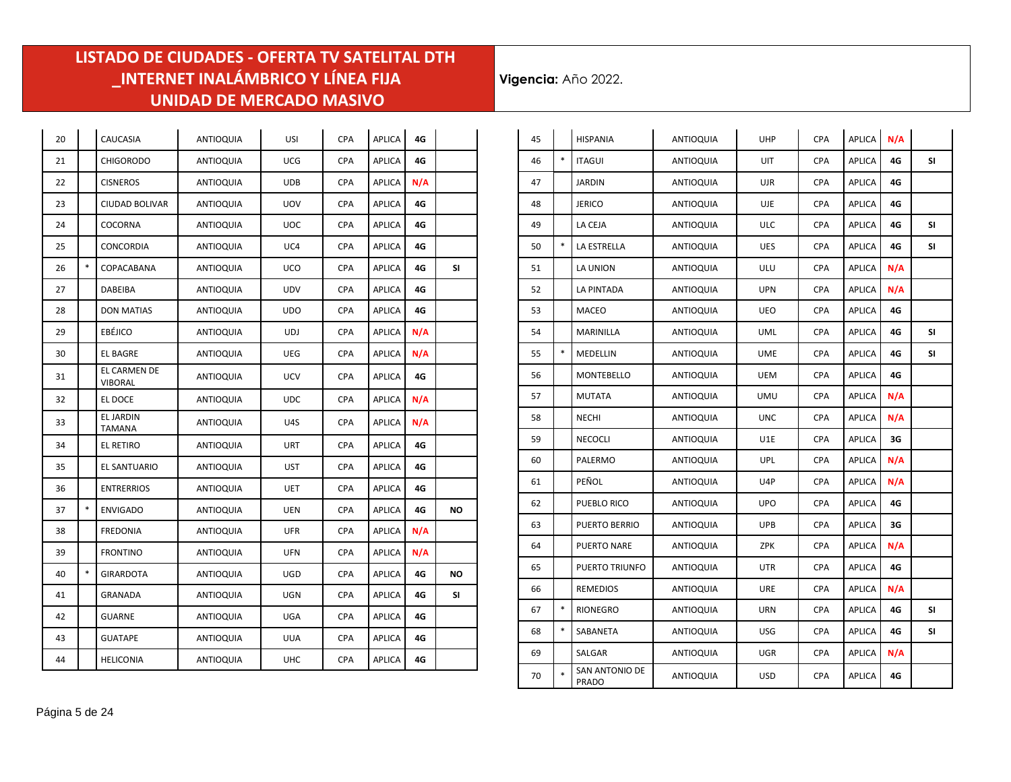÷.

| 20 |        | CAUCASIA                   | ANTIOQUIA        | USI        | <b>CPA</b> | APLICA        | 4G  |           |
|----|--------|----------------------------|------------------|------------|------------|---------------|-----|-----------|
| 21 |        | <b>CHIGORODO</b>           | ANTIOQUIA        | <b>UCG</b> | <b>CPA</b> | <b>APLICA</b> | 4G  |           |
| 22 |        | <b>CISNEROS</b>            | <b>ANTIOQUIA</b> | <b>UDB</b> | <b>CPA</b> | <b>APLICA</b> | N/A |           |
| 23 |        | CIUDAD BOLIVAR             | <b>ANTIOQUIA</b> | UOV        | <b>CPA</b> | APLICA        | 4G  |           |
| 24 |        | COCORNA                    | <b>ANTIOQUIA</b> | <b>UOC</b> | <b>CPA</b> | APLICA        | 4G  |           |
| 25 |        | CONCORDIA                  | <b>ANTIOQUIA</b> | UC4        | <b>CPA</b> | <b>APLICA</b> | 4G  |           |
| 26 | $\ast$ | COPACABANA                 | ANTIOQUIA        | <b>UCO</b> | <b>CPA</b> | <b>APLICA</b> | 4G  | SI        |
| 27 |        | DABEIBA                    | <b>ANTIOQUIA</b> | UDV        | <b>CPA</b> | <b>APLICA</b> | 4G  |           |
| 28 |        | <b>DON MATIAS</b>          | <b>ANTIOQUIA</b> | <b>UDO</b> | <b>CPA</b> | <b>APLICA</b> | 4G  |           |
| 29 |        | EBÉJICO                    | <b>ANTIOQUIA</b> | UDJ        | <b>CPA</b> | APLICA        | N/A |           |
| 30 |        | <b>EL BAGRE</b>            | <b>ANTIOQUIA</b> | UEG        | <b>CPA</b> | <b>APLICA</b> | N/A |           |
| 31 |        | EL CARMEN DE<br>VIBORAL    | <b>ANTIOQUIA</b> | <b>UCV</b> | <b>CPA</b> | <b>APLICA</b> | 4G  |           |
| 32 |        | EL DOCE                    | <b>ANTIOQUIA</b> | <b>UDC</b> | <b>CPA</b> | <b>APLICA</b> | N/A |           |
| 33 |        | <b>EL JARDIN</b><br>TAMANA | <b>ANTIOQUIA</b> | U4S        | <b>CPA</b> | <b>APLICA</b> | N/A |           |
| 34 |        | EL RETIRO                  | <b>ANTIOQUIA</b> | URT        | <b>CPA</b> | <b>APLICA</b> | 4G  |           |
| 35 |        | EL SANTUARIO               | ANTIOQUIA        | <b>UST</b> | <b>CPA</b> | <b>APLICA</b> | 4G  |           |
| 36 |        | <b>ENTRERRIOS</b>          | <b>ANTIOQUIA</b> | <b>UET</b> | <b>CPA</b> | <b>APLICA</b> | 4G  |           |
| 37 | $\ast$ | <b>ENVIGADO</b>            | <b>ANTIOQUIA</b> | <b>UEN</b> | <b>CPA</b> | APLICA        | 4G  | <b>NO</b> |
| 38 |        | <b>FREDONIA</b>            | <b>ANTIOQUIA</b> | <b>UFR</b> | <b>CPA</b> | APLICA        | N/A |           |
| 39 |        | <b>FRONTINO</b>            | <b>ANTIOQUIA</b> | <b>UFN</b> | <b>CPA</b> | <b>APLICA</b> | N/A |           |
| 40 | $\ast$ | <b>GIRARDOTA</b>           | <b>ANTIOQUIA</b> | UGD        | <b>CPA</b> | <b>APLICA</b> | 4G  | ΝO        |
| 41 |        | <b>GRANADA</b>             | ANTIOQUIA        | <b>UGN</b> | <b>CPA</b> | <b>APLICA</b> | 4G  | SI        |
| 42 |        | <b>GUARNE</b>              | <b>ANTIOQUIA</b> | UGA        | <b>CPA</b> | <b>APLICA</b> | 4G  |           |
| 43 |        | <b>GUATAPE</b>             | <b>ANTIOQUIA</b> | <b>UUA</b> | CPA        | <b>APLICA</b> | 4G  |           |
| 44 |        | <b>HELICONIA</b>           | <b>ANTIOQUIA</b> | <b>UHC</b> | <b>CPA</b> | <b>APLICA</b> | 4G  |           |

| 45 |        | <b>HISPANIA</b>                | ANTIOQUIA        | <b>UHP</b> | CPA        | APLICA        | N/A |     |
|----|--------|--------------------------------|------------------|------------|------------|---------------|-----|-----|
| 46 | $\ast$ | <b>ITAGUI</b>                  | ANTIOQUIA        | UIT        | CPA        | APLICA        | 4G  | SI  |
| 47 |        | <b>JARDIN</b>                  | <b>ANTIOQUIA</b> | <b>UJR</b> | CPA        | APLICA        | 4G  |     |
| 48 |        | <b>JERICO</b>                  | <b>ANTIOQUIA</b> | <b>UJE</b> | CPA        | APLICA        | 4G  |     |
| 49 |        | LA CEJA                        | <b>ANTIOQUIA</b> | <b>ULC</b> | <b>CPA</b> | APLICA        | 4G  | SI. |
| 50 | $\ast$ | LA ESTRELLA                    | ANTIOQUIA        | <b>UES</b> | <b>CPA</b> | APLICA        | 4G  | SI  |
| 51 |        | LA UNION                       | ANTIOQUIA        | <b>ULU</b> | <b>CPA</b> | <b>APLICA</b> | N/A |     |
| 52 |        | LA PINTADA                     | ANTIOQUIA        | <b>UPN</b> | CPA        | APLICA        | N/A |     |
| 53 |        | MACEO                          | ANTIOQUIA        | <b>UEO</b> | <b>CPA</b> | <b>APLICA</b> | 4G  |     |
| 54 |        | MARINILLA                      | ANTIOQUIA        | <b>UML</b> | CPA        | APLICA        | 4G  | SI  |
| 55 | $\ast$ | MEDELLIN                       | ANTIOQUIA        | <b>UME</b> | <b>CPA</b> | APLICA        | 4G  | SΙ  |
| 56 |        | MONTEBELLO                     | ANTIOQUIA        | <b>UEM</b> | <b>CPA</b> | APLICA        | 4G  |     |
| 57 |        | <b>MUTATA</b>                  | ANTIOQUIA        | UMU        | CPA        | <b>APLICA</b> | N/A |     |
| 58 |        | NECHI                          | ANTIOQUIA        | <b>UNC</b> | <b>CPA</b> | <b>APLICA</b> | N/A |     |
| 59 |        | <b>NECOCLI</b>                 | ANTIOQUIA        | U1E        | <b>CPA</b> | <b>APLICA</b> | 3G  |     |
| 60 |        | PALERMO                        | ANTIOQUIA        | UPL        | <b>CPA</b> | APLICA        | N/A |     |
| 61 |        | PEÑOL                          | ANTIOQUIA        | U4P        | CPA        | APLICA        | N/A |     |
| 62 |        | PUEBLO RICO                    | ANTIOQUIA        | <b>UPO</b> | <b>CPA</b> | <b>APLICA</b> | 4G  |     |
| 63 |        | PUERTO BERRIO                  | ANTIOQUIA        | <b>UPB</b> | <b>CPA</b> | APLICA        | 3G  |     |
| 64 |        | <b>PUERTO NARE</b>             | ANTIOQUIA        | ZPK        | CPA        | APLICA        | N/A |     |
| 65 |        | PUERTO TRIUNFO                 | ANTIOQUIA        | UTR        | CPA        | APLICA        | 4G  |     |
| 66 |        | <b>REMEDIOS</b>                | ANTIOQUIA        | <b>URE</b> | <b>CPA</b> | APLICA        | N/A |     |
| 67 | $\ast$ | <b>RIONEGRO</b>                | ANTIOQUIA        | URN        | <b>CPA</b> | APLICA        | 4G  | SI  |
| 68 | $\ast$ | SABANETA                       | ANTIOQUIA        | <b>USG</b> | CPA        | APLICA        | 4G  | SI  |
| 69 |        | SALGAR                         | <b>ANTIOQUIA</b> | <b>UGR</b> | <b>CPA</b> | <b>APLICA</b> | N/A |     |
| 70 | $\ast$ | SAN ANTONIO DE<br><b>PRADO</b> | <b>ANTIOQUIA</b> | <b>USD</b> | CPA        | APLICA        | 4G  |     |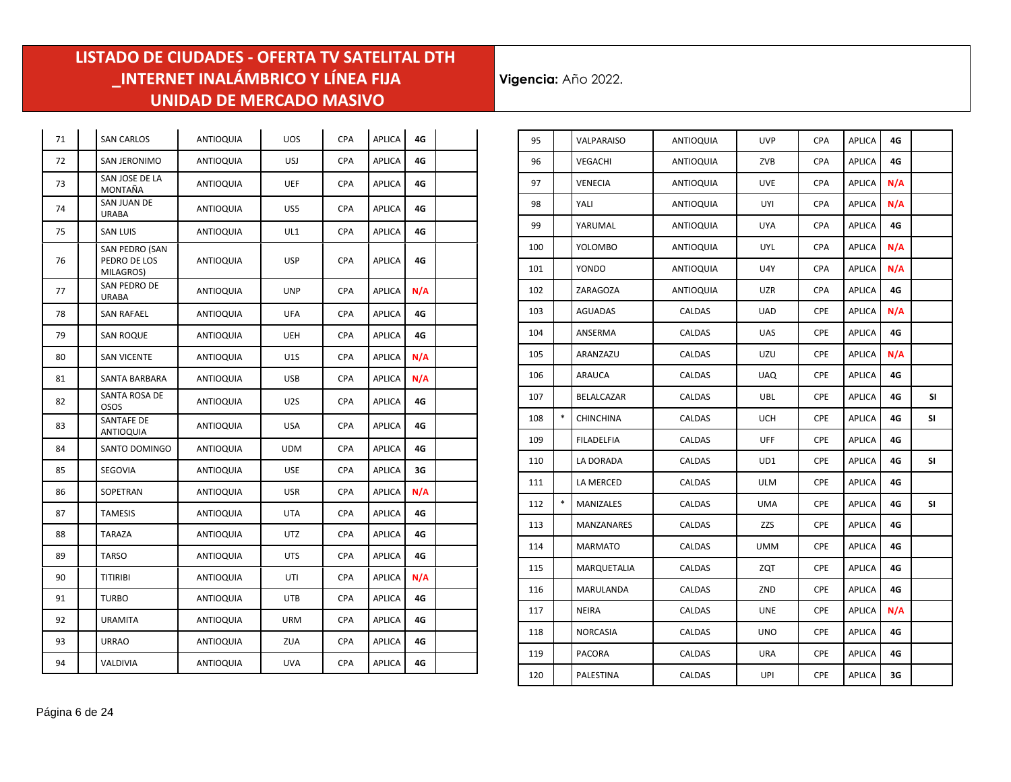÷.

 $\mathbb{R}^2$ 

| 71 | <b>SAN CARLOS</b>                           | ANTIOQUIA        | <b>UOS</b>       | <b>CPA</b> | APLICA        | 4G  |  |
|----|---------------------------------------------|------------------|------------------|------------|---------------|-----|--|
| 72 | SAN JERONIMO                                | <b>ANTIOQUIA</b> | <b>USJ</b>       | <b>CPA</b> | <b>APLICA</b> | 4G  |  |
| 73 | SAN JOSE DE LA<br>MONTAÑA                   | <b>ANTIOQUIA</b> | <b>UEF</b>       | CPA        | <b>APLICA</b> | 4G  |  |
| 74 | SAN JUAN DE<br><b>URABA</b>                 | <b>ANTIOQUIA</b> | US5              | <b>CPA</b> | <b>APLICA</b> | 4G  |  |
| 75 | <b>SAN LUIS</b>                             | ANTIOQUIA        | UL1              | <b>CPA</b> | <b>APLICA</b> | 4G  |  |
| 76 | SAN PEDRO (SAN<br>PEDRO DE LOS<br>MILAGROS) | <b>ANTIOQUIA</b> | <b>USP</b>       | <b>CPA</b> | <b>APLICA</b> | 4G  |  |
| 77 | SAN PEDRO DE<br><b>URABA</b>                | <b>ANTIOQUIA</b> | <b>UNP</b>       | <b>CPA</b> | <b>APLICA</b> | N/A |  |
| 78 | <b>SAN RAFAEL</b>                           | <b>ANTIOQUIA</b> | <b>UFA</b>       | CPA        | APLICA        | 4G  |  |
| 79 | <b>SAN ROQUE</b>                            | <b>ANTIOQUIA</b> | <b>UEH</b>       | <b>CPA</b> | <b>APLICA</b> | 4G  |  |
| 80 | <b>SAN VICENTE</b>                          | <b>ANTIOQUIA</b> | U1S              | CPA        | <b>APLICA</b> | N/A |  |
| 81 | <b>SANTA BARBARA</b>                        | <b>ANTIOQUIA</b> | <b>USB</b>       | <b>CPA</b> | <b>APLICA</b> | N/A |  |
| 82 | SANTA ROSA DE<br><b>OSOS</b>                | <b>ANTIOQUIA</b> | U <sub>2</sub> S | CPA        | APLICA        | 4G  |  |
| 83 | SANTAFE DE<br><b>ANTIOQUIA</b>              | <b>ANTIOQUIA</b> | <b>USA</b>       | <b>CPA</b> | <b>APLICA</b> | 4G  |  |
| 84 | SANTO DOMINGO                               | <b>ANTIOQUIA</b> | <b>UDM</b>       | <b>CPA</b> | <b>APLICA</b> | 4G  |  |
| 85 | SEGOVIA                                     | <b>ANTIOQUIA</b> | <b>USE</b>       | <b>CPA</b> | <b>APLICA</b> | 3G  |  |
| 86 | SOPETRAN                                    | <b>ANTIOQUIA</b> | <b>USR</b>       | <b>CPA</b> | <b>APLICA</b> | N/A |  |
| 87 | <b>TAMESIS</b>                              | ANTIOQUIA        | <b>UTA</b>       | <b>CPA</b> | <b>APLICA</b> | 4G  |  |
| 88 | <b>TARAZA</b>                               | <b>ANTIOQUIA</b> | UTZ              | <b>CPA</b> | <b>APLICA</b> | 4G  |  |
| 89 | <b>TARSO</b>                                | <b>ANTIOQUIA</b> | <b>UTS</b>       | <b>CPA</b> | <b>APLICA</b> | 4G  |  |
| 90 | <b>TITIRIBI</b>                             | <b>ANTIOQUIA</b> | UTI              | <b>CPA</b> | <b>APLICA</b> | N/A |  |
| 91 | <b>TURBO</b>                                | <b>ANTIOQUIA</b> | <b>UTB</b>       | CPA        | <b>APLICA</b> | 4G  |  |
| 92 | <b>URAMITA</b>                              | <b>ANTIOQUIA</b> | <b>URM</b>       | <b>CPA</b> | <b>APLICA</b> | 4G  |  |
| 93 | <b>URRAO</b>                                | <b>ANTIOQUIA</b> | ZUA              | CPA        | <b>APLICA</b> | 4G  |  |
| 94 | VALDIVIA                                    | <b>ANTIOQUIA</b> | <b>UVA</b>       | CPA        | <b>APLICA</b> | 4G  |  |

| 95  |        | VALPARAISO       | ANTIOQUIA        | <b>UVP</b> | <b>CPA</b> | <b>APLICA</b> | 4G  |    |
|-----|--------|------------------|------------------|------------|------------|---------------|-----|----|
| 96  |        | VEGACHI          | ANTIOQUIA        | ZVB        | <b>CPA</b> | <b>APLICA</b> | 4G  |    |
| 97  |        | VENECIA          | ANTIOQUIA        | <b>UVE</b> | CPA        | <b>APLICA</b> | N/A |    |
| 98  |        | YALI             | ANTIOQUIA        | UYI        | <b>CPA</b> | APLICA        | N/A |    |
| 99  |        | YARUMAL          | ANTIOQUIA        | <b>UYA</b> | CPA        | APLICA        | 4G  |    |
| 100 |        | YOLOMBO          | ANTIOQUIA        | <b>UYL</b> | <b>CPA</b> | <b>APLICA</b> | N/A |    |
| 101 |        | YONDO            | <b>ANTIOQUIA</b> | U4Y        | <b>CPA</b> | APLICA        | N/A |    |
| 102 |        | ZARAGOZA         | ANTIOQUIA        | UZR        | <b>CPA</b> | APLICA        | 4G  |    |
| 103 |        | AGUADAS          | CALDAS           | UAD        | CPE        | <b>APLICA</b> | N/A |    |
| 104 |        | ANSERMA          | CALDAS           | UAS        | <b>CPE</b> | APLICA        | 4G  |    |
| 105 |        | ARANZAZU         | CALDAS           | UZU        | CPE        | <b>APLICA</b> | N/A |    |
| 106 |        | ARAUCA           | CALDAS           | <b>UAQ</b> | CPE        | <b>APLICA</b> | 4G  |    |
| 107 |        | BELALCAZAR       | CALDAS           | <b>UBL</b> | CPE        | APLICA        | 4G  | SI |
| 108 | $\ast$ | <b>CHINCHINA</b> | CALDAS           | UCH        | <b>CPE</b> | <b>APLICA</b> | 4G  | SΙ |
| 109 |        | FILADELFIA       | CALDAS           | <b>UFF</b> | CPE        | <b>APLICA</b> | 4G  |    |
| 110 |        | LA DORADA        | CALDAS           | UD1        | <b>CPE</b> | <b>APLICA</b> | 4G  | SI |
| 111 |        | LA MERCED        | CALDAS           | ULM        | CPE        | APLICA        | 4G  |    |
| 112 | $\ast$ | MANIZALES        | CALDAS           | <b>UMA</b> | CPE        | <b>APLICA</b> | 4G  | SI |
| 113 |        | MANZANARES       | CALDAS           | ZZS        | CPE        | <b>APLICA</b> | 4G  |    |
| 114 |        | MARMATO          | CALDAS           | UMM        | CPE        | APLICA        | 4G  |    |
| 115 |        | MARQUETALIA      | CALDAS           | ZQT        | CPE        | APLICA        | 4G  |    |
| 116 |        | MARULANDA        | CALDAS           | ZND        | CPE        | APLICA        | 4G  |    |
| 117 |        | NEIRA            | CALDAS           | <b>UNE</b> | <b>CPE</b> | <b>APLICA</b> | N/A |    |
| 118 |        | NORCASIA         | CALDAS           | UNO        | CPE        | APLICA        | 4G  |    |
| 119 |        | PACORA           | CALDAS           | URA        | <b>CPE</b> | <b>APLICA</b> | 4G  |    |
| 120 |        | PALESTINA        | CALDAS           | UPI        | CPE        | APLICA        | 3G  |    |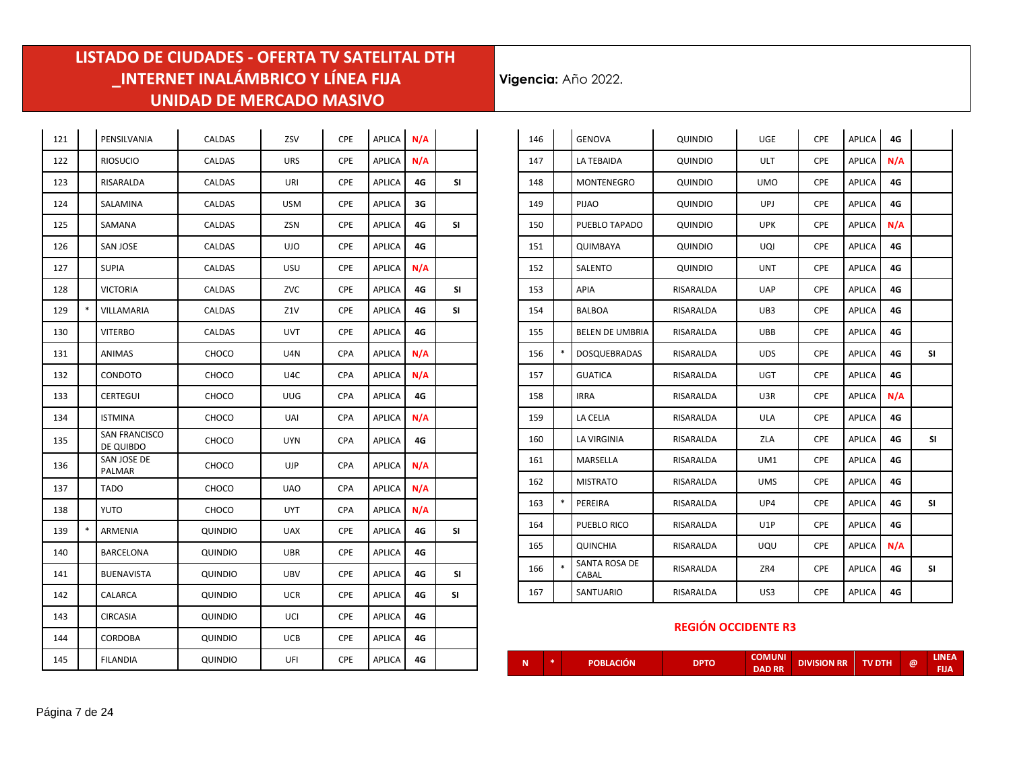**Vigencia:** Año 2022.

| 121 |        | PENSILVANIA                | CALDAS  | ZSV        | CPE        | APLICA        | N/A |           |
|-----|--------|----------------------------|---------|------------|------------|---------------|-----|-----------|
| 122 |        | <b>RIOSUCIO</b>            | CALDAS  | <b>URS</b> | <b>CPE</b> | <b>APLICA</b> | N/A |           |
| 123 |        | RISARALDA                  | CALDAS  | URI        | <b>CPE</b> | <b>APLICA</b> | 4G  | SI        |
| 124 |        | SALAMINA                   | CALDAS  | <b>USM</b> | <b>CPE</b> | <b>APLICA</b> | 3G  |           |
| 125 |        | SAMANA                     | CALDAS  | ZSN        | <b>CPE</b> | <b>APLICA</b> | 4G  | SI        |
| 126 |        | <b>SAN JOSE</b>            | CALDAS  | <b>UJO</b> | <b>CPE</b> | <b>APLICA</b> | 4G  |           |
| 127 |        | <b>SUPIA</b>               | CALDAS  | USU        | CPE        | <b>APLICA</b> | N/A |           |
| 128 |        | <b>VICTORIA</b>            | CALDAS  | ZVC        | CPE        | <b>APLICA</b> | 4G  | <b>SI</b> |
| 129 | $\ast$ | VILLAMARIA                 | CALDAS  | Z1V        | CPE        | <b>APLICA</b> | 4G  | SI        |
| 130 |        | <b>VITERBO</b>             | CALDAS  | <b>UVT</b> | <b>CPE</b> | <b>APLICA</b> | 4G  |           |
| 131 |        | ANIMAS                     | CHOCO   | U4N        | CPA        | <b>APLICA</b> | N/A |           |
| 132 |        | CONDOTO                    | CHOCO   | U4C        | <b>CPA</b> | <b>APLICA</b> | N/A |           |
| 133 |        | CERTEGUI                   | CHOCO   | <b>UUG</b> | <b>CPA</b> | APLICA        | 4G  |           |
| 134 |        | <b>ISTMINA</b>             | CHOCO   | UAI        | <b>CPA</b> | <b>APLICA</b> | N/A |           |
| 135 |        | SAN FRANCISCO<br>DE QUIBDO | CHOCO   | <b>UYN</b> | <b>CPA</b> | APLICA        | 4G  |           |
| 136 |        | SAN JOSE DE<br>PALMAR      | CHOCO   | UJP        | <b>CPA</b> | <b>APLICA</b> | N/A |           |
| 137 |        | <b>TADO</b>                | CHOCO   | <b>UAO</b> | <b>CPA</b> | <b>APLICA</b> | N/A |           |
| 138 |        | <b>YUTO</b>                | CHOCO   | <b>UYT</b> | CPA        | <b>APLICA</b> | N/A |           |
| 139 | $\ast$ | ARMENIA                    | QUINDIO | <b>UAX</b> | <b>CPE</b> | APLICA        | 4G  | SI        |
| 140 |        | BARCELONA                  | QUINDIO | UBR        | <b>CPE</b> | <b>APLICA</b> | 4G  |           |
| 141 |        | <b>BUENAVISTA</b>          | QUINDIO | UBV        | <b>CPE</b> | <b>APLICA</b> | 4G  | SI.       |
| 142 |        | CALARCA                    | QUINDIO | UCR        | CPE        | <b>APLICA</b> | 4G  | SΙ        |
| 143 |        | CIRCASIA                   | QUINDIO | UCI        | <b>CPE</b> | <b>APLICA</b> | 4G  |           |
| 144 |        | CORDOBA                    | QUINDIO | UCB        | CPE        | <b>APLICA</b> | 4G  |           |
| 145 |        | <b>FILANDIA</b>            | QUINDIO | UFI        | <b>CPE</b> | APLICA        | 4G  |           |

| 146 |        | <b>GENOVA</b>          | QUINDIO   | UGE        | CPE        | APLICA        | 4G  |           |
|-----|--------|------------------------|-----------|------------|------------|---------------|-----|-----------|
| 147 |        | LA TEBAIDA             | QUINDIO   | <b>ULT</b> | <b>CPE</b> | APLICA        | N/A |           |
| 148 |        | MONTENEGRO             | QUINDIO   | <b>UMO</b> | CPE        | <b>APLICA</b> | 4G  |           |
| 149 |        | PIJAO                  | QUINDIO   | UPJ        | <b>CPE</b> | APLICA        | 4G  |           |
| 150 |        | PUEBLO TAPADO          | QUINDIO   | <b>UPK</b> | <b>CPE</b> | APLICA        | N/A |           |
| 151 |        | QUIMBAYA               | QUINDIO   | UQI        | CPE        | APLICA        | 4G  |           |
| 152 |        | SALENTO                | QUINDIO   | <b>UNT</b> | <b>CPE</b> | <b>APLICA</b> | 4G  |           |
| 153 |        | <b>APIA</b>            | RISARALDA | <b>UAP</b> | <b>CPE</b> | APLICA        | 4G  |           |
| 154 |        | <b>BALBOA</b>          | RISARALDA | UB3        | CPE        | <b>APLICA</b> | 4G  |           |
| 155 |        | <b>BELEN DE UMBRIA</b> | RISARALDA | <b>UBB</b> | <b>CPE</b> | <b>APLICA</b> | 4G  |           |
| 156 | $\ast$ | <b>DOSQUEBRADAS</b>    | RISARALDA | <b>UDS</b> | <b>CPE</b> | APLICA        | 4G  | <b>SI</b> |
| 157 |        | GUATICA                | RISARALDA | UGT        | CPE        | APLICA        | 4G  |           |
| 158 |        | <b>IRRA</b>            | RISARALDA | U3R        | <b>CPE</b> | APLICA        | N/A |           |
| 159 |        | LA CELIA               | RISARALDA | <b>ULA</b> | CPE        | <b>APLICA</b> | 4G  |           |
| 160 |        | LA VIRGINIA            | RISARALDA | ZLA        | CPE        | APLICA        | 4G  | SI        |
| 161 |        | MARSELLA               | RISARALDA | UM1        | <b>CPE</b> | APLICA        | 4G  |           |
| 162 |        | <b>MISTRATO</b>        | RISARALDA | <b>UMS</b> | <b>CPE</b> | APLICA        | 4G  |           |
| 163 | $\ast$ | PEREIRA                | RISARALDA | UP4        | <b>CPE</b> | <b>APLICA</b> | 4G  | SΙ        |
| 164 |        | PUEBLO RICO            | RISARALDA | U1P        | <b>CPE</b> | APLICA        | 4G  |           |
| 165 |        | QUINCHIA               | RISARALDA | UQU        | CPE        | APLICA        | N/A |           |
| 166 | $\ast$ | SANTA ROSA DE<br>CABAL | RISARALDA | ZR4        | <b>CPE</b> | APLICA        | 4G  | <b>SI</b> |
| 167 |        | SANTUARIO              | RISARALDA | US3        | <b>CPE</b> | APLICA        | 4G  |           |

#### **REGIÓN OCCIDENTE R3**

|  |  | ek. | POBLACIÓN | <b>DPTO</b> | <b>COMUNI</b><br><b>DAD RR</b> | <b>DIVISION RR</b> | <b>TV DTH</b> | $\omega$ | ZINEAZ<br>FIJA |
|--|--|-----|-----------|-------------|--------------------------------|--------------------|---------------|----------|----------------|
|--|--|-----|-----------|-------------|--------------------------------|--------------------|---------------|----------|----------------|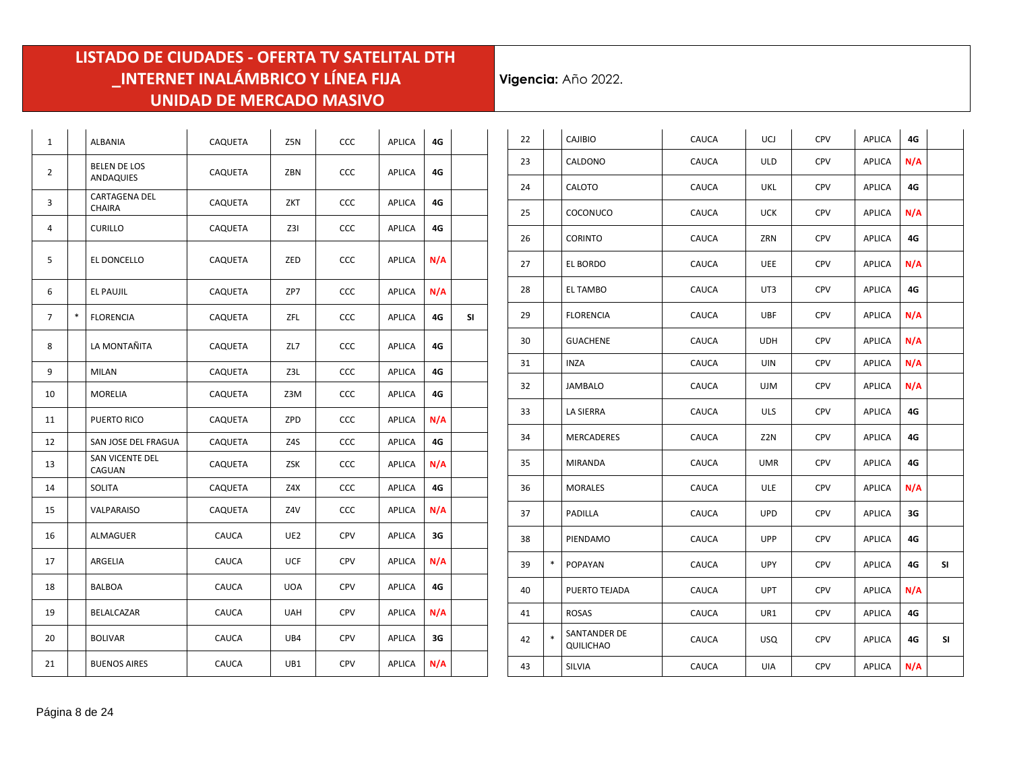| $\mathbf{1}$   |   | ALBANIA                          | CAQUETA      | Z5N        | CCC        | <b>APLICA</b> | 4G  |    |
|----------------|---|----------------------------------|--------------|------------|------------|---------------|-----|----|
| 2              |   | <b>BELEN DE LOS</b><br>ANDAQUIES | CAQUETA      | ZBN        | <b>CCC</b> | APLICA        | 4G  |    |
| 3              |   | CARTAGENA DEL<br>CHAIRA          | CAQUETA      | ZKT        | <b>CCC</b> | <b>APLICA</b> | 4G  |    |
| 4              |   | <b>CURILLO</b>                   | CAQUETA      | Z3I        | <b>CCC</b> | <b>APLICA</b> | 4G  |    |
| 5              |   | EL DONCELLO                      | CAQUETA      | ZED        | <b>CCC</b> | APLICA        | N/A |    |
| 6              |   | EL PAUJIL                        | CAQUETA      | ZP7        | <b>CCC</b> | <b>APLICA</b> | N/A |    |
| $\overline{7}$ | * | <b>FLORENCIA</b>                 | CAQUETA      | ZFL        | <b>CCC</b> | <b>APLICA</b> | 4G  | SI |
| 8              |   | LA MONTAÑITA                     | CAQUETA      | ZL7        | CCC        | APLICA        | 4G  |    |
| 9              |   | <b>MILAN</b>                     | CAQUETA      | Z3L        | CCC        | APLICA        | 4G  |    |
| 10             |   | MORELIA                          | CAQUETA      | Z3M        | <b>CCC</b> | APLICA        | 4G  |    |
| 11             |   | PUERTO RICO                      | CAQUETA      | ZPD        | <b>CCC</b> | <b>APLICA</b> | N/A |    |
| 12             |   | SAN JOSE DEL FRAGUA              | CAQUETA      | Z4S        | <b>CCC</b> | <b>APLICA</b> | 4G  |    |
| 13             |   | SAN VICENTE DEL<br>CAGUAN        | CAQUETA      | ZSK        | <b>CCC</b> | <b>APLICA</b> | N/A |    |
| 14             |   | SOLITA                           | CAQUETA      | Z4X        | CCC        | APLICA        | 4G  |    |
| 15             |   | VALPARAISO                       | CAQUETA      | Z4V        | <b>CCC</b> | APLICA        | N/A |    |
| 16             |   | ALMAGUER                         | <b>CAUCA</b> | UE2        | <b>CPV</b> | <b>APLICA</b> | 3G  |    |
| 17             |   | ARGELIA                          | <b>CAUCA</b> | <b>UCF</b> | <b>CPV</b> | <b>APLICA</b> | N/A |    |
| 18             |   | <b>BALBOA</b>                    | CAUCA        | <b>UOA</b> | <b>CPV</b> | <b>APLICA</b> | 4G  |    |
| 19             |   | BELALCAZAR                       | CAUCA        | <b>UAH</b> | <b>CPV</b> | <b>APLICA</b> | N/A |    |
| 20             |   | <b>BOLIVAR</b>                   | CAUCA        | UB4        | <b>CPV</b> | <b>APLICA</b> | 3G  |    |
| 21             |   | <b>BUENOS AIRES</b>              | CAUCA        | UB1        | <b>CPV</b> | <b>APLICA</b> | N/A |    |

| 22 |        | CAJIBIO                   | CAUCA | UCJ        | <b>CPV</b> | APLICA        | 4G  |    |
|----|--------|---------------------------|-------|------------|------------|---------------|-----|----|
| 23 |        | CALDONO                   | CAUCA | <b>ULD</b> | <b>CPV</b> | APLICA        | N/A |    |
| 24 |        | CALOTO                    | CAUCA | UKL        | CPV        | APLICA        | 4G  |    |
| 25 |        | COCONUCO                  | CAUCA | <b>UCK</b> | CPV        | APLICA        | N/A |    |
| 26 |        | <b>CORINTO</b>            | CAUCA | ZRN        | <b>CPV</b> | APLICA        | 4G  |    |
| 27 |        | EL BORDO                  | CAUCA | <b>UEE</b> | CPV        | APLICA        | N/A |    |
| 28 |        | EL TAMBO                  | CAUCA | UT3        | CPV        | APLICA        | 4G  |    |
| 29 |        | <b>FLORENCIA</b>          | CAUCA | <b>UBF</b> | <b>CPV</b> | APLICA        | N/A |    |
| 30 |        | <b>GUACHENE</b>           | CAUCA | <b>UDH</b> | <b>CPV</b> | APLICA        | N/A |    |
| 31 |        | INZA                      | CAUCA | UIN        | <b>CPV</b> | APLICA        | N/A |    |
| 32 |        | JAMBALO                   | CAUCA | <b>UJM</b> | CPV        | APLICA        | N/A |    |
| 33 |        | LA SIERRA                 | CAUCA | <b>ULS</b> | CPV        | APLICA        | 4G  |    |
| 34 |        | MERCADERES                | CAUCA | Z2N        | <b>CPV</b> | APLICA        | 4G  |    |
| 35 |        | MIRANDA                   | CAUCA | <b>UMR</b> | <b>CPV</b> | APLICA        | 4G  |    |
| 36 |        | <b>MORALES</b>            | CAUCA | ULE        | CPV        | APLICA        | N/A |    |
| 37 |        | PADILLA                   | CAUCA | <b>UPD</b> | CPV        | APLICA        | 3G  |    |
| 38 |        | PIENDAMO                  | CAUCA | <b>UPP</b> | <b>CPV</b> | APLICA        | 4G  |    |
| 39 | $\ast$ | POPAYAN                   | CAUCA | <b>UPY</b> | <b>CPV</b> | APLICA        | 4G  | SI |
| 40 |        | PUERTO TEJADA             | CAUCA | <b>UPT</b> | <b>CPV</b> | APLICA        | N/A |    |
| 41 |        | <b>ROSAS</b>              | CAUCA | UR1        | <b>CPV</b> | APLICA        | 4G  |    |
| 42 | $\ast$ | SANTANDER DE<br>QUILICHAO | CAUCA | <b>USQ</b> | <b>CPV</b> | <b>APLICA</b> | 4G  | SI |
| 43 |        | SILVIA                    | CAUCA | UIA        | CPV        | APLICA        | N/A |    |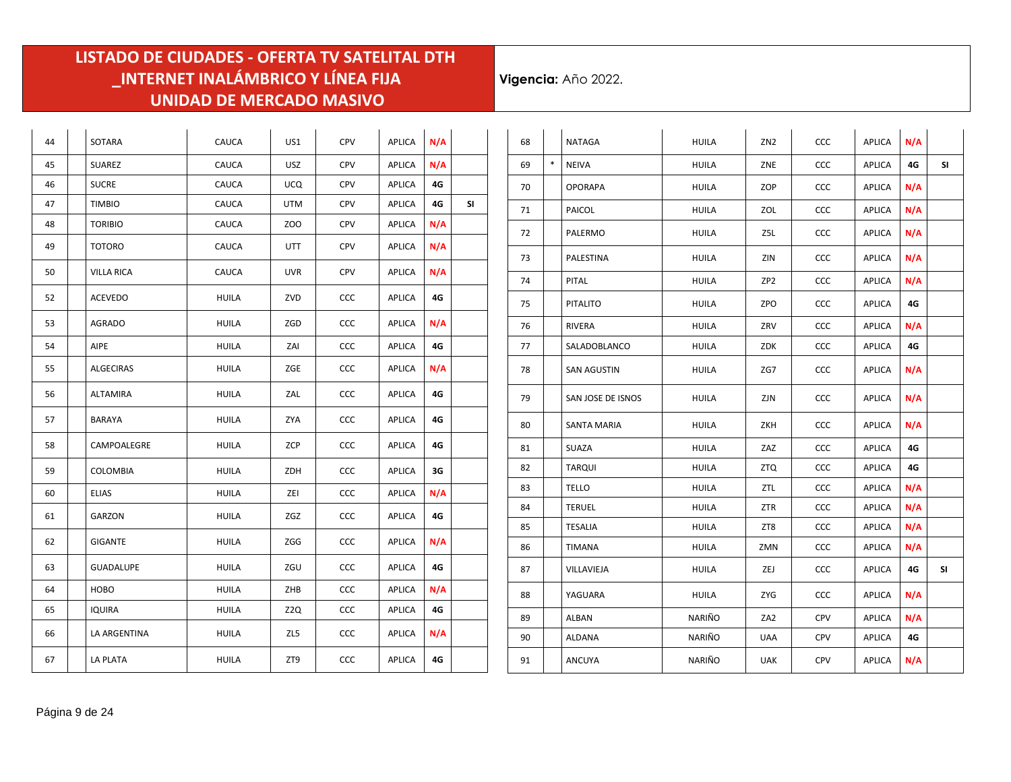| 44 | SOTARA            | CAUCA        | US1        | CPV        | APLICA        | N/A |    |
|----|-------------------|--------------|------------|------------|---------------|-----|----|
| 45 | SUAREZ            | <b>CAUCA</b> | USZ        | CPV        | APLICA        | N/A |    |
| 46 | <b>SUCRE</b>      | <b>CAUCA</b> | <b>UCQ</b> | <b>CPV</b> | <b>APLICA</b> | 4G  |    |
| 47 | <b>TIMBIO</b>     | CAUCA        | <b>UTM</b> | <b>CPV</b> | APLICA        | 4G  | SI |
| 48 | <b>TORIBIO</b>    | CAUCA        | ZOO        | <b>CPV</b> | APLICA        | N/A |    |
| 49 | <b>TOTORO</b>     | CAUCA        | UTT        | <b>CPV</b> | APLICA        | N/A |    |
| 50 | <b>VILLA RICA</b> | CAUCA        | <b>UVR</b> | CPV        | APLICA        | N/A |    |
| 52 | ACEVEDO           | <b>HUILA</b> | ZVD        | CCC        | APLICA        | 4G  |    |
| 53 | AGRADO            | <b>HUILA</b> | ZGD        | CCC        | APLICA        | N/A |    |
| 54 | AIPE              | <b>HUILA</b> | ZAI        | CCC        | <b>APLICA</b> | 4G  |    |
| 55 | <b>ALGECIRAS</b>  | <b>HUILA</b> | ZGE        | CCC        | APLICA        | N/A |    |
| 56 | <b>ALTAMIRA</b>   | <b>HUILA</b> | ZAL        | CCC        | APLICA        | 4G  |    |
| 57 | BARAYA            | <b>HUILA</b> | ZYA        | <b>CCC</b> | APLICA        | 4G  |    |
| 58 | CAMPOALEGRE       | HUILA        | ZCP        | CCC        | APLICA        | 4G  |    |
| 59 | <b>COLOMBIA</b>   | <b>HUILA</b> | ZDH        | CCC        | <b>APLICA</b> | 3G  |    |
| 60 | <b>ELIAS</b>      | <b>HUILA</b> | ZEI        | CCC        | APLICA        | N/A |    |
| 61 | GARZON            | <b>HUILA</b> | ZGZ        | CCC        | APLICA        | 4G  |    |
| 62 | GIGANTE           | HUILA        | ZGG        | CCC        | APLICA        | N/A |    |
| 63 | <b>GUADALUPE</b>  | <b>HUILA</b> | ZGU        | CCC        | APLICA        | 4G  |    |
| 64 | HOBO              | <b>HUILA</b> | ZHB        | <b>CCC</b> | APLICA        | N/A |    |
| 65 | <b>IQUIRA</b>     | <b>HUILA</b> | Z2Q        | CCC        | APLICA        | 4G  |    |
| 66 | LA ARGENTINA      | <b>HUILA</b> | ZL5        | CCC        | APLICA        | N/A |    |
| 67 | <b>LA PLATA</b>   | <b>HUILA</b> | ZT9        | CCC        | APLICA        | 4G  |    |

| 68 |        | <b>NATAGA</b>      | <b>HUILA</b> | ZN <sub>2</sub> | ccc        | APLICA | N/A |    |
|----|--------|--------------------|--------------|-----------------|------------|--------|-----|----|
| 69 | $\ast$ | NEIVA              | <b>HUILA</b> | ZNE             | ccc        | APLICA | 4G  | SI |
| 70 |        | <b>OPORAPA</b>     | <b>HUILA</b> | ZOP             | ccc        | APLICA | N/A |    |
| 71 |        | <b>PAICOL</b>      | <b>HUILA</b> | ZOL             | <b>CCC</b> | APLICA | N/A |    |
| 72 |        | PALERMO            | <b>HUILA</b> | Z5L             | ccc        | APLICA | N/A |    |
| 73 |        | PALESTINA          | <b>HUILA</b> | ZIN             | ccc        | APLICA | N/A |    |
| 74 |        | PITAL              | <b>HUILA</b> | ZP <sub>2</sub> | CCC        | APLICA | N/A |    |
| 75 |        | <b>PITALITO</b>    | <b>HUILA</b> | ZPO             | ccc        | APLICA | 4G  |    |
| 76 |        | <b>RIVERA</b>      | <b>HUILA</b> | ZRV             | CCC        | APLICA | N/A |    |
| 77 |        | SALADOBLANCO       | <b>HUILA</b> | ZDK             | <b>CCC</b> | APLICA | 4G  |    |
| 78 |        | <b>SAN AGUSTIN</b> | <b>HUILA</b> | ZG7             | CCC        | APLICA | N/A |    |
| 79 |        | SAN JOSE DE ISNOS  | <b>HUILA</b> | ZJN             | CCC        | APLICA | N/A |    |
| 80 |        | SANTA MARIA        | <b>HUILA</b> | ZKH             | ccc        | APLICA | N/A |    |
| 81 |        | SUAZA              | <b>HUILA</b> | ZAZ             | CCC        | APLICA | 4G  |    |
| 82 |        | <b>TARQUI</b>      | <b>HUILA</b> | <b>ZTQ</b>      | CCC        | APLICA | 4G  |    |
| 83 |        | TELLO              | <b>HUILA</b> | ZTL             | <b>CCC</b> | APLICA | N/A |    |
| 84 |        | <b>TERUEL</b>      | HUILA        | ZTR             | <b>CCC</b> | APLICA | N/A |    |
| 85 |        | <b>TESALIA</b>     | <b>HUILA</b> | ZT8             | CCC        | APLICA | N/A |    |
| 86 |        | TIMANA             | <b>HUILA</b> | ZMN             | ccc        | APLICA | N/A |    |
| 87 |        | VILLAVIEJA         | <b>HUILA</b> | ZEJ             | CCC        | APLICA | 4G  | SI |
| 88 |        | YAGUARA            | <b>HUILA</b> | ZYG             | ccc        | APLICA | N/A |    |
| 89 |        | ALBAN              | NARIÑO       | ZA2             | CPV        | APLICA | N/A |    |
| 90 |        | ALDANA             | NARIÑO       | <b>UAA</b>      | <b>CPV</b> | APLICA | 4G  |    |
| 91 |        | <b>ANCUYA</b>      | NARIÑO       | <b>UAK</b>      | CPV        | APLICA | N/A |    |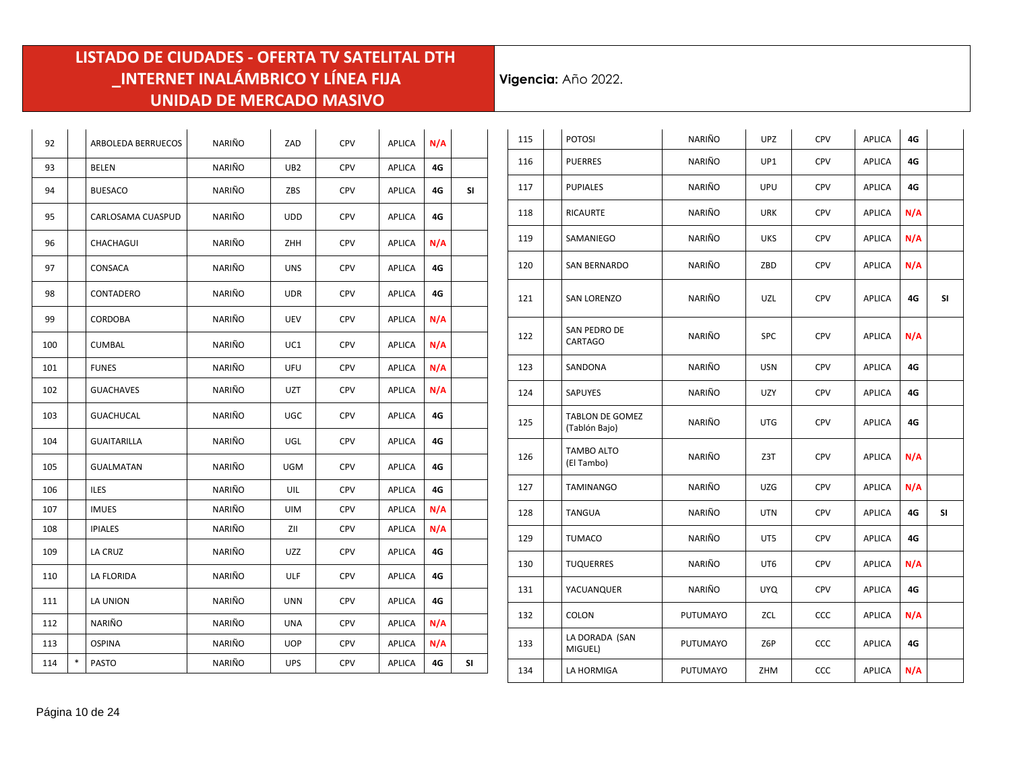| 92  |   | ARBOLEDA BERRUECOS | NARIÑO | ZAD             | CPV        | <b>APLICA</b> | N/A |    |
|-----|---|--------------------|--------|-----------------|------------|---------------|-----|----|
| 93  |   | BELEN              | NARIÑO | UB <sub>2</sub> | <b>CPV</b> | APLICA        | 4G  |    |
| 94  |   | <b>BUESACO</b>     | NARIÑO | ZBS             | CPV        | <b>APLICA</b> | 4G  | SI |
| 95  |   | CARLOSAMA CUASPUD  | NARIÑO | <b>UDD</b>      | <b>CPV</b> | <b>APLICA</b> | 4G  |    |
| 96  |   | CHACHAGUI          | NARIÑO | ZHH             | <b>CPV</b> | APLICA        | N/A |    |
| 97  |   | CONSACA            | NARIÑO | <b>UNS</b>      | CPV        | <b>APLICA</b> | 4G  |    |
| 98  |   | CONTADERO          | NARIÑO | <b>UDR</b>      | <b>CPV</b> | <b>APLICA</b> | 4G  |    |
| 99  |   | CORDOBA            | NARIÑO | UEV             | <b>CPV</b> | <b>APLICA</b> | N/A |    |
| 100 |   | <b>CUMBAL</b>      | NARIÑO | UC1             | <b>CPV</b> | <b>APLICA</b> | N/A |    |
| 101 |   | <b>FUNES</b>       | NARIÑO | UFU             | <b>CPV</b> | <b>APLICA</b> | N/A |    |
| 102 |   | <b>GUACHAVES</b>   | NARIÑO | <b>UZT</b>      | <b>CPV</b> | <b>APLICA</b> | N/A |    |
| 103 |   | GUACHUCAL          | NARIÑO | UGC             | <b>CPV</b> | <b>APLICA</b> | 4G  |    |
| 104 |   | <b>GUAITARILLA</b> | NARIÑO | UGL             | CPV        | APLICA        | 4G  |    |
| 105 |   | <b>GUALMATAN</b>   | NARIÑO | <b>UGM</b>      | <b>CPV</b> | <b>APLICA</b> | 4G  |    |
| 106 |   | <b>ILES</b>        | NARIÑO | UIL             | <b>CPV</b> | <b>APLICA</b> | 4G  |    |
| 107 |   | <b>IMUES</b>       | NARIÑO | <b>UIM</b>      | <b>CPV</b> | <b>APLICA</b> | N/A |    |
| 108 |   | <b>IPIALES</b>     | NARIÑO | ZII             | <b>CPV</b> | <b>APLICA</b> | N/A |    |
| 109 |   | LA CRUZ            | NARIÑO | UZZ             | CPV        | <b>APLICA</b> | 4G  |    |
| 110 |   | LA FLORIDA         | NARIÑO | <b>ULF</b>      | <b>CPV</b> | <b>APLICA</b> | 4G  |    |
| 111 |   | LA UNION           | NARIÑO | <b>UNN</b>      | CPV        | <b>APLICA</b> | 4G  |    |
| 112 |   | NARIÑO             | NARIÑO | <b>UNA</b>      | <b>CPV</b> | APLICA        | N/A |    |
| 113 |   | <b>OSPINA</b>      | NARIÑO | <b>UOP</b>      | CPV        | <b>APLICA</b> | N/A |    |
| 114 | * | <b>PASTO</b>       | NARIÑO | <b>UPS</b>      | <b>CPV</b> | <b>APLICA</b> | 4G  | SΙ |

| 115 | <b>POTOSI</b>                           | NARIÑO          | <b>UPZ</b> | <b>CPV</b> | APLICA        | 4G  |    |
|-----|-----------------------------------------|-----------------|------------|------------|---------------|-----|----|
| 116 | <b>PUERRES</b>                          | NARIÑO          | UP1        | <b>CPV</b> | APLICA        | 4G  |    |
| 117 | <b>PUPIALES</b>                         | NARIÑO          | UPU        | <b>CPV</b> | <b>APLICA</b> | 4G  |    |
| 118 | <b>RICAURTE</b>                         | NARIÑO          | <b>URK</b> | <b>CPV</b> | APLICA        | N/A |    |
| 119 | SAMANIEGO                               | NARIÑO          | <b>UKS</b> | <b>CPV</b> | <b>APLICA</b> | N/A |    |
| 120 | SAN BERNARDO                            | NARIÑO          | ZBD        | <b>CPV</b> | <b>APLICA</b> | N/A |    |
| 121 | <b>SAN LORENZO</b>                      | NARIÑO          | UZL        | CPV        | <b>APLICA</b> | 4G  | SΙ |
| 122 | SAN PEDRO DE<br>CARTAGO                 | NARIÑO          | SPC        | <b>CPV</b> | APLICA        | N/A |    |
| 123 | SANDONA                                 | NARIÑO          | <b>USN</b> | <b>CPV</b> | APLICA        | 4G  |    |
| 124 | SAPUYES                                 | NARIÑO          | UZY        | <b>CPV</b> | APLICA        | 4G  |    |
| 125 | <b>TABLON DE GOMEZ</b><br>(Tablón Bajo) | NARIÑO          | <b>UTG</b> | <b>CPV</b> | APLICA        | 4G  |    |
| 126 | TAMBO ALTO<br>(El Tambo)                | NARIÑO          | Z3T        | CPV        | APLICA        | N/A |    |
| 127 | <b>TAMINANGO</b>                        | NARIÑO          | UZG        | <b>CPV</b> | <b>APLICA</b> | N/A |    |
| 128 | TANGUA                                  | NARIÑO          | <b>UTN</b> | <b>CPV</b> | APLICA        | 4G  | SI |
| 129 | <b>TUMACO</b>                           | NARIÑO          | UT5        | <b>CPV</b> | APLICA        | 4G  |    |
| 130 | <b>TUQUERRES</b>                        | NARIÑO          | UT6        | <b>CPV</b> | APLICA        | N/A |    |
| 131 | YACUANQUER                              | NARIÑO          | UYQ        | <b>CPV</b> | <b>APLICA</b> | 4G  |    |
| 132 | COLON                                   | <b>PUTUMAYO</b> | ZCL        | <b>CCC</b> | <b>APLICA</b> | N/A |    |
| 133 | LA DORADA (SAN<br>MIGUEL)               | PUTUMAYO        | Z6P        | CCC        | APLICA        | 4G  |    |
| 134 | LA HORMIGA                              | PUTUMAYO        | ZHM        | ccc        | APLICA        | N/A |    |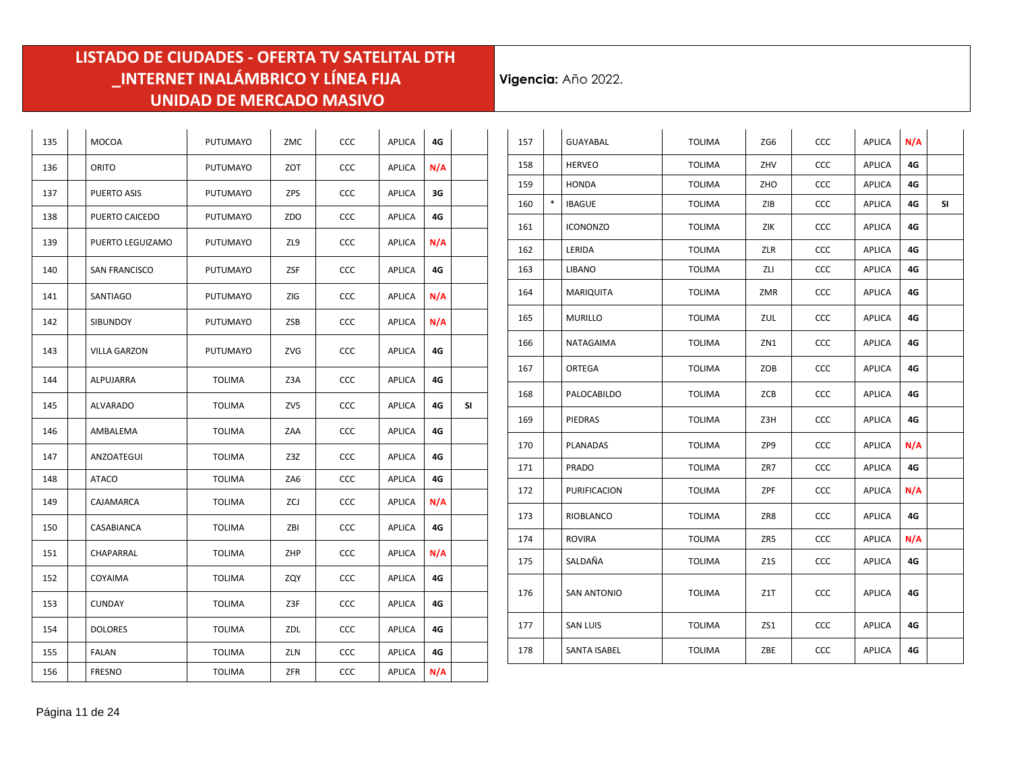| 135 | MOCOA                | <b>PUTUMAYO</b> | ZMC | CCC        | <b>APLICA</b> | 4G  |    |
|-----|----------------------|-----------------|-----|------------|---------------|-----|----|
| 136 | ORITO                | <b>PUTUMAYO</b> | ZOT | CCC        | <b>APLICA</b> | N/A |    |
| 137 | PUERTO ASIS          | PUTUMAYO        | ZPS | CCC        | <b>APLICA</b> | 3G  |    |
| 138 | PUERTO CAICEDO       | PUTUMAYO        | ZDO | CCC        | <b>APLICA</b> | 4G  |    |
| 139 | PUERTO LEGUIZAMO     | <b>PUTUMAYO</b> | ZL9 | CCC        | <b>APLICA</b> | N/A |    |
| 140 | <b>SAN FRANCISCO</b> | PUTUMAYO        | ZSF | CCC        | APLICA        | 4G  |    |
| 141 | SANTIAGO             | PUTUMAYO        | ZIG | CCC        | APLICA        | N/A |    |
| 142 | <b>SIBUNDOY</b>      | <b>PUTUMAYO</b> | ZSB | CCC        | <b>APLICA</b> | N/A |    |
| 143 | <b>VILLA GARZON</b>  | PUTUMAYO        | ZVG | <b>CCC</b> | <b>APLICA</b> | 4G  |    |
| 144 | ALPUJARRA            | <b>TOLIMA</b>   | Z3A | CCC        | APLICA        | 4G  |    |
| 145 | <b>ALVARADO</b>      | <b>TOLIMA</b>   | ZV5 | CCC        | APLICA        | 4G  | SI |
| 146 | AMBALEMA             | <b>TOLIMA</b>   | ZAA | CCC        | <b>APLICA</b> | 4G  |    |
| 147 | ANZOATEGUI           | <b>TOLIMA</b>   | Z3Z | CCC        | APLICA        | 4G  |    |
| 148 | ATACO                | <b>TOLIMA</b>   | ZA6 | <b>CCC</b> | APLICA        | 4G  |    |
| 149 | CAJAMARCA            | <b>TOLIMA</b>   | ZCJ | CCC        | APLICA        | N/A |    |
| 150 | CASABIANCA           | TOLIMA          | ZBI | CCC        | APLICA        | 4G  |    |
| 151 | CHAPARRAL            | <b>TOLIMA</b>   | ZHP | CCC        | <b>APLICA</b> | N/A |    |
| 152 | COYAIMA              | <b>TOLIMA</b>   | ZQY | CCC        | <b>APLICA</b> | 4G  |    |
| 153 | CUNDAY               | <b>TOLIMA</b>   | Z3F | CCC        | <b>APLICA</b> | 4G  |    |
| 154 | <b>DOLORES</b>       | <b>TOLIMA</b>   | ZDL | CCC        | <b>APLICA</b> | 4G  |    |
| 155 | <b>FALAN</b>         | <b>TOLIMA</b>   | ZLN | CCC        | <b>APLICA</b> | 4G  |    |
| 156 | <b>FRESNO</b>        | <b>TOLIMA</b>   | ZFR | CCC        | APLICA        | N/A |    |

| 157 |        | <b>GUAYABAL</b>    | <b>TOLIMA</b> | ZG6 | CCC        | APLICA        | N/A |    |
|-----|--------|--------------------|---------------|-----|------------|---------------|-----|----|
| 158 |        | <b>HERVEO</b>      | <b>TOLIMA</b> | ZHV | CCC        | APLICA        | 4G  |    |
| 159 |        | <b>HONDA</b>       | <b>TOLIMA</b> | ZHO | ccc        | <b>APLICA</b> | 4G  |    |
| 160 | $\ast$ | <b>IBAGUE</b>      | TOLIMA        | ZIB | CCC        | <b>APLICA</b> | 4G  | SI |
| 161 |        | <b>ICONONZO</b>    | <b>TOLIMA</b> | ZIK | ccc        | <b>APLICA</b> | 4G  |    |
| 162 |        | LERIDA             | <b>TOLIMA</b> | ZLR | CCC        | APLICA        | 4G  |    |
| 163 |        | LIBANO             | <b>TOLIMA</b> | ZLI | ccc        | APLICA        | 4G  |    |
| 164 |        | MARIQUITA          | <b>TOLIMA</b> | ZMR | ccc        | <b>APLICA</b> | 4G  |    |
| 165 |        | <b>MURILLO</b>     | <b>TOLIMA</b> | ZUL | ccc        | <b>APLICA</b> | 4G  |    |
| 166 |        | NATAGAIMA          | <b>TOLIMA</b> | ZN1 | <b>CCC</b> | APLICA        | 4G  |    |
| 167 |        | ORTEGA             | <b>TOLIMA</b> | ZOB | CCC        | <b>APLICA</b> | 4G  |    |
| 168 |        | PALOCABILDO        | <b>TOLIMA</b> | ZCB | ccc        | <b>APLICA</b> | 4G  |    |
| 169 |        | PIEDRAS            | <b>TOLIMA</b> | Z3H | ccc        | APLICA        | 4G  |    |
| 170 |        | PLANADAS           | <b>TOLIMA</b> | ZP9 | ccc        | APLICA        | N/A |    |
| 171 |        | <b>PRADO</b>       | <b>TOLIMA</b> | ZR7 | CCC        | <b>APLICA</b> | 4G  |    |
| 172 |        | PURIFICACION       | <b>TOLIMA</b> | ZPF | ccc        | APLICA        | N/A |    |
| 173 |        | RIOBLANCO          | <b>TOLIMA</b> | ZR8 | ccc        | APLICA        | 4G  |    |
| 174 |        | <b>ROVIRA</b>      | <b>TOLIMA</b> | ZR5 | CCC        | <b>APLICA</b> | N/A |    |
| 175 |        | SALDAÑA            | <b>TOLIMA</b> | Z1S | CCC        | APLICA        | 4G  |    |
| 176 |        | <b>SAN ANTONIO</b> | <b>TOLIMA</b> | Z1T | CCC        | <b>APLICA</b> | 4G  |    |
| 177 |        | <b>SAN LUIS</b>    | <b>TOLIMA</b> | ZS1 | ccc        | APLICA        | 4G  |    |
| 178 |        | SANTA ISABEL       | <b>TOLIMA</b> | ZBE | ccc        | <b>APLICA</b> | 4G  |    |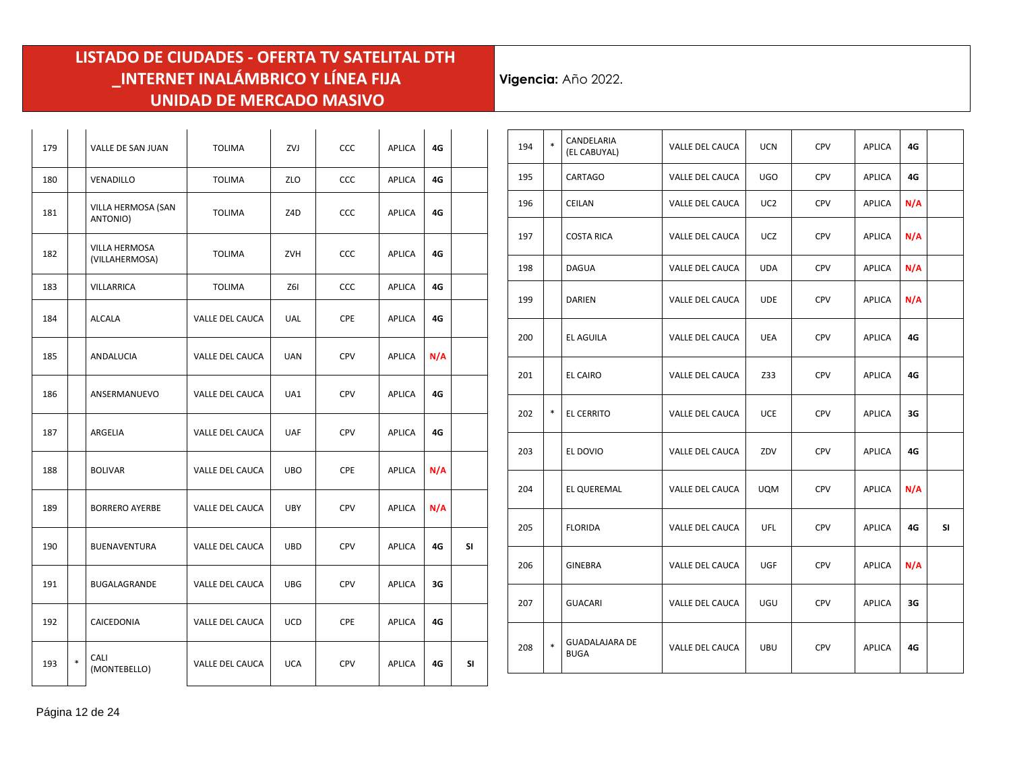| 179 |   | VALLE DE SAN JUAN               | <b>TOLIMA</b>   | ZVJ        | <b>CCC</b> | APLICA        | 4G  |           |
|-----|---|---------------------------------|-----------------|------------|------------|---------------|-----|-----------|
| 180 |   | VENADILLO                       | <b>TOLIMA</b>   | ZLO        | CCC        | APLICA        | 4G  |           |
| 181 |   | VILLA HERMOSA (SAN<br>ANTONIO)  | <b>TOLIMA</b>   | Z4D        | CCC        | APLICA        | 4G  |           |
| 182 |   | VILLA HERMOSA<br>(VILLAHERMOSA) | <b>TOLIMA</b>   | ZVH        | <b>CCC</b> | APLICA        | 4G  |           |
| 183 |   | VILLARRICA                      | <b>TOLIMA</b>   | Z6I        | <b>CCC</b> | <b>APLICA</b> | 4G  |           |
| 184 |   | <b>ALCALA</b>                   | VALLE DEL CAUCA | UAL        | <b>CPE</b> | <b>APLICA</b> | 4G  |           |
| 185 |   | ANDALUCIA                       | VALLE DEL CAUCA | <b>UAN</b> | <b>CPV</b> | <b>APLICA</b> | N/A |           |
| 186 |   | ANSERMANUEVO                    | VALLE DEL CAUCA | UA1        | <b>CPV</b> | <b>APLICA</b> | 4G  |           |
| 187 |   | ARGELIA                         | VALLE DEL CAUCA | <b>UAF</b> | <b>CPV</b> | <b>APLICA</b> | 4G  |           |
| 188 |   | <b>BOLIVAR</b>                  | VALLE DEL CAUCA | <b>UBO</b> | CPE        | <b>APLICA</b> | N/A |           |
| 189 |   | <b>BORRERO AYERBE</b>           | VALLE DEL CAUCA | <b>UBY</b> | <b>CPV</b> | <b>APLICA</b> | N/A |           |
| 190 |   | BUENAVENTURA                    | VALLE DEL CAUCA | <b>UBD</b> | <b>CPV</b> | <b>APLICA</b> | 4G  | <b>SI</b> |
| 191 |   | BUGALAGRANDE                    | VALLE DEL CAUCA | <b>UBG</b> | <b>CPV</b> | <b>APLICA</b> | 3G  |           |
| 192 |   | CAICEDONIA                      | VALLE DEL CAUCA | <b>UCD</b> | <b>CPE</b> | <b>APLICA</b> | 4G  |           |
| 193 | * | CALI<br>(MONTEBELLO)            | VALLE DEL CAUCA | <b>UCA</b> | <b>CPV</b> | <b>APLICA</b> | 4G  | SΙ        |

| 194 | $\ast$ | CANDELARIA<br>(EL CABUYAL)           | VALLE DEL CAUCA | <b>UCN</b> | <b>CPV</b> | <b>APLICA</b> | 4G  |     |
|-----|--------|--------------------------------------|-----------------|------------|------------|---------------|-----|-----|
| 195 |        | CARTAGO                              | VALLE DEL CAUCA | <b>UGO</b> | <b>CPV</b> | <b>APLICA</b> | 4G  |     |
| 196 |        | CEILAN                               | VALLE DEL CAUCA | UC2        | CPV        | APLICA        | N/A |     |
| 197 |        | <b>COSTA RICA</b>                    | VALLE DEL CAUCA | UCZ        | <b>CPV</b> | APLICA        | N/A |     |
| 198 |        | <b>DAGUA</b>                         | VALLE DEL CAUCA | <b>UDA</b> | <b>CPV</b> | APLICA        | N/A |     |
| 199 |        | <b>DARIEN</b>                        | VALLE DEL CAUCA | <b>UDE</b> | <b>CPV</b> | <b>APLICA</b> | N/A |     |
| 200 |        | EL AGUILA                            | VALLE DEL CAUCA | UEA        | CPV        | APLICA        | 4G  |     |
| 201 |        | EL CAIRO                             | VALLE DEL CAUCA | Z33        | <b>CPV</b> | APLICA        | 4G  |     |
| 202 | $\ast$ | <b>EL CERRITO</b>                    | VALLE DEL CAUCA | UCE        | <b>CPV</b> | APLICA        | 3G  |     |
| 203 |        | EL DOVIO                             | VALLE DEL CAUCA | ZDV        | CPV        | APLICA        | 4G  |     |
| 204 |        | EL QUEREMAL                          | VALLE DEL CAUCA | <b>UQM</b> | <b>CPV</b> | <b>APLICA</b> | N/A |     |
| 205 |        | <b>FLORIDA</b>                       | VALLE DEL CAUCA | UFL.       | <b>CPV</b> | APLICA        | 4G  | SI. |
| 206 |        | GINEBRA                              | VALLE DEL CAUCA | <b>UGF</b> | CPV        | APLICA        | N/A |     |
| 207 |        | <b>GUACARI</b>                       | VALLE DEL CAUCA | UGU        | <b>CPV</b> | APLICA        | 3G  |     |
| 208 | $\ast$ | <b>GUADALAJARA DE</b><br><b>BUGA</b> | VALLE DEL CAUCA | UBU        | <b>CPV</b> | APLICA        | 4G  |     |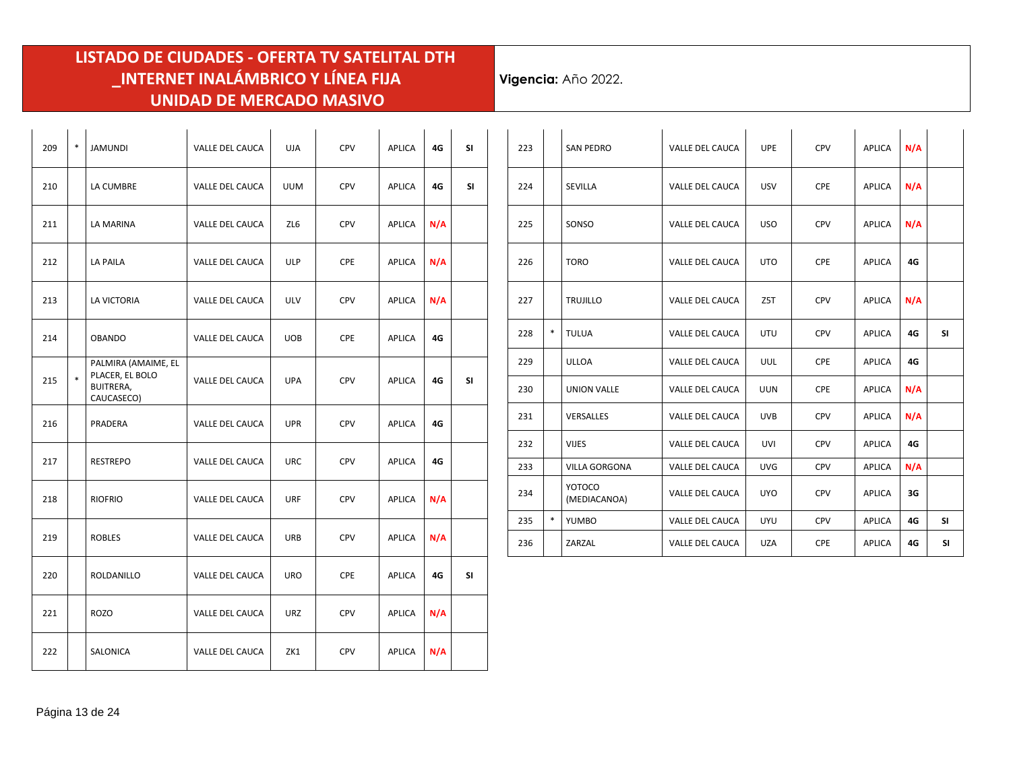| 209 | $\ast$ | <b>JAMUNDI</b>                                                    | VALLE DEL CAUCA        | <b>UJA</b> | <b>CPV</b> | <b>APLICA</b> | 4G  | <b>SI</b> |
|-----|--------|-------------------------------------------------------------------|------------------------|------------|------------|---------------|-----|-----------|
| 210 |        | LA CUMBRE                                                         | VALLE DEL CAUCA        | <b>UUM</b> | <b>CPV</b> | APLICA        | 4G  | SI        |
| 211 |        | LA MARINA                                                         | VALLE DEL CAUCA        | ZL6        | <b>CPV</b> | APLICA        | N/A |           |
| 212 |        | LA PAILA                                                          | <b>VALLE DEL CAUCA</b> | <b>ULP</b> | <b>CPE</b> | <b>APLICA</b> | N/A |           |
| 213 |        | LA VICTORIA                                                       | VALLE DEL CAUCA        | <b>ULV</b> | <b>CPV</b> | APLICA        | N/A |           |
| 214 |        | <b>OBANDO</b>                                                     | VALLE DEL CAUCA        | <b>UOB</b> | <b>CPE</b> | APLICA        | 4G  |           |
| 215 | $\ast$ | PALMIRA (AMAIME, EL<br>PLACER, EL BOLO<br>BUITRERA,<br>CAUCASECO) | VALLE DEL CAUCA        | <b>UPA</b> | <b>CPV</b> | APLICA        | 4G  | SI.       |
| 216 |        | PRADERA                                                           | VALLE DEL CAUCA        | <b>UPR</b> | <b>CPV</b> | <b>APLICA</b> | 4G  |           |
| 217 |        | <b>RESTREPO</b>                                                   | VALLE DEL CAUCA        | <b>URC</b> | <b>CPV</b> | APLICA        | 4G  |           |
| 218 |        | <b>RIOFRIO</b>                                                    | VALLE DEL CAUCA        | <b>URF</b> | <b>CPV</b> | APLICA        | N/A |           |
| 219 |        | <b>ROBLES</b>                                                     | VALLE DEL CAUCA        | URB        | <b>CPV</b> | APLICA        | N/A |           |
| 220 |        | ROLDANILLO                                                        | VALLE DEL CAUCA        | URO        | <b>CPE</b> | APLICA        | 4G  | SI        |
| 221 |        | <b>ROZO</b>                                                       | VALLE DEL CAUCA        | <b>URZ</b> | <b>CPV</b> | APLICA        | N/A |           |
| 222 |        | SALONICA                                                          | VALLE DEL CAUCA        | ZK1        | <b>CPV</b> | APLICA        | N/A |           |

| 223 |        | <b>SAN PEDRO</b>       | VALLE DEL CAUCA        | <b>UPE</b>       | <b>CPV</b> | APLICA        | N/A |           |
|-----|--------|------------------------|------------------------|------------------|------------|---------------|-----|-----------|
| 224 |        | SEVILLA                | <b>VALLE DEL CAUCA</b> | <b>USV</b>       | <b>CPE</b> | <b>APLICA</b> | N/A |           |
| 225 |        | SONSO                  | VALLE DEL CAUCA        | <b>USO</b>       | <b>CPV</b> | APLICA        | N/A |           |
| 226 |        | <b>TORO</b>            | VALLE DEL CAUCA        | <b>UTO</b>       | <b>CPE</b> | APLICA        | 4G  |           |
| 227 |        | <b>TRUJILLO</b>        | <b>VALLE DEL CAUCA</b> | Z <sub>5</sub> T | <b>CPV</b> | APLICA        | N/A |           |
| 228 | $\ast$ | <b>TULUA</b>           | VALLE DEL CAUCA        | <b>UTU</b>       | <b>CPV</b> | APLICA        | 4G  | <b>SI</b> |
| 229 |        | <b>ULLOA</b>           | VALLE DEL CAUCA        | UUL              | <b>CPE</b> | <b>APLICA</b> | 4G  |           |
| 230 |        | <b>UNION VALLE</b>     | VALLE DEL CAUCA        | <b>UUN</b>       | CPE        | APLICA        | N/A |           |
| 231 |        | VERSALLES              | VALLE DEL CAUCA        | <b>UVB</b>       | <b>CPV</b> | <b>APLICA</b> | N/A |           |
| 232 |        | <b>VIJES</b>           | <b>VALLE DEL CAUCA</b> | <b>UVI</b>       | <b>CPV</b> | <b>APLICA</b> | 4G  |           |
| 233 |        | VILLA GORGONA          | VALLE DEL CAUCA        | <b>UVG</b>       | <b>CPV</b> | APLICA        | N/A |           |
| 234 |        | YOTOCO<br>(MEDIACANOA) | <b>VALLE DEL CAUCA</b> | <b>UYO</b>       | <b>CPV</b> | <b>APLICA</b> | 3G  |           |
| 235 | $\ast$ | YUMBO                  | VALLE DEL CAUCA        | <b>UYU</b>       | <b>CPV</b> | <b>APLICA</b> | 4G  | <b>SI</b> |
| 236 |        | ZARZAL                 | VALLE DEL CAUCA        | <b>UZA</b>       | CPE        | <b>APLICA</b> | 4G  | <b>SI</b> |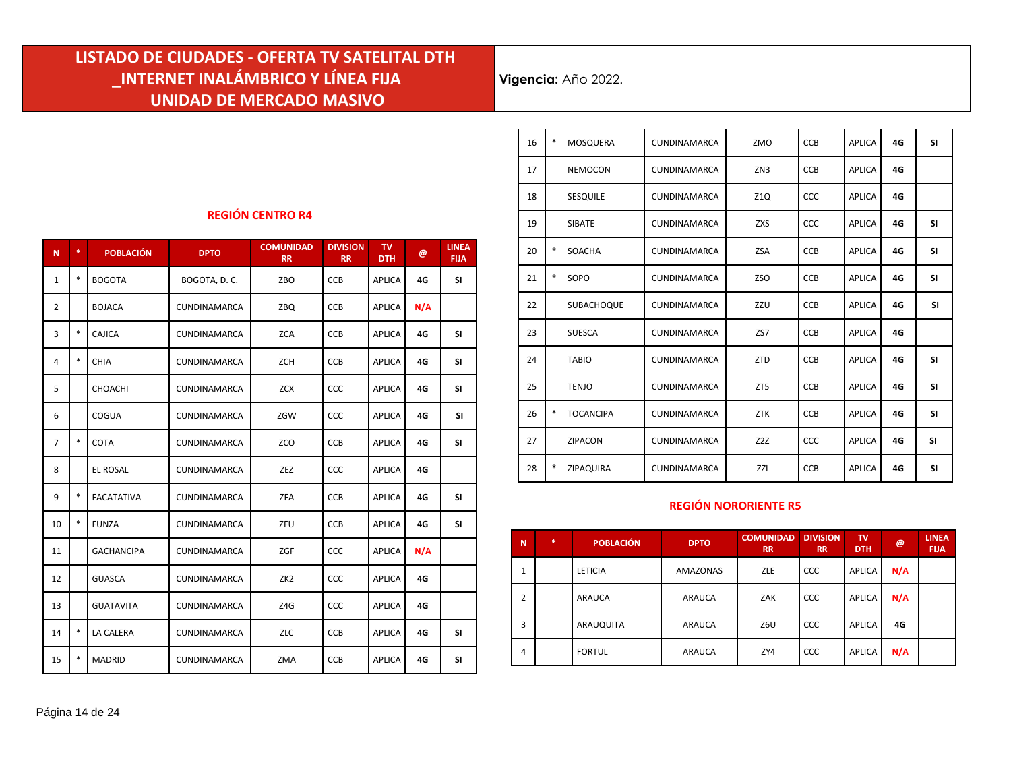**Vigencia:** Año 2022.

#### **REGIÓN CENTRO R4**

| N              | *. | <b>POBLACIÓN</b>  | <b>DPTO</b>         | <b>COMUNIDAD</b><br><b>RR</b> | <b>DIVISION</b><br><b>RR</b> | TV.<br><b>DTH</b> | @   | <b>LINEA</b><br><b>FIJA</b> |
|----------------|----|-------------------|---------------------|-------------------------------|------------------------------|-------------------|-----|-----------------------------|
| $\mathbf{1}$   | *  | <b>BOGOTA</b>     | BOGOTA, D.C.        | ZBO                           | <b>CCB</b>                   | APLICA            | 4G  | <b>SI</b>                   |
| $\overline{2}$ |    | <b>BOJACA</b>     | <b>CUNDINAMARCA</b> | ZBQ                           | <b>CCB</b>                   | APLICA            | N/A |                             |
| 3              | *  | CAJICA            | CUNDINAMARCA        | <b>ZCA</b>                    | <b>CCB</b>                   | APLICA            | 4G  | <b>SI</b>                   |
| 4              | *  | CHIA              | CUNDINAMARCA        | ZCH                           | CCB                          | APLICA            | 4G  | <b>SI</b>                   |
| 5              |    | CHOACHI           | <b>CUNDINAMARCA</b> | <b>ZCX</b>                    | <b>CCC</b>                   | APLICA            | 4G  | <b>SI</b>                   |
| 6              |    | COGUA             | <b>CUNDINAMARCA</b> | ZGW                           | CCC                          | APLICA            | 4G  | <b>SI</b>                   |
| $\overline{7}$ | *  | COTA              | <b>CUNDINAMARCA</b> | ZCO                           | <b>CCB</b>                   | APLICA            | 4G  | <b>SI</b>                   |
| 8              |    | <b>EL ROSAL</b>   | <b>CUNDINAMARCA</b> | ZEZ                           | <b>CCC</b>                   | APLICA            | 4G  |                             |
| 9              | *  | <b>FACATATIVA</b> | <b>CUNDINAMARCA</b> | <b>ZFA</b>                    | <b>CCB</b>                   | APLICA            | 4G  | <b>SI</b>                   |
| 10             | *  | <b>FUNZA</b>      | <b>CUNDINAMARCA</b> | ZFU                           | <b>CCB</b>                   | APLICA            | 4G  | <b>SI</b>                   |
| 11             |    | <b>GACHANCIPA</b> | <b>CUNDINAMARCA</b> | ZGF                           | CCC                          | APLICA            | N/A |                             |
| 12             |    | <b>GUASCA</b>     | CUNDINAMARCA        | ZK <sub>2</sub>               | CCC                          | APLICA            | 4G  |                             |
| 13             |    | <b>GUATAVITA</b>  | CUNDINAMARCA        | Z4G                           | CCC                          | APLICA            | 4G  |                             |
| 14             | *  | LA CALERA         | CUNDINAMARCA        | ZLC                           | CCB                          | APLICA            | 4G  | <b>SI</b>                   |
| 15             | *  | <b>MADRID</b>     | <b>CUNDINAMARCA</b> | ZMA                           | <b>CCB</b>                   | APLICA            | 4G  | <b>SI</b>                   |

| 16 | $\ast$ | MOSQUERA         | CUNDINAMARCA        | ZMO              | CCB        | <b>APLICA</b> | 4G | <b>SI</b> |
|----|--------|------------------|---------------------|------------------|------------|---------------|----|-----------|
| 17 |        | <b>NEMOCON</b>   | <b>CUNDINAMARCA</b> | ZN <sub>3</sub>  | <b>CCB</b> | <b>APLICA</b> | 4G |           |
| 18 |        | <b>SESQUILE</b>  | <b>CUNDINAMARCA</b> | Z1Q              | <b>CCC</b> | <b>APLICA</b> | 4G |           |
| 19 |        | <b>SIBATE</b>    | <b>CUNDINAMARCA</b> | ZXS              | CCC        | <b>APLICA</b> | 4G | <b>SI</b> |
| 20 | $\ast$ | SOACHA           | <b>CUNDINAMARCA</b> | <b>ZSA</b>       | <b>CCB</b> | <b>APLICA</b> | 4G | <b>SI</b> |
| 21 | $\ast$ | SOPO             | <b>CUNDINAMARCA</b> | <b>ZSO</b>       | <b>CCB</b> | <b>APLICA</b> | 4G | <b>SI</b> |
| 22 |        | SUBACHOQUE       | <b>CUNDINAMARCA</b> | ZZU              | <b>CCB</b> | <b>APLICA</b> | 4G | <b>SI</b> |
| 23 |        | <b>SUESCA</b>    | <b>CUNDINAMARCA</b> | ZS7              | <b>CCB</b> | <b>APLICA</b> | 4G |           |
| 24 |        | <b>TABIO</b>     | CUNDINAMARCA        | <b>ZTD</b>       | <b>CCB</b> | <b>APLICA</b> | 4G | <b>SI</b> |
| 25 |        | <b>TENJO</b>     | <b>CUNDINAMARCA</b> | ZT5              | <b>CCB</b> | <b>APLICA</b> | 4G | <b>SI</b> |
| 26 | *      | <b>TOCANCIPA</b> | <b>CUNDINAMARCA</b> | <b>ZTK</b>       | <b>CCB</b> | <b>APLICA</b> | 4G | <b>SI</b> |
| 27 |        | <b>ZIPACON</b>   | <b>CUNDINAMARCA</b> | Z <sub>2</sub> Z | <b>CCC</b> | <b>APLICA</b> | 4G | <b>SI</b> |
| 28 | $\ast$ | ZIPAQUIRA        | <b>CUNDINAMARCA</b> | ZZI              | CCB        | <b>APLICA</b> | 4G | <b>SI</b> |

#### **REGIÓN NORORIENTE R5**

| N              | $\ast$ | <b>POBLACIÓN</b> | <b>DPTO</b>     | <b>COMUNIDAD</b><br><b>RR</b> | <b>DIVISION</b><br><b>RR</b> | <b>TV</b><br><b>DTH</b> | @   | <b>LINEA</b><br><b>FIJA</b> |
|----------------|--------|------------------|-----------------|-------------------------------|------------------------------|-------------------------|-----|-----------------------------|
| 1              |        | <b>LETICIA</b>   | <b>AMAZONAS</b> | <b>ZLE</b>                    | CCC                          | APLICA                  | N/A |                             |
| $\overline{2}$ |        | <b>ARAUCA</b>    | ARAUCA          | ZAK                           | <b>CCC</b>                   | <b>APLICA</b>           | N/A |                             |
| 3              |        | ARAUQUITA        | ARAUCA          | Z6U                           | <b>CCC</b>                   | <b>APLICA</b>           | 4G  |                             |
| 4              |        | <b>FORTUL</b>    | ARAUCA          | ZY4                           | <b>CCC</b>                   | <b>APLICA</b>           | N/A |                             |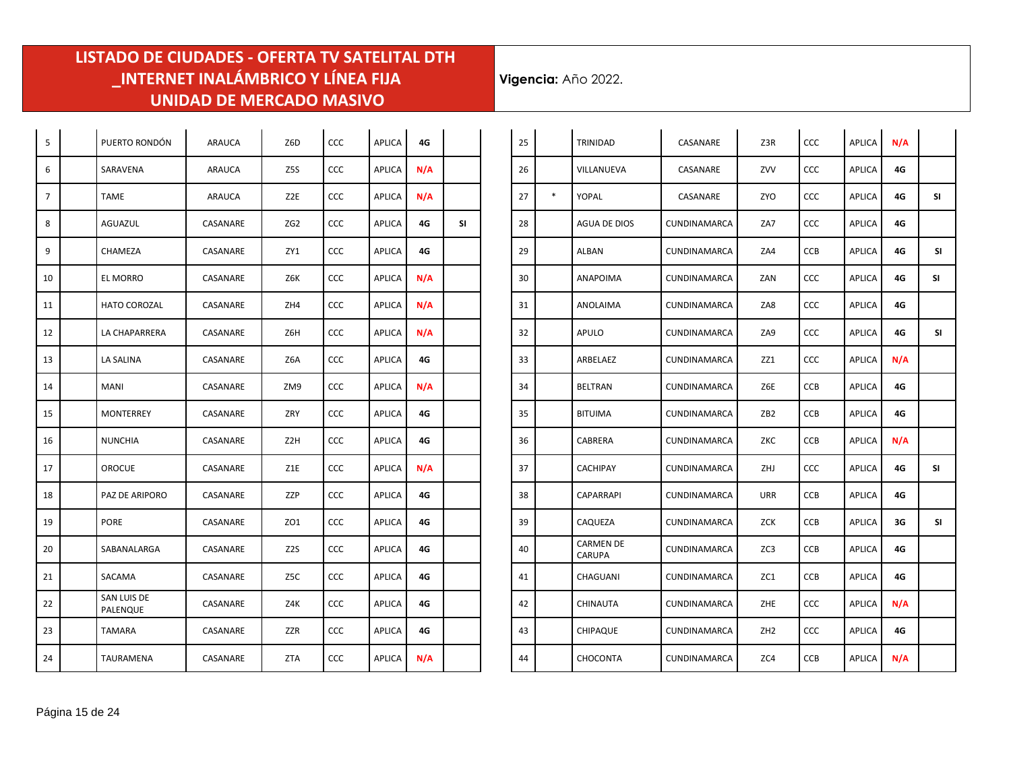÷.

| 5  | PUERTO RONDÓN           | ARAUCA   | Z6D              | CCC        | <b>APLICA</b> | 4G  |    |
|----|-------------------------|----------|------------------|------------|---------------|-----|----|
| 6  | SARAVENA                | ARAUCA   | Z5S              | <b>CCC</b> | APLICA        | N/A |    |
| 7  | TAME                    | ARAUCA   | Z2E              | <b>CCC</b> | APLICA        | N/A |    |
| 8  | AGUAZUL                 | CASANARE | ZG2              | CCC        | <b>APLICA</b> | 4G  | SI |
| 9  | CHAMEZA                 | CASANARE | ZY1              | <b>CCC</b> | <b>APLICA</b> | 4G  |    |
| 10 | EL MORRO                | CASANARE | Z6K              | <b>CCC</b> | <b>APLICA</b> | N/A |    |
| 11 | HATO COROZAL            | CASANARE | ZH4              | <b>CCC</b> | <b>APLICA</b> | N/A |    |
| 12 | LA CHAPARRERA           | CASANARE | Z6H              | CCC        | <b>APLICA</b> | N/A |    |
| 13 | LA SALINA               | CASANARE | Z6A              | CCC        | <b>APLICA</b> | 4G  |    |
| 14 | MANI                    | CASANARE | ZM9              | CCC        | APLICA        | N/A |    |
| 15 | MONTERREY               | CASANARE | ZRY              | <b>CCC</b> | <b>APLICA</b> | 4G  |    |
| 16 | <b>NUNCHIA</b>          | CASANARE | Z2H              | CCC        | APLICA        | 4G  |    |
| 17 | <b>OROCUE</b>           | CASANARE | Z1E              | CCC        | <b>APLICA</b> | N/A |    |
| 18 | PAZ DE ARIPORO          | CASANARE | ZZP              | CCC        | <b>APLICA</b> | 4G  |    |
| 19 | <b>PORE</b>             | CASANARE | ZO1              | CCC        | <b>APLICA</b> | 4G  |    |
| 20 | SABANALARGA             | CASANARE | Z <sub>2</sub> S | CCC        | <b>APLICA</b> | 4G  |    |
| 21 | SACAMA                  | CASANARE | Z5C              | CCC        | <b>APLICA</b> | 4G  |    |
| 22 | SAN LUIS DE<br>PALENQUE | CASANARE | Z4K              | <b>CCC</b> | <b>APLICA</b> | 4G  |    |
| 23 | <b>TAMARA</b>           | CASANARE | ZZR              | <b>CCC</b> | <b>APLICA</b> | 4G  |    |
| 24 | TAURAMENA               | CASANARE | ZTA              | ccc        | APLICA        | N/A |    |

| 25 |        | TRINIDAD                          | CASANARE            | Z3R             | CCC        | <b>APLICA</b> | N/A |     |
|----|--------|-----------------------------------|---------------------|-----------------|------------|---------------|-----|-----|
| 26 |        | VILLANUEVA                        | CASANARE            | ZVV             | <b>CCC</b> | <b>APLICA</b> | 4G  |     |
| 27 | $\ast$ | YOPAL                             | CASANARE            | ZYO             | <b>CCC</b> | <b>APLICA</b> | 4G  | SI  |
| 28 |        | AGUA DE DIOS                      | <b>CUNDINAMARCA</b> | ZA7             | CCC        | <b>APLICA</b> | 4G  |     |
| 29 |        | ALBAN                             | <b>CUNDINAMARCA</b> | ZA4             | <b>CCB</b> | APLICA        | 4G  | SΙ  |
| 30 |        | <b>ANAPOIMA</b>                   | <b>CUNDINAMARCA</b> | ZAN             | <b>CCC</b> | <b>APLICA</b> | 4G  | SΙ  |
| 31 |        | ANOLAIMA                          | CUNDINAMARCA        | ZA8             | CCC        | <b>APLICA</b> | 4G  |     |
| 32 |        | APULO                             | CUNDINAMARCA        | ZA9             | <b>CCC</b> | <b>APLICA</b> | 4G  | SI  |
| 33 |        | ARBELAEZ                          | <b>CUNDINAMARCA</b> | ZZ1             | <b>CCC</b> | APLICA        | N/A |     |
| 34 |        | <b>BELTRAN</b>                    | <b>CUNDINAMARCA</b> | Z6E             | <b>CCB</b> | <b>APLICA</b> | 4G  |     |
| 35 |        | <b>BITUIMA</b>                    | <b>CUNDINAMARCA</b> | ZB <sub>2</sub> | <b>CCB</b> | <b>APLICA</b> | 4G  |     |
| 36 |        | CABRERA                           | CUNDINAMARCA        | ZKC             | <b>CCB</b> | APLICA        | N/A |     |
| 37 |        | <b>CACHIPAY</b>                   | CUNDINAMARCA        | ZHJ             | CCC        | APLICA        | 4G  | SΙ  |
| 38 |        | CAPARRAPI                         | <b>CUNDINAMARCA</b> | URR             | <b>CCB</b> | <b>APLICA</b> | 4G  |     |
| 39 |        | CAQUEZA                           | <b>CUNDINAMARCA</b> | ZCK             | <b>CCB</b> | <b>APLICA</b> | 3G  | SI. |
| 40 |        | <b>CARMEN DE</b><br><b>CARUPA</b> | CUNDINAMARCA        | ZC3             | <b>CCB</b> | <b>APLICA</b> | 4G  |     |
| 41 |        | CHAGUANI                          | CUNDINAMARCA        | ZC1             | <b>CCB</b> | <b>APLICA</b> | 4G  |     |
| 42 |        | CHINAUTA                          | <b>CUNDINAMARCA</b> | ZHE             | <b>CCC</b> | APLICA        | N/A |     |
| 43 |        | <b>CHIPAQUE</b>                   | CUNDINAMARCA        | ZH2             | <b>CCC</b> | <b>APLICA</b> | 4G  |     |
| 44 |        | <b>CHOCONTA</b>                   | <b>CUNDINAMARCA</b> | ZC4             | <b>CCB</b> | <b>APLICA</b> | N/A |     |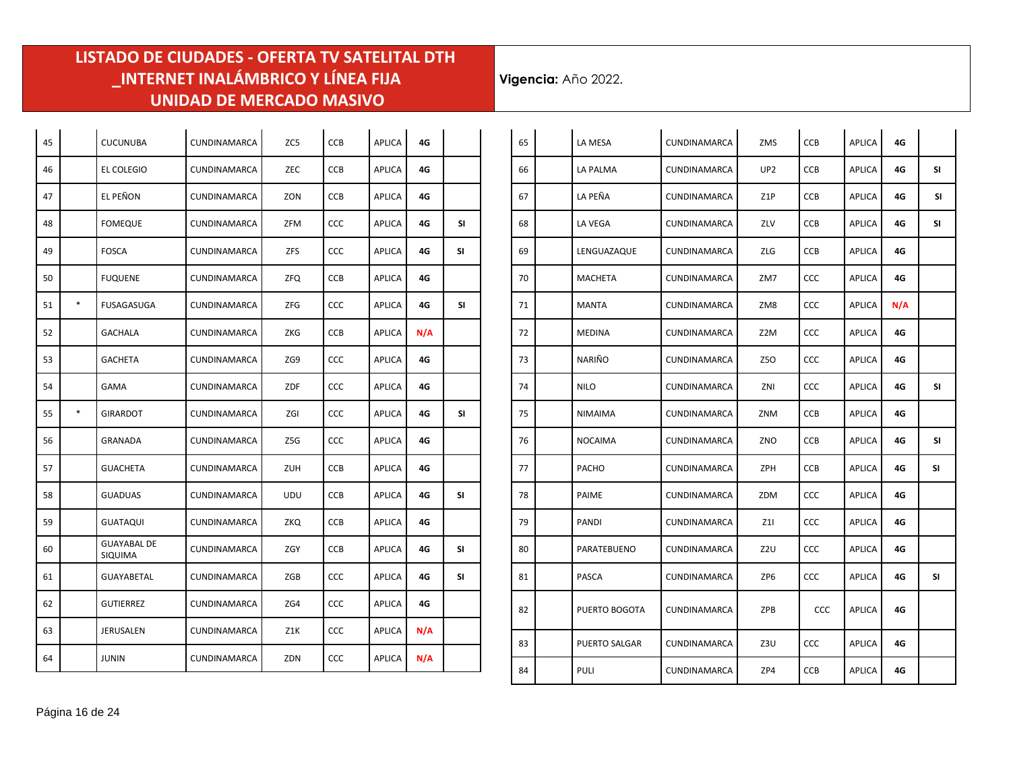| 45 |        | <b>CUCUNUBA</b>               | CUNDINAMARCA        | ZC5        | CCB        | <b>APLICA</b> | 4G  |     |
|----|--------|-------------------------------|---------------------|------------|------------|---------------|-----|-----|
|    |        |                               |                     |            |            |               |     |     |
| 46 |        | <b>EL COLEGIO</b>             | <b>CUNDINAMARCA</b> | ZEC        | <b>CCB</b> | APLICA        | 4G  |     |
| 47 |        | EL PEÑON                      | <b>CUNDINAMARCA</b> | ZON        | <b>CCB</b> | <b>APLICA</b> | 4G  |     |
| 48 |        | <b>FOMEQUE</b>                | CUNDINAMARCA        | ZFM        | CCC        | APLICA        | 4G  | SI  |
| 49 |        | <b>FOSCA</b>                  | CUNDINAMARCA        | ZFS        | CCC        | APLICA        | 4G  | SI  |
| 50 |        | <b>FUQUENE</b>                | CUNDINAMARCA        | ZFQ        | CCB        | APLICA        | 4G  |     |
| 51 | $\ast$ | FUSAGASUGA                    | CUNDINAMARCA        | ZFG        | <b>CCC</b> | APLICA        | 4G  | SI  |
| 52 |        | GACHALA                       | CUNDINAMARCA        | ZKG        | CCB        | APLICA        | N/A |     |
| 53 |        | GACHETA                       | <b>CUNDINAMARCA</b> | ZG9        | <b>CCC</b> | APLICA        | 4G  |     |
| 54 |        | GAMA                          | <b>CUNDINAMARCA</b> | ZDF        | CCC        | APLICA        | 4G  |     |
| 55 | *      | GIRARDOT                      | <b>CUNDINAMARCA</b> | ZGI        | CCC        | APLICA        | 4G  | SI. |
| 56 |        | GRANADA                       | <b>CUNDINAMARCA</b> | Z5G        | CCC        | APLICA        | 4G  |     |
| 57 |        | <b>GUACHETA</b>               | <b>CUNDINAMARCA</b> | ZUH        | <b>CCB</b> | APLICA        | 4G  |     |
| 58 |        | <b>GUADUAS</b>                | <b>CUNDINAMARCA</b> | <b>UDU</b> | <b>CCB</b> | APLICA        | 4G  | SI  |
| 59 |        | GUATAQUI                      | CUNDINAMARCA        | ZKQ        | CCB        | APLICA        | 4G  |     |
| 60 |        | <b>GUAYABAL DE</b><br>SIQUIMA | CUNDINAMARCA        | ZGY        | CCB        | APLICA        | 4G  | SI  |
| 61 |        | GUAYABETAL                    | <b>CUNDINAMARCA</b> | ZGB        | <b>CCC</b> | APLICA        | 4G  | SI  |
| 62 |        | <b>GUTIERREZ</b>              | <b>CUNDINAMARCA</b> | ZG4        | CCC        | APLICA        | 4G  |     |
| 63 |        | JERUSALEN                     | <b>CUNDINAMARCA</b> | Z1K        | CCC        | APLICA        | N/A |     |
| 64 |        | <b>JUNIN</b>                  | CUNDINAMARCA        | ZDN        | CCC        | APLICA        | N/A |     |

| 65 | LA MESA              | CUNDINAMARCA        | ZMS             | <b>CCB</b> | <b>APLICA</b> | 4G  |    |
|----|----------------------|---------------------|-----------------|------------|---------------|-----|----|
| 66 | LA PALMA             | CUNDINAMARCA        | UP <sub>2</sub> | CCB        | APLICA        | 4G  | SI |
| 67 | LA PEÑA              | <b>CUNDINAMARCA</b> | Z1P             | <b>CCB</b> | <b>APLICA</b> | 4G  | SΙ |
| 68 | LA VEGA              | CUNDINAMARCA        | ZLV             | <b>CCB</b> | APLICA        | 4G  | SI |
| 69 | LENGUAZAQUE          | <b>CUNDINAMARCA</b> | ZLG             | CCB        | APLICA        | 4G  |    |
| 70 | <b>MACHETA</b>       | CUNDINAMARCA        | ZM7             | CCC        | APLICA        | 4G  |    |
| 71 | MANTA                | <b>CUNDINAMARCA</b> | ZM8             | <b>CCC</b> | APLICA        | N/A |    |
| 72 | MEDINA               | CUNDINAMARCA        | Z2M             | CCC        | <b>APLICA</b> | 4G  |    |
| 73 | NARIÑO               | <b>CUNDINAMARCA</b> | Z5O             | <b>CCC</b> | <b>APLICA</b> | 4G  |    |
| 74 | <b>NILO</b>          | CUNDINAMARCA        | ZNI             | <b>CCC</b> | APLICA        | 4G  | SI |
| 75 | NIMAIMA              | <b>CUNDINAMARCA</b> | ZNM             | <b>CCB</b> | <b>APLICA</b> | 4G  |    |
| 76 | <b>NOCAIMA</b>       | CUNDINAMARCA        | ZNO             | <b>CCB</b> | APLICA        | 4G  | SI |
| 77 | <b>PACHO</b>         | <b>CUNDINAMARCA</b> | ZPH             | CCB        | APLICA        | 4G  | SΙ |
| 78 | PAIME                | CUNDINAMARCA        | ZDM             | <b>CCC</b> | APLICA        | 4G  |    |
| 79 | PANDI                | <b>CUNDINAMARCA</b> | Z1I             | <b>CCC</b> | <b>APLICA</b> | 4G  |    |
| 80 | PARATEBUENO          | CUNDINAMARCA        | Z2U             | <b>CCC</b> | APLICA        | 4G  |    |
| 81 | PASCA                | <b>CUNDINAMARCA</b> | ZP6             | <b>CCC</b> | APLICA        | 4G  | SΙ |
| 82 | PUERTO BOGOTA        | CUNDINAMARCA        | ZPB             | <b>CCC</b> | APLICA        | 4G  |    |
| 83 | <b>PUERTO SALGAR</b> | CUNDINAMARCA        | Z3U             | <b>CCC</b> | APLICA        | 4G  |    |
| 84 | PULI                 | CUNDINAMARCA        | ZP4             | <b>CCB</b> | APLICA        | 4G  |    |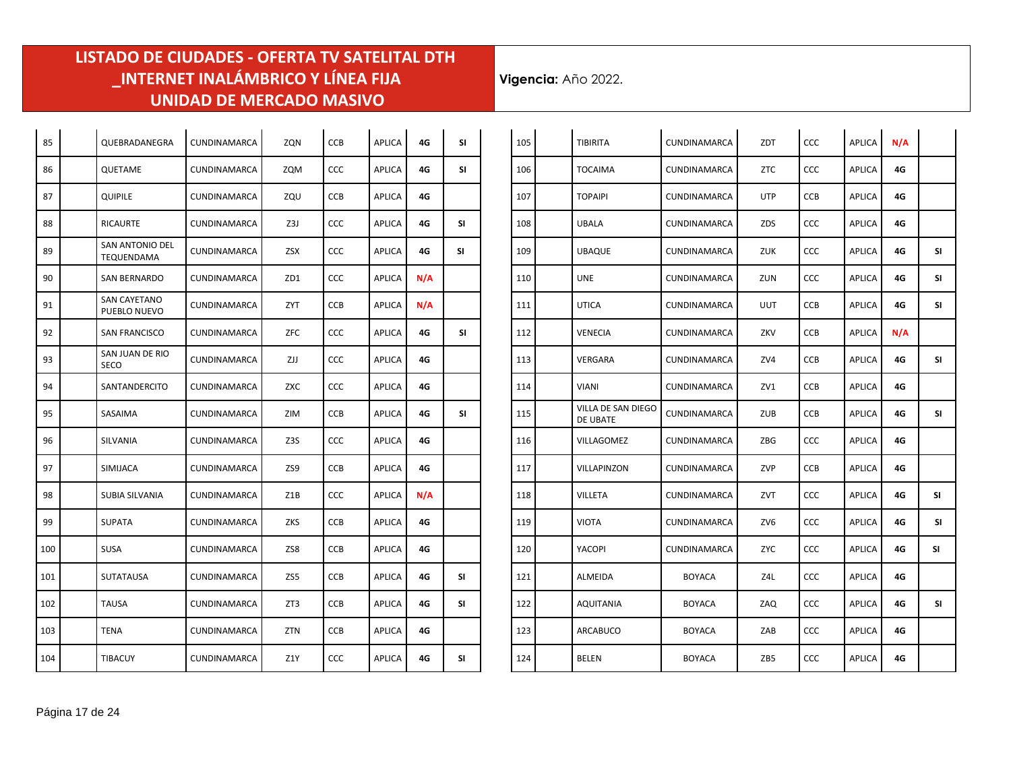| 85  | QUEBRADANEGRA                  | CUNDINAMARCA        | ZQN        | CCB        | <b>APLICA</b> | 4G  | <b>SI</b> |
|-----|--------------------------------|---------------------|------------|------------|---------------|-----|-----------|
| 86  | QUETAME                        | CUNDINAMARCA        | ZQM        | <b>CCC</b> | APLICA        | 4G  | SI        |
| 87  | QUIPILE                        | CUNDINAMARCA        | ZQU        | CCB        | APLICA        | 4G  |           |
| 88  | RICAURTE                       | CUNDINAMARCA        | Z3J        | <b>CCC</b> | APLICA        | 4G  | SI        |
| 89  | SAN ANTONIO DEL<br>TEQUENDAMA  | CUNDINAMARCA        | ZSX        | <b>CCC</b> | APLICA        | 4G  | SI        |
| 90  | SAN BERNARDO                   | CUNDINAMARCA        | ZD1        | <b>CCC</b> | APLICA        | N/A |           |
| 91  | SAN CAYETANO<br>PUEBLO NUEVO   | CUNDINAMARCA        | ZYT        | <b>CCB</b> | APLICA        | N/A |           |
| 92  | SAN FRANCISCO                  | CUNDINAMARCA        | ZFC        | CCC        | APLICA        | 4G  | SΙ        |
| 93  | SAN JUAN DE RIO<br><b>SECO</b> | CUNDINAMARCA        | ZJJ        | <b>CCC</b> | APLICA        | 4G  |           |
| 94  | SANTANDERCITO                  | <b>CUNDINAMARCA</b> | ZXC        | <b>CCC</b> | APLICA        | 4G  |           |
| 95  | SASAIMA                        | CUNDINAMARCA        | ZIM        | <b>CCB</b> | APLICA        | 4G  | SI        |
| 96  | SILVANIA                       | <b>CUNDINAMARCA</b> | Z3S        | CCC        | APLICA        | 4G  |           |
| 97  | SIMIJACA                       | CUNDINAMARCA        | ZS9        | <b>CCB</b> | APLICA        | 4G  |           |
| 98  | SUBIA SILVANIA                 | CUNDINAMARCA        | Z1B        | <b>CCC</b> | APLICA        | N/A |           |
| 99  | <b>SUPATA</b>                  | CUNDINAMARCA        | ZKS        | CCB        | APLICA        | 4G  |           |
| 100 | <b>SUSA</b>                    | CUNDINAMARCA        | ZS8        | CCB        | APLICA        | 4G  |           |
| 101 | <b>SUTATAUSA</b>               | CUNDINAMARCA        | ZS5        | CCB        | APLICA        | 4G  | SI        |
| 102 | <b>TAUSA</b>                   | <b>CUNDINAMARCA</b> | ZT3        | <b>CCB</b> | <b>APLICA</b> | 4G  | SΙ        |
| 103 | <b>TENA</b>                    | <b>CUNDINAMARCA</b> | <b>ZTN</b> | <b>CCB</b> | <b>APLICA</b> | 4G  |           |
| 104 | <b>TIBACUY</b>                 | CUNDINAMARCA        | Z1Y        | CCC        | <b>APLICA</b> | 4G  | SI        |

| 105 | <b>TIBIRITA</b>                | CUNDINAMARCA        | ZDT        | <b>CCC</b> | <b>APLICA</b> | N/A |           |
|-----|--------------------------------|---------------------|------------|------------|---------------|-----|-----------|
| 106 | TOCAIMA                        | CUNDINAMARCA        | ZTC        | <b>CCC</b> | APLICA        | 4G  |           |
| 107 | TOPAIPI                        | CUNDINAMARCA        | <b>UTP</b> | <b>CCB</b> | <b>APLICA</b> | 4G  |           |
| 108 | UBALA                          | CUNDINAMARCA        | ZDS        | CCC        | <b>APLICA</b> | 4G  |           |
| 109 | UBAQUE                         | <b>CUNDINAMARCA</b> | <b>ZUK</b> | <b>CCC</b> | <b>APLICA</b> | 4G  | SI        |
| 110 | UNE                            | CUNDINAMARCA        | ZUN        | <b>CCC</b> | <b>APLICA</b> | 4G  | SI        |
| 111 | UTICA                          | <b>CUNDINAMARCA</b> | <b>UUT</b> | <b>CCB</b> | APLICA        | 4G  | SΙ        |
| 112 | VENECIA                        | <b>CUNDINAMARCA</b> | ZKV        | <b>CCB</b> | APLICA        | N/A |           |
| 113 | VERGARA                        | CUNDINAMARCA        | ZV4        | <b>CCB</b> | <b>APLICA</b> | 4G  | SI        |
| 114 | VIANI                          | <b>CUNDINAMARCA</b> | ZV1        | <b>CCB</b> | <b>APLICA</b> | 4G  |           |
| 115 | VILLA DE SAN DIEGO<br>DE UBATE | <b>CUNDINAMARCA</b> | ZUB        | <b>CCB</b> | <b>APLICA</b> | 4G  | SI        |
| 116 | VILLAGOMEZ                     | <b>CUNDINAMARCA</b> | ZBG        | <b>CCC</b> | <b>APLICA</b> | 4G  |           |
| 117 | VILLAPINZON                    | CUNDINAMARCA        | ZVP        | <b>CCB</b> | <b>APLICA</b> | 4G  |           |
| 118 | VILLETA                        | CUNDINAMARCA        | ZVT        | <b>CCC</b> | <b>APLICA</b> | 4G  | SI        |
| 119 | <b>VIOTA</b>                   | CUNDINAMARCA        | ZV6        | <b>CCC</b> | APLICA        | 4G  | SI        |
| 120 | YACOPI                         | CUNDINAMARCA        | <b>ZYC</b> | <b>CCC</b> | <b>APLICA</b> | 4G  | <b>SI</b> |
| 121 | ALMEIDA                        | <b>BOYACA</b>       | Z4L        | CCC        | <b>APLICA</b> | 4G  |           |
| 122 | AQUITANIA                      | <b>BOYACA</b>       | ZAQ        | CCC        | APLICA        | 4G  | SI        |
| 123 | ARCABUCO                       | <b>BOYACA</b>       | ZAB        | CCC        | APLICA        | 4G  |           |
| 124 | <b>BELEN</b>                   | <b>BOYACA</b>       | ZB5        | CCC        | APLICA        | 4G  |           |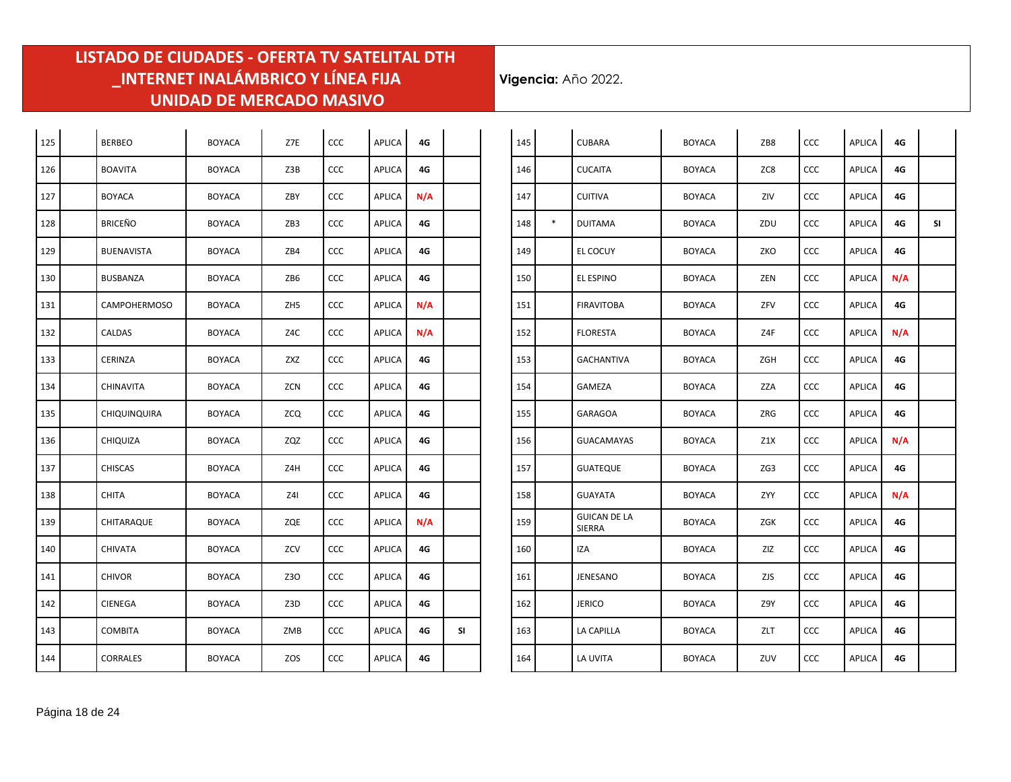÷.

| 125 | <b>BERBEO</b>       | <b>BOYACA</b> | Z7E | CCC | <b>APLICA</b> | 4G  |           |
|-----|---------------------|---------------|-----|-----|---------------|-----|-----------|
| 126 | <b>BOAVITA</b>      | <b>BOYACA</b> | Z3B | CCC | <b>APLICA</b> | 4G  |           |
| 127 | <b>BOYACA</b>       | <b>BOYACA</b> | ZBY | CCC | APLICA        | N/A |           |
| 128 | <b>BRICEÑO</b>      | <b>BOYACA</b> | ZB3 | CCC | <b>APLICA</b> | 4G  |           |
| 129 | <b>BUENAVISTA</b>   | <b>BOYACA</b> | ZB4 | CCC | <b>APLICA</b> | 4G  |           |
| 130 | <b>BUSBANZA</b>     | <b>BOYACA</b> | ZB6 | CCC | <b>APLICA</b> | 4G  |           |
| 131 | <b>CAMPOHERMOSO</b> | <b>BOYACA</b> | ZH5 | CCC | <b>APLICA</b> | N/A |           |
| 132 | CALDAS              | <b>BOYACA</b> | Z4C | CCC | <b>APLICA</b> | N/A |           |
| 133 | CERINZA             | <b>BOYACA</b> | ZXZ | CCC | <b>APLICA</b> | 4G  |           |
| 134 | CHINAVITA           | <b>BOYACA</b> | ZCN | CCC | <b>APLICA</b> | 4G  |           |
| 135 | <b>CHIQUINQUIRA</b> | <b>BOYACA</b> | ZCQ | CCC | APLICA        | 4G  |           |
| 136 | CHIQUIZA            | <b>BOYACA</b> | ZQZ | CCC | APLICA        | 4G  |           |
| 137 | <b>CHISCAS</b>      | <b>BOYACA</b> | Z4H | CCC | <b>APLICA</b> | 4G  |           |
| 138 | <b>CHITA</b>        | <b>BOYACA</b> | Z4I | CCC | <b>APLICA</b> | 4G  |           |
| 139 | CHITARAQUE          | <b>BOYACA</b> | ZQE | CCC | APLICA        | N/A |           |
| 140 | <b>CHIVATA</b>      | <b>BOYACA</b> | ZCV | CCC | <b>APLICA</b> | 4G  |           |
| 141 | <b>CHIVOR</b>       | <b>BOYACA</b> | Z30 | CCC | <b>APLICA</b> | 4G  |           |
| 142 | <b>CIENEGA</b>      | <b>BOYACA</b> | Z3D | CCC | <b>APLICA</b> | 4G  |           |
| 143 | <b>COMBITA</b>      | <b>BOYACA</b> | ZMB | CCC | <b>APLICA</b> | 4G  | <b>SI</b> |
| 144 | CORRALES            | <b>BOYACA</b> | ZOS | CCC | <b>APLICA</b> | 4G  |           |

| 145 |        | <b>CUBARA</b>                 | <b>BOYACA</b> | ZB8 | CCC        | <b>APLICA</b> | 4G  |    |
|-----|--------|-------------------------------|---------------|-----|------------|---------------|-----|----|
| 146 |        | <b>CUCAITA</b>                | <b>BOYACA</b> | ZC8 | CCC        | <b>APLICA</b> | 4G  |    |
| 147 |        | <b>CUITIVA</b>                | <b>BOYACA</b> | ZIV | CCC        | <b>APLICA</b> | 4G  |    |
| 148 | $\ast$ | <b>DUITAMA</b>                | <b>BOYACA</b> | ZDU | CCC        | <b>APLICA</b> | 4G  | SI |
| 149 |        | EL COCUY                      | <b>BOYACA</b> | ZKO | CCC        | APLICA        | 4G  |    |
| 150 |        | EL ESPINO                     | <b>BOYACA</b> | ZEN | <b>CCC</b> | APLICA        | N/A |    |
| 151 |        | <b>FIRAVITOBA</b>             | <b>BOYACA</b> | ZFV | CCC        | <b>APLICA</b> | 4G  |    |
| 152 |        | <b>FLORESTA</b>               | <b>BOYACA</b> | Z4F | CCC        | <b>APLICA</b> | N/A |    |
| 153 |        | <b>GACHANTIVA</b>             | <b>BOYACA</b> | ZGH | <b>CCC</b> | <b>APLICA</b> | 4G  |    |
| 154 |        | GAMEZA                        | <b>BOYACA</b> | ZZA | CCC        | <b>APLICA</b> | 4G  |    |
| 155 |        | GARAGOA                       | <b>BOYACA</b> | ZRG | CCC        | <b>APLICA</b> | 4G  |    |
| 156 |        | <b>GUACAMAYAS</b>             | <b>BOYACA</b> | Z1X | <b>CCC</b> | <b>APLICA</b> | N/A |    |
| 157 |        | <b>GUATEQUE</b>               | <b>BOYACA</b> | ZG3 | <b>CCC</b> | <b>APLICA</b> | 4G  |    |
| 158 |        | <b>GUAYATA</b>                | <b>BOYACA</b> | ZYY | CCC        | <b>APLICA</b> | N/A |    |
| 159 |        | <b>GUICAN DE LA</b><br>SIERRA | <b>BOYACA</b> | ZGK | CCC        | APLICA        | 4G  |    |
| 160 |        | IZA                           | <b>BOYACA</b> | ZIZ | <b>CCC</b> | APLICA        | 4G  |    |
| 161 |        | JENESANO                      | <b>BOYACA</b> | ZJS | <b>CCC</b> | APLICA        | 4G  |    |
| 162 |        | <b>JERICO</b>                 | <b>BOYACA</b> | Z9Y | CCC        | <b>APLICA</b> | 4G  |    |
| 163 |        | LA CAPILLA                    | <b>BOYACA</b> | ZLT | <b>CCC</b> | <b>APLICA</b> | 4G  |    |
| 164 |        | LA UVITA                      | <b>BOYACA</b> | ZUV | CCC        | <b>APLICA</b> | 4G  |    |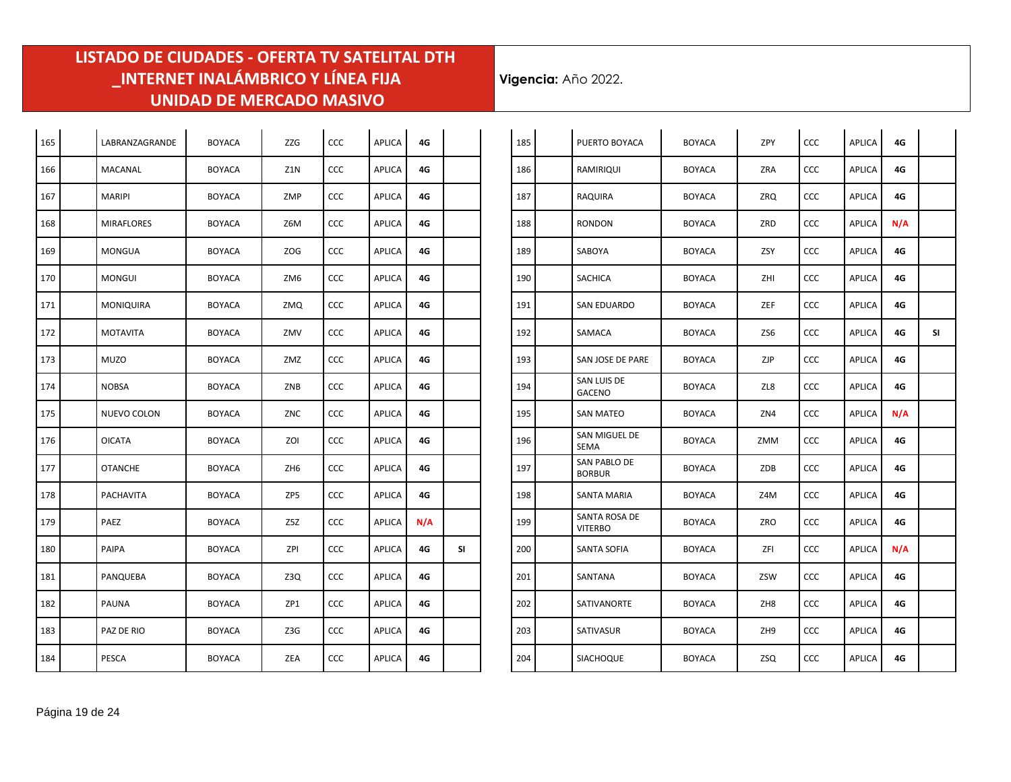| 165 | LABRANZAGRANDE    | <b>BOYACA</b> | <b>ZZG</b>      | CCC | <b>APLICA</b> | 4G  |    |
|-----|-------------------|---------------|-----------------|-----|---------------|-----|----|
| 166 | MACANAL           | <b>BOYACA</b> | Z1N             | CCC | <b>APLICA</b> | 4G  |    |
| 167 | <b>MARIPI</b>     | <b>BOYACA</b> | ZMP             | CCC | <b>APLICA</b> | 4G  |    |
| 168 | <b>MIRAFLORES</b> | <b>BOYACA</b> | Z6M             | CCC | <b>APLICA</b> | 4G  |    |
| 169 | <b>MONGUA</b>     | <b>BOYACA</b> | <b>ZOG</b>      | CCC | <b>APLICA</b> | 4G  |    |
| 170 | <b>MONGUI</b>     | <b>BOYACA</b> | ZM <sub>6</sub> | CCC | <b>APLICA</b> | 4G  |    |
| 171 | MONIQUIRA         | <b>BOYACA</b> | ZMQ             | CCC | <b>APLICA</b> | 4G  |    |
| 172 | <b>MOTAVITA</b>   | <b>BOYACA</b> | ZMV             | CCC | APLICA        | 4G  |    |
| 173 | <b>MUZO</b>       | <b>BOYACA</b> | ZMZ             | CCC | <b>APLICA</b> | 4G  |    |
| 174 | <b>NOBSA</b>      | <b>BOYACA</b> | ZNB             | CCC | <b>APLICA</b> | 4G  |    |
| 175 | NUEVO COLON       | <b>BOYACA</b> | ZNC             | CCC | <b>APLICA</b> | 4G  |    |
| 176 | <b>OICATA</b>     | <b>BOYACA</b> | ZOI             | CCC | <b>APLICA</b> | 4G  |    |
| 177 | <b>OTANCHE</b>    | <b>BOYACA</b> | ZH <sub>6</sub> | CCC | <b>APLICA</b> | 4G  |    |
| 178 | PACHAVITA         | <b>BOYACA</b> | ZP5             | CCC | <b>APLICA</b> | 4G  |    |
| 179 | PAEZ              | <b>BOYACA</b> | Z5Z             | CCC | <b>APLICA</b> | N/A |    |
| 180 | <b>PAIPA</b>      | <b>BOYACA</b> | ZPI             | CCC | APLICA        | 4G  | SI |
| 181 | PANQUEBA          | <b>BOYACA</b> | Z3Q             | CCC | APLICA        | 4G  |    |
| 182 | <b>PAUNA</b>      | <b>BOYACA</b> | ZP1             | CCC | APLICA        | 4G  |    |
| 183 | PAZ DE RIO        | <b>BOYACA</b> | Z3G             | CCC | APLICA        | 4G  |    |
| 184 | <b>PESCA</b>      | <b>BOYACA</b> | ZEA             | CCC | <b>APLICA</b> | 4G  |    |

| 185 | PUERTO BOYACA                   | <b>BOYACA</b> | ZPY             | CCC        | <b>APLICA</b> | 4G  |           |
|-----|---------------------------------|---------------|-----------------|------------|---------------|-----|-----------|
| 186 | RAMIRIQUI                       | <b>BOYACA</b> | ZRA             | CCC        | <b>APLICA</b> | 4G  |           |
| 187 | RAQUIRA                         | <b>BOYACA</b> | ZRQ             | CCC        | <b>APLICA</b> | 4G  |           |
| 188 | <b>RONDON</b>                   | <b>BOYACA</b> | ZRD             | CCC        | <b>APLICA</b> | N/A |           |
| 189 | SABOYA                          | <b>BOYACA</b> | ZSY             | CCC        | <b>APLICA</b> | 4G  |           |
| 190 | <b>SACHICA</b>                  | <b>BOYACA</b> | ZHI             | CCC        | <b>APLICA</b> | 4G  |           |
| 191 | SAN EDUARDO                     | <b>BOYACA</b> | ZEF             | CCC        | <b>APLICA</b> | 4G  |           |
| 192 | SAMACA                          | <b>BOYACA</b> | ZS6             | CCC        | <b>APLICA</b> | 4G  | <b>SI</b> |
| 193 | SAN JOSE DE PARE                | <b>BOYACA</b> | ZJP             | <b>CCC</b> | <b>APLICA</b> | 4G  |           |
| 194 | SAN LUIS DE<br><b>GACENO</b>    | <b>BOYACA</b> | ZL8             | <b>CCC</b> | <b>APLICA</b> | 4G  |           |
| 195 | <b>SAN MATEO</b>                | <b>BOYACA</b> | ZN4             | CCC        | <b>APLICA</b> | N/A |           |
| 196 | SAN MIGUEL DE<br>SEMA           | <b>BOYACA</b> | ZMM             | CCC        | <b>APLICA</b> | 4G  |           |
| 197 | SAN PABLO DE<br><b>BORBUR</b>   | <b>BOYACA</b> | ZDB             | CCC        | <b>APLICA</b> | 4G  |           |
| 198 | SANTA MARIA                     | <b>BOYACA</b> | Z4M             | CCC        | <b>APLICA</b> | 4G  |           |
| 199 | SANTA ROSA DE<br><b>VITERBO</b> | <b>BOYACA</b> | ZRO             | CCC        | <b>APLICA</b> | 4G  |           |
| 200 | <b>SANTA SOFIA</b>              | <b>BOYACA</b> | ZFI             | CCC        | <b>APLICA</b> | N/A |           |
| 201 | SANTANA                         | <b>BOYACA</b> | ZSW             | CCC        | <b>APLICA</b> | 4G  |           |
| 202 | <b>SATIVANORTE</b>              | <b>BOYACA</b> | ZH <sub>8</sub> | CCC        | <b>APLICA</b> | 4G  |           |
| 203 | SATIVASUR                       | <b>BOYACA</b> | ZH <sub>9</sub> | CCC        | APLICA        | 4G  |           |
| 204 | <b>SIACHOQUE</b>                | <b>BOYACA</b> | ZSQ             | CCC        | <b>APLICA</b> | 4G  |           |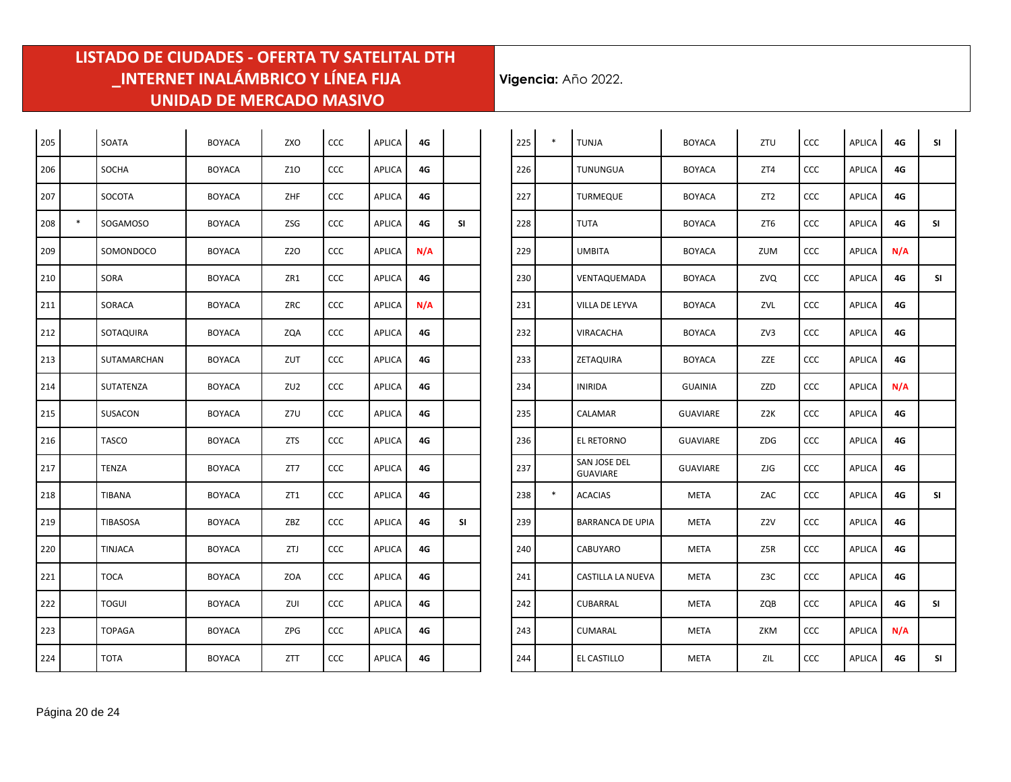$\mathcal{L}^{\mathcal{L}}$ 

| 205 |        | SOATA           | <b>BOYACA</b> | ZXO             | CCC | <b>APLICA</b> | 4G  |    |
|-----|--------|-----------------|---------------|-----------------|-----|---------------|-----|----|
| 206 |        | <b>SOCHA</b>    | <b>BOYACA</b> | Z <sub>10</sub> | CCC | <b>APLICA</b> | 4G  |    |
| 207 |        | SOCOTA          | <b>BOYACA</b> | ZHF             | CCC | <b>APLICA</b> | 4G  |    |
| 208 | $\ast$ | SOGAMOSO        | <b>BOYACA</b> | ZSG             | CCC | <b>APLICA</b> | 4G  | SI |
| 209 |        | SOMONDOCO       | <b>BOYACA</b> | Z2O             | CCC | APLICA        | N/A |    |
| 210 |        | <b>SORA</b>     | <b>BOYACA</b> | ZR1             | CCC | <b>APLICA</b> | 4G  |    |
| 211 |        | SORACA          | <b>BOYACA</b> | ZRC             | CCC | <b>APLICA</b> | N/A |    |
| 212 |        | SOTAQUIRA       | <b>BOYACA</b> | ZQA             | CCC | <b>APLICA</b> | 4G  |    |
| 213 |        | SUTAMARCHAN     | <b>BOYACA</b> | ZUT             | CCC | <b>APLICA</b> | 4G  |    |
| 214 |        | SUTATENZA       | <b>BOYACA</b> | ZU <sub>2</sub> | CCC | APLICA        | 4G  |    |
| 215 |        | SUSACON         | <b>BOYACA</b> | Z7U             | CCC | <b>APLICA</b> | 4G  |    |
| 216 |        | <b>TASCO</b>    | <b>BOYACA</b> | <b>ZTS</b>      | CCC | <b>APLICA</b> | 4G  |    |
| 217 |        | <b>TENZA</b>    | <b>BOYACA</b> | ZT7             | CCC | <b>APLICA</b> | 4G  |    |
| 218 |        | TIBANA          | <b>BOYACA</b> | ZT1             | CCC | <b>APLICA</b> | 4G  |    |
| 219 |        | <b>TIBASOSA</b> | <b>BOYACA</b> | ZBZ             | CCC | <b>APLICA</b> | 4G  | SI |
| 220 |        | TINJACA         | <b>BOYACA</b> | ZTJ             | CCC | APLICA        | 4G  |    |
| 221 |        | <b>TOCA</b>     | <b>BOYACA</b> | ZOA             | CCC | <b>APLICA</b> | 4G  |    |
| 222 |        | <b>TOGUI</b>    | <b>BOYACA</b> | ZUI             | CCC | <b>APLICA</b> | 4G  |    |
| 223 |        | <b>TOPAGA</b>   | <b>BOYACA</b> | ZPG             | CCC | <b>APLICA</b> | 4G  |    |
| 224 |        | <b>TOTA</b>     | <b>BOYACA</b> | ZTT             | CCC | <b>APLICA</b> | 4G  |    |

| 225 | $\ast$ | <b>TUNJA</b>                    | <b>BOYACA</b>   | ZTU             | CCC        | <b>APLICA</b> | 4G  | <b>SI</b> |
|-----|--------|---------------------------------|-----------------|-----------------|------------|---------------|-----|-----------|
| 226 |        | <b>TUNUNGUA</b>                 | <b>BOYACA</b>   | ZT4             | <b>CCC</b> | <b>APLICA</b> | 4G  |           |
| 227 |        | <b>TURMEQUE</b>                 | <b>BOYACA</b>   | ZT <sub>2</sub> | <b>CCC</b> | <b>APLICA</b> | 4G  |           |
| 228 |        | <b>TUTA</b>                     | <b>BOYACA</b>   | ZT6             | CCC        | APLICA        | 4G  | SI        |
| 229 |        | <b>UMBITA</b>                   | <b>BOYACA</b>   | ZUM             | CCC        | APLICA        | N/A |           |
| 230 |        | VENTAQUEMADA                    | <b>BOYACA</b>   | ZVQ             | <b>CCC</b> | <b>APLICA</b> | 4G  | SI        |
| 231 |        | VILLA DE LEYVA                  | <b>BOYACA</b>   | ZVL             | <b>CCC</b> | <b>APLICA</b> | 4G  |           |
| 232 |        | <b>VIRACACHA</b>                | <b>BOYACA</b>   | ZV3             | CCC        | APLICA        | 4G  |           |
| 233 |        | ZETAQUIRA                       | <b>BOYACA</b>   | ZZE             | CCC        | <b>APLICA</b> | 4G  |           |
| 234 |        | <b>INIRIDA</b>                  | <b>GUAINIA</b>  | ZZD             | CCC        | <b>APLICA</b> | N/A |           |
| 235 |        | CALAMAR                         | <b>GUAVIARE</b> | Z2K             | <b>CCC</b> | APLICA        | 4G  |           |
| 236 |        | EL RETORNO                      | <b>GUAVIARE</b> | ZDG             | <b>CCC</b> | APLICA        | 4G  |           |
| 237 |        | SAN JOSE DEL<br><b>GUAVIARE</b> | <b>GUAVIARE</b> | ZJG             | <b>CCC</b> | <b>APLICA</b> | 4G  |           |
| 238 | $\ast$ | <b>ACACIAS</b>                  | <b>META</b>     | ZAC             | CCC        | <b>APLICA</b> | 4G  | <b>SI</b> |
| 239 |        | <b>BARRANCA DE UPIA</b>         | <b>META</b>     | Z2V             | CCC        | APLICA        | 4G  |           |
| 240 |        | CABUYARO                        | <b>META</b>     | Z5R             | <b>CCC</b> | <b>APLICA</b> | 4G  |           |
| 241 |        | CASTILLA LA NUEVA               | META            | Z3C             | <b>CCC</b> | <b>APLICA</b> | 4G  |           |
| 242 |        | <b>CUBARRAL</b>                 | META            | ZQB             | <b>CCC</b> | <b>APLICA</b> | 4G  | SI        |
| 243 |        | <b>CUMARAL</b>                  | <b>META</b>     | ZKM             | <b>CCC</b> | <b>APLICA</b> | N/A |           |
| 244 |        | EL CASTILLO                     | <b>META</b>     | ZIL             | <b>CCC</b> | APLICA        | 4G  | SI        |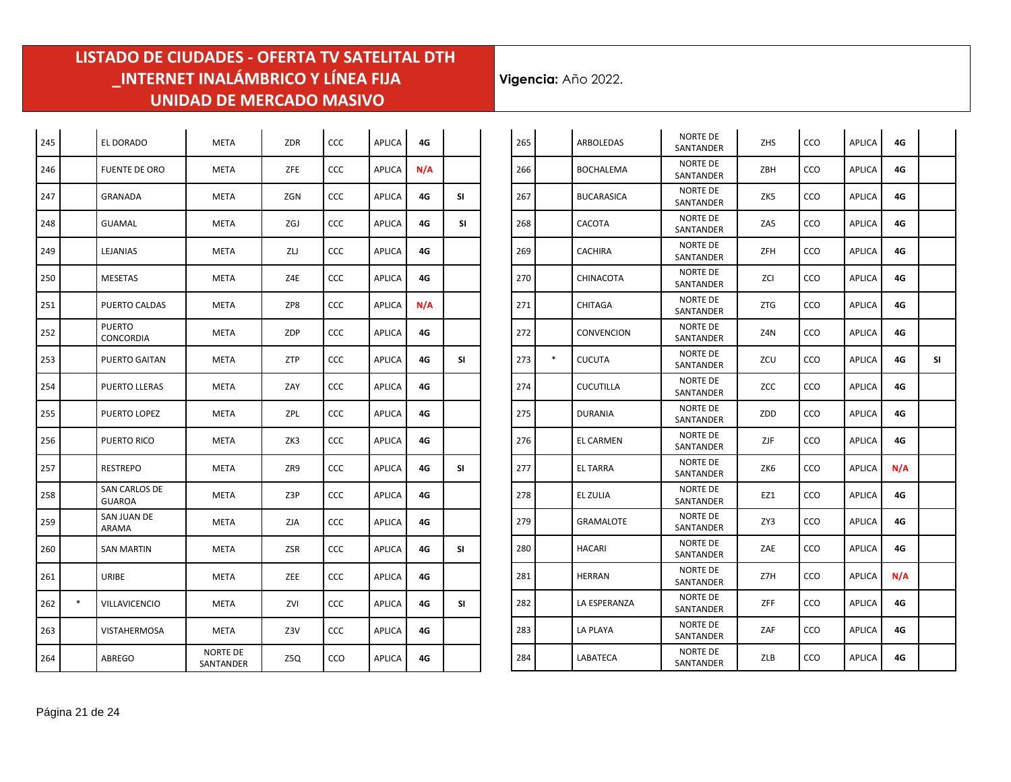| 245 |        | EL DORADO                      | <b>META</b>                  | <b>ZDR</b> | CCC        | <b>APLICA</b> | 4G  |           |
|-----|--------|--------------------------------|------------------------------|------------|------------|---------------|-----|-----------|
| 246 |        | <b>FUENTE DE ORO</b>           | <b>META</b>                  | ZFE        | CCC        | <b>APLICA</b> | N/A |           |
| 247 |        | GRANADA                        | META                         | ZGN        | CCC        | <b>APLICA</b> | 4G  | <b>SI</b> |
| 248 |        | <b>GUAMAL</b>                  | <b>META</b>                  | ZGJ        | CCC        | <b>APLICA</b> | 4G  | SΙ        |
| 249 |        | LEJANIAS                       | <b>META</b>                  | ZU         | CCC        | <b>APLICA</b> | 4G  |           |
| 250 |        | <b>MESETAS</b>                 | META                         | Z4E        | CCC        | <b>APLICA</b> | 4G  |           |
| 251 |        | PUERTO CALDAS                  | META                         | ZP8        | <b>CCC</b> | <b>APLICA</b> | N/A |           |
| 252 |        | <b>PUERTO</b><br>CONCORDIA     | META                         | ZDP        | CCC        | <b>APLICA</b> | 4G  |           |
| 253 |        | PUERTO GAITAN                  | META                         | ZTP        | CCC        | <b>APLICA</b> | 4G  | SI        |
| 254 |        | PUERTO LLERAS                  | META                         | ZAY        | CCC        | <b>APLICA</b> | 4G  |           |
| 255 |        | PUERTO LOPEZ                   | <b>META</b>                  | ZPL        | CCC        | <b>APLICA</b> | 4G  |           |
| 256 |        | PUERTO RICO                    | META                         | ZK3        | CCC        | <b>APLICA</b> | 4G  |           |
| 257 |        | <b>RESTREPO</b>                | <b>META</b>                  | ZR9        | CCC        | <b>APLICA</b> | 4G  | SI        |
| 258 |        | <b>SAN CARLOS DE</b><br>GUAROA | <b>META</b>                  | Z3P        | CCC        | <b>APLICA</b> | 4G  |           |
| 259 |        | SAN JUAN DE<br>ARAMA           | <b>META</b>                  | ZJA        | CCC        | <b>APLICA</b> | 4G  |           |
| 260 |        | <b>SAN MARTIN</b>              | <b>META</b>                  | ZSR        | CCC        | <b>APLICA</b> | 4G  | SI        |
| 261 |        | URIBE                          | <b>META</b>                  | ZEE        | CCC        | <b>APLICA</b> | 4G  |           |
| 262 | $\ast$ | VILLAVICENCIO                  | <b>META</b>                  | ZVI        | <b>CCC</b> | <b>APLICA</b> | 4G  | SI.       |
| 263 |        | <b>VISTAHERMOSA</b>            | <b>META</b>                  | Z3V        | CCC        | <b>APLICA</b> | 4G  |           |
| 264 |        | ABREGO                         | <b>NORTE DE</b><br>SANTANDER | Z5Q        | CCO        | <b>APLICA</b> | 4G  |           |

| 265           | <b>ARBOLEDAS</b>  | NORTE DE<br>SANTANDER        | <b>ZHS</b> | CCO        | <b>APLICA</b> | 4G  |    |
|---------------|-------------------|------------------------------|------------|------------|---------------|-----|----|
| 266           | <b>BOCHALEMA</b>  | <b>NORTE DE</b><br>SANTANDER | ZBH        | CCO        | <b>APLICA</b> | 4G  |    |
| 267           | <b>BUCARASICA</b> | <b>NORTE DE</b><br>SANTANDER | ZK5        | CCO        | <b>APLICA</b> | 4G  |    |
| 268           | CACOTA            | NORTE DE<br>SANTANDER        | ZA5        | CCO        | <b>APLICA</b> | 4G  |    |
| 269           | <b>CACHIRA</b>    | <b>NORTE DE</b><br>SANTANDER | ZFH        | CCO        | <b>APLICA</b> | 4G  |    |
| 270           | <b>CHINACOTA</b>  | <b>NORTE DE</b><br>SANTANDER | ZCI        | <b>CCO</b> | <b>APLICA</b> | 4G  |    |
| 271           | CHITAGA           | <b>NORTE DE</b><br>SANTANDER | <b>ZTG</b> | CCO        | <b>APLICA</b> | 4G  |    |
| 272           | CONVENCION        | <b>NORTE DE</b><br>SANTANDER | Z4N        | CCO        | <b>APLICA</b> | 4G  |    |
| $\ast$<br>273 | <b>CUCUTA</b>     | <b>NORTE DE</b><br>SANTANDER | ZCU        | CCO        | <b>APLICA</b> | 4G  | SI |
| 274           | <b>CUCUTILLA</b>  | <b>NORTE DE</b><br>SANTANDER | ZCC        | CCO        | <b>APLICA</b> | 4G  |    |
| 275           | DURANIA           | <b>NORTE DE</b><br>SANTANDER | ZDD        | CCO        | <b>APLICA</b> | 4G  |    |
| 276           | EL CARMEN         | NORTE DE<br>SANTANDER        | ZJF        | CCO        | <b>APLICA</b> | 4G  |    |
| 277           | <b>EL TARRA</b>   | <b>NORTE DE</b><br>SANTANDER | ZK6        | <b>CCO</b> | <b>APLICA</b> | N/A |    |
| 278           | EL ZULIA          | <b>NORTE DE</b><br>SANTANDER | EZ1        | CCO        | <b>APLICA</b> | 4G  |    |
| 279           | <b>GRAMALOTE</b>  | NORTE DE<br>SANTANDER        | ZY3        | CCO        | <b>APLICA</b> | 4G  |    |
| 280           | <b>HACARI</b>     | NORTE DE<br>SANTANDER        | ZAE        | CCO        | <b>APLICA</b> | 4G  |    |
| 281           | <b>HERRAN</b>     | <b>NORTE DE</b><br>SANTANDER | Z7H        | CCO        | <b>APLICA</b> | N/A |    |
| 282           | LA ESPERANZA      | <b>NORTE DE</b><br>SANTANDER | <b>ZFF</b> | CCO        | <b>APLICA</b> | 4G  |    |
| 283           | <b>LA PLAYA</b>   | <b>NORTE DE</b><br>SANTANDER | ZAF        | CCO        | <b>APLICA</b> | 4G  |    |
| 284           | LABATECA          | <b>NORTE DE</b><br>SANTANDER | ZLB        | CCO        | <b>APLICA</b> | 4G  |    |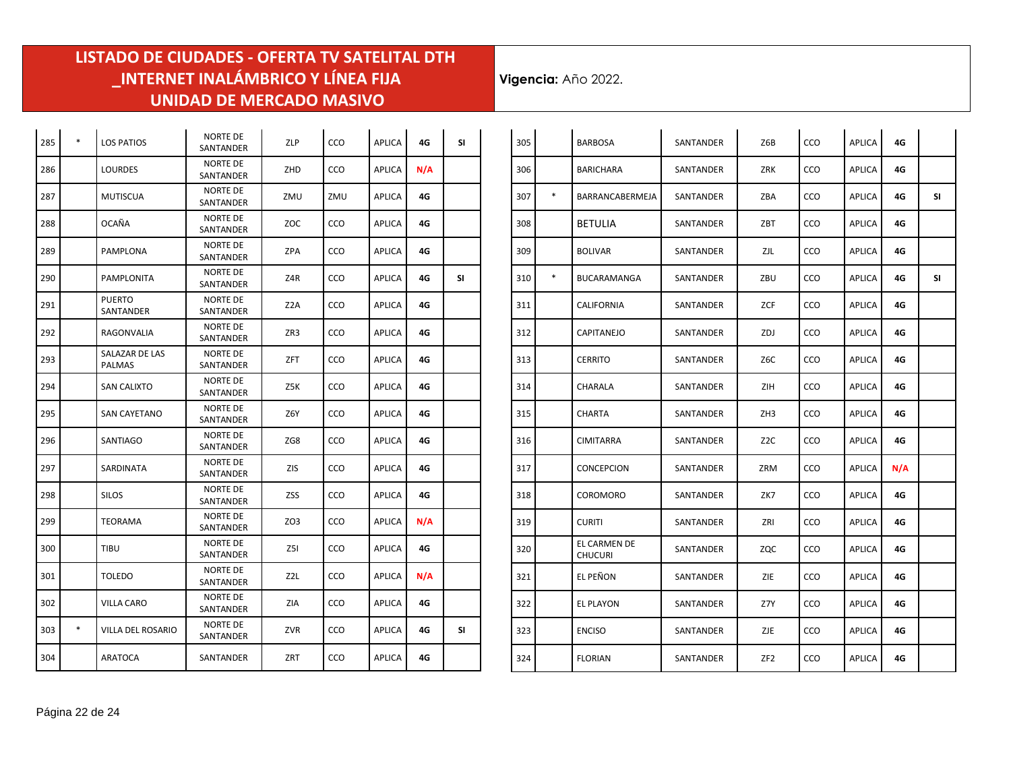$\mathcal{L}^{\mathcal{L}}$ 

| 285 | $\ast$ | <b>LOS PATIOS</b>               | <b>NORTE DE</b><br>SANTANDER        | ZLP             | CCO | <b>APLICA</b> | 4G  | <b>SI</b> |
|-----|--------|---------------------------------|-------------------------------------|-----------------|-----|---------------|-----|-----------|
| 286 |        | <b>LOURDES</b>                  | <b>NORTE DE</b><br>SANTANDER        | ZHD             | CCO | <b>APLICA</b> | N/A |           |
| 287 |        | <b>MUTISCUA</b>                 | <b>NORTE DE</b><br>SANTANDER        | ZMU             | ZMU | <b>APLICA</b> | 4G  |           |
| 288 |        | OCAÑA                           | <b>NORTE DE</b><br>SANTANDER        | ZOC             | CCO | APLICA        | 4G  |           |
| 289 |        | <b>PAMPLONA</b>                 | <b>NORTE DE</b><br>SANTANDER        | ZPA             | CCO | <b>APLICA</b> | 4G  |           |
| 290 |        | <b>PAMPLONITA</b>               | NORTE DE<br>SANTANDER               | Z4R             | CCO | <b>APLICA</b> | 4G  | SI        |
| 291 |        | <b>PUERTO</b><br>SANTANDER      | <b>NORTE DE</b><br>SANTANDER        | Z2A             | CCO | APLICA        | 4G  |           |
| 292 |        | RAGONVALIA                      | NORTE DE<br>SANTANDER               | ZR3             | CCO | <b>APLICA</b> | 4G  |           |
| 293 |        | SALAZAR DE LAS<br><b>PALMAS</b> | <b>NORTE DE</b><br>SANTANDER        | ZFT             | CCO | <b>APLICA</b> | 4G  |           |
| 294 |        | <b>SAN CALIXTO</b>              | <b>NORTE DE</b><br>SANTANDER        | Z5K             | CCO | APLICA        | 4G  |           |
| 295 |        | <b>SAN CAYETANO</b>             | <b>NORTE DE</b><br><b>SANTANDER</b> | Z6Y             | CCO | <b>APLICA</b> | 4G  |           |
| 296 |        | SANTIAGO                        | <b>NORTE DE</b><br>SANTANDER        | ZG8             | CCO | <b>APLICA</b> | 4G  |           |
| 297 |        | SARDINATA                       | <b>NORTE DE</b><br>SANTANDER        | ZIS             | CCO | <b>APLICA</b> | 4G  |           |
| 298 |        | <b>SILOS</b>                    | <b>NORTE DE</b><br>SANTANDER        | ZSS             | CCO | <b>APLICA</b> | 4G  |           |
| 299 |        | <b>TEORAMA</b>                  | <b>NORTE DE</b><br>SANTANDER        | ZO <sub>3</sub> | CCO | <b>APLICA</b> | N/A |           |
| 300 |        | TIBU                            | <b>NORTE DE</b><br>SANTANDER        | Z5I             | CCO | <b>APLICA</b> | 4G  |           |
| 301 |        | <b>TOLEDO</b>                   | <b>NORTE DE</b><br>SANTANDER        | Z2L             | CCO | <b>APLICA</b> | N/A |           |
| 302 |        | <b>VILLA CARO</b>               | <b>NORTE DE</b><br>SANTANDER        | ZIA             | CCO | <b>APLICA</b> | 4G  |           |
| 303 | $\ast$ | VILLA DEL ROSARIO               | <b>NORTE DE</b><br>SANTANDER        | ZVR             | CCO | <b>APLICA</b> | 4G  | SI        |
| 304 |        | <b>ARATOCA</b>                  | SANTANDER                           | ZRT             | CCO | <b>APLICA</b> | 4G  |           |

| 305 |        | <b>BARBOSA</b>                 | SANTANDER | Z6B              | CCO | <b>APLICA</b> | 4G  |    |
|-----|--------|--------------------------------|-----------|------------------|-----|---------------|-----|----|
| 306 |        | <b>BARICHARA</b>               | SANTANDER | <b>ZRK</b>       | CCO | <b>APLICA</b> | 4G  |    |
| 307 | $\ast$ | BARRANCABERMEJA                | SANTANDER | ZBA              | CCO | <b>APLICA</b> | 4G  | SI |
| 308 |        | <b>BETULIA</b>                 | SANTANDER | ZBT              | CCO | <b>APLICA</b> | 4G  |    |
| 309 |        | <b>BOLIVAR</b>                 | SANTANDER | ZJL              | CCO | <b>APLICA</b> | 4G  |    |
| 310 | $\ast$ | BUCARAMANGA                    | SANTANDER | ZBU              | CCO | <b>APLICA</b> | 4G  | SI |
| 311 |        | CALIFORNIA                     | SANTANDER | ZCF              | CCO | <b>APLICA</b> | 4G  |    |
| 312 |        | CAPITANEJO                     | SANTANDER | ZDJ              | CCO | APLICA        | 4G  |    |
| 313 |        | <b>CERRITO</b>                 | SANTANDER | Z6C              | CCO | <b>APLICA</b> | 4G  |    |
| 314 |        | CHARALA                        | SANTANDER | ZIH              | CCO | <b>APLICA</b> | 4G  |    |
| 315 |        | CHARTA                         | SANTANDER | ZH <sub>3</sub>  | CCO | <b>APLICA</b> | 4G  |    |
| 316 |        | <b>CIMITARRA</b>               | SANTANDER | Z <sub>2</sub> C | CCO | <b>APLICA</b> | 4G  |    |
| 317 |        | <b>CONCEPCION</b>              | SANTANDER | ZRM              | CCO | <b>APLICA</b> | N/A |    |
| 318 |        | COROMORO                       | SANTANDER | ZK7              | CCO | <b>APLICA</b> | 4G  |    |
| 319 |        | <b>CURITI</b>                  | SANTANDER | ZRI              | CCO | <b>APLICA</b> | 4G  |    |
| 320 |        | EL CARMEN DE<br><b>CHUCURI</b> | SANTANDER | ZQC              | CCO | APLICA        | 4G  |    |
| 321 |        | EL PEÑON                       | SANTANDER | ZIE              | CCO | APLICA        | 4G  |    |
| 322 |        | EL PLAYON                      | SANTANDER | Z7Y              | CCO | <b>APLICA</b> | 4G  |    |
| 323 |        | <b>ENCISO</b>                  | SANTANDER | ZJE              | CCO | <b>APLICA</b> | 4G  |    |
| 324 |        | <b>FLORIAN</b>                 | SANTANDER | ZF <sub>2</sub>  | CCO | APLICA        | 4G  |    |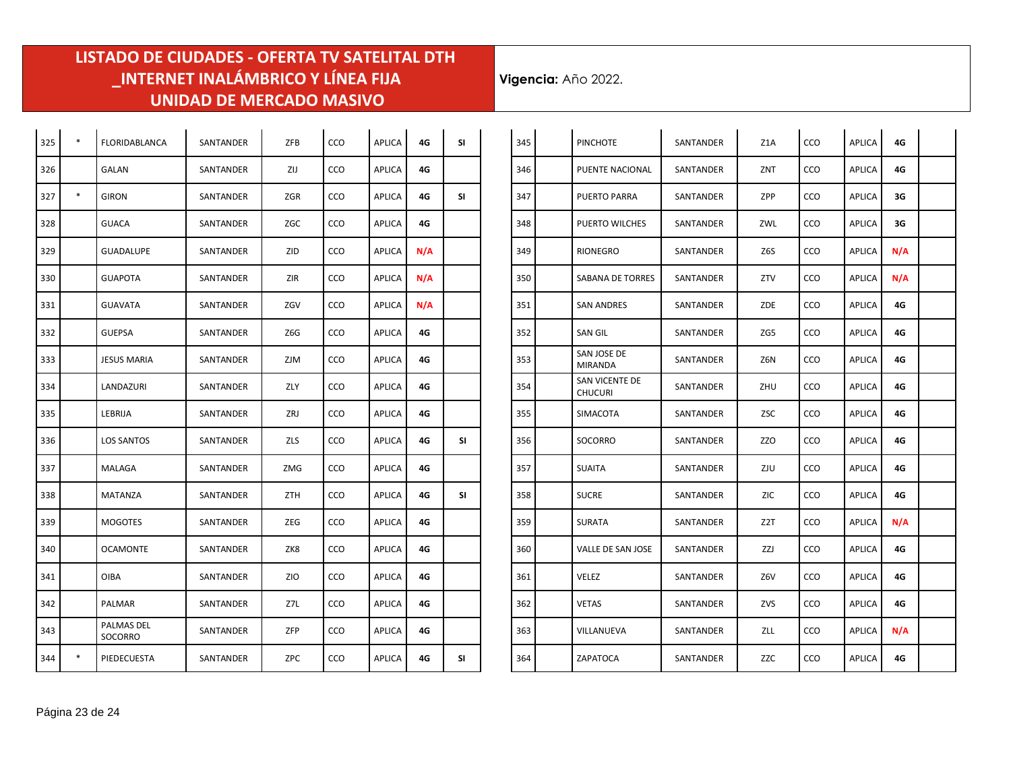| 325 | $\ast$ | FLORIDABLANCA         | SANTANDER | ZFB        | CCO | <b>APLICA</b> | 4G  | <b>SI</b> |
|-----|--------|-----------------------|-----------|------------|-----|---------------|-----|-----------|
| 326 |        | GALAN                 | SANTANDER | ZIJ        | CCO | <b>APLICA</b> | 4G  |           |
| 327 | $\ast$ | <b>GIRON</b>          | SANTANDER | ZGR        | CCO | <b>APLICA</b> | 4G  | <b>SI</b> |
| 328 |        | <b>GUACA</b>          | SANTANDER | ZGC        | CCO | <b>APLICA</b> | 4G  |           |
| 329 |        | <b>GUADALUPE</b>      | SANTANDER | ZID        | CCO | <b>APLICA</b> | N/A |           |
| 330 |        | <b>GUAPOTA</b>        | SANTANDER | ZIR        | CCO | APLICA        | N/A |           |
| 331 |        | <b>GUAVATA</b>        | SANTANDER | ZGV        | CCO | <b>APLICA</b> | N/A |           |
| 332 |        | <b>GUEPSA</b>         | SANTANDER | Z6G        | CCO | <b>APLICA</b> | 4G  |           |
| 333 |        | <b>JESUS MARIA</b>    | SANTANDER | <b>ZJM</b> | CCO | <b>APLICA</b> | 4G  |           |
| 334 |        | LANDAZURI             | SANTANDER | ZLY        | CCO | <b>APLICA</b> | 4G  |           |
| 335 |        | LEBRIJA               | SANTANDER | ZRJ        | CCO | <b>APLICA</b> | 4G  |           |
| 336 |        | <b>LOS SANTOS</b>     | SANTANDER | ZLS        | CCO | <b>APLICA</b> | 4G  | SI        |
| 337 |        | MALAGA                | SANTANDER | ZMG        | CCO | <b>APLICA</b> | 4G  |           |
| 338 |        | MATANZA               | SANTANDER | ZTH        | CCO | APLICA        | 4G  | SI        |
| 339 |        | <b>MOGOTES</b>        | SANTANDER | ZEG        | CCO | APLICA        | 4G  |           |
| 340 |        | <b>OCAMONTE</b>       | SANTANDER | ZK8        | CCO | APLICA        | 4G  |           |
| 341 |        | <b>OIBA</b>           | SANTANDER | <b>ZIO</b> | CCO | <b>APLICA</b> | 4G  |           |
| 342 |        | PALMAR                | SANTANDER | Z7L        | CCO | <b>APLICA</b> | 4G  |           |
| 343 |        | PALMAS DEL<br>SOCORRO | SANTANDER | ZFP        | CCO | <b>APLICA</b> | 4G  |           |
| 344 | *      | PIEDECUESTA           | SANTANDER | ZPC        | CCO | <b>APLICA</b> | 4G  | SI        |

| 345 | <b>PINCHOTE</b>                         | SANTANDER | Z1A        | CCO | <b>APLICA</b> | 4G  |  |
|-----|-----------------------------------------|-----------|------------|-----|---------------|-----|--|
| 346 | PUENTE NACIONAL                         | SANTANDER | ZNT        | CCO | <b>APLICA</b> | 4G  |  |
| 347 | <b>PUERTO PARRA</b>                     | SANTANDER | <b>ZPP</b> | CCO | <b>APLICA</b> | 3G  |  |
| 348 | PUERTO WILCHES                          | SANTANDER | ZWL        | CCO | <b>APLICA</b> | 3G  |  |
| 349 | RIONEGRO                                | SANTANDER | Z6S        | CCO | <b>APLICA</b> | N/A |  |
| 350 | <b>SABANA DE TORRES</b>                 | SANTANDER | ZTV        | CCO | <b>APLICA</b> | N/A |  |
| 351 | <b>SAN ANDRES</b>                       | SANTANDER | ZDE        | CCO | <b>APLICA</b> | 4G  |  |
| 352 | <b>SAN GIL</b>                          | SANTANDER | ZG5        | CCO | <b>APLICA</b> | 4G  |  |
| 353 | SAN JOSE DE<br><b>MIRANDA</b>           | SANTANDER | Z6N        | CCO | <b>APLICA</b> | 4G  |  |
| 354 | <b>SAN VICENTE DE</b><br><b>CHUCURI</b> | SANTANDER | ZHU        | CCO | <b>APLICA</b> | 4G  |  |
| 355 | SIMACOTA                                | SANTANDER | ZSC        | CCO | <b>APLICA</b> | 4G  |  |
| 356 | SOCORRO                                 | SANTANDER | ZZO        | CCO | <b>APLICA</b> | 4G  |  |
| 357 | <b>SUAITA</b>                           | SANTANDER | ZJU        | CCO | APLICA        | 4G  |  |
| 358 | <b>SUCRE</b>                            | SANTANDER | ZIC        | CCO | APLICA        | 4G  |  |
| 359 | SURATA                                  | SANTANDER | Z2T        | CCO | APLICA        | N/A |  |
| 360 | VALLE DE SAN JOSE                       | SANTANDER | ZZJ        | CCO | <b>APLICA</b> | 4G  |  |
| 361 | VELEZ                                   | SANTANDER | Z6V        | CCO | <b>APLICA</b> | 4G  |  |
| 362 | <b>VETAS</b>                            | SANTANDER | ZVS        | CCO | <b>APLICA</b> | 4G  |  |
| 363 | VILLANUEVA                              | SANTANDER | ZLL        | CCO | <b>APLICA</b> | N/A |  |
| 364 | ZAPATOCA                                | SANTANDER | ZZC        | CCO | APLICA        | 4G  |  |